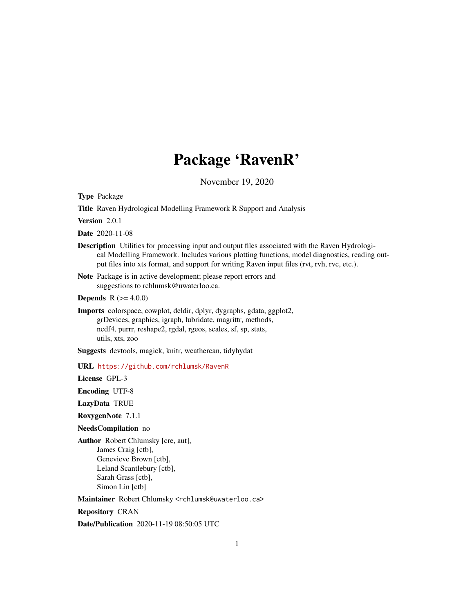# Package 'RavenR'

November 19, 2020

<span id="page-0-0"></span>Type Package

Title Raven Hydrological Modelling Framework R Support and Analysis

Version 2.0.1

Date 2020-11-08

Description Utilities for processing input and output files associated with the Raven Hydrological Modelling Framework. Includes various plotting functions, model diagnostics, reading output files into xts format, and support for writing Raven input files (rvt, rvh, rvc, etc.).

Note Package is in active development; please report errors and suggestions to rchlumsk@uwaterloo.ca.

**Depends**  $R (= 4.0.0)$ 

Imports colorspace, cowplot, deldir, dplyr, dygraphs, gdata, ggplot2, grDevices, graphics, igraph, lubridate, magrittr, methods, ncdf4, purrr, reshape2, rgdal, rgeos, scales, sf, sp, stats, utils, xts, zoo

Suggests devtools, magick, knitr, weathercan, tidyhydat

URL <https://github.com/rchlumsk/RavenR>

License GPL-3

Encoding UTF-8

LazyData TRUE

RoxygenNote 7.1.1

NeedsCompilation no

Author Robert Chlumsky [cre, aut], James Craig [ctb], Genevieve Brown [ctb], Leland Scantlebury [ctb], Sarah Grass [ctb], Simon Lin [ctb]

Maintainer Robert Chlumsky <rchlumsk@uwaterloo.ca>

Repository CRAN

Date/Publication 2020-11-19 08:50:05 UTC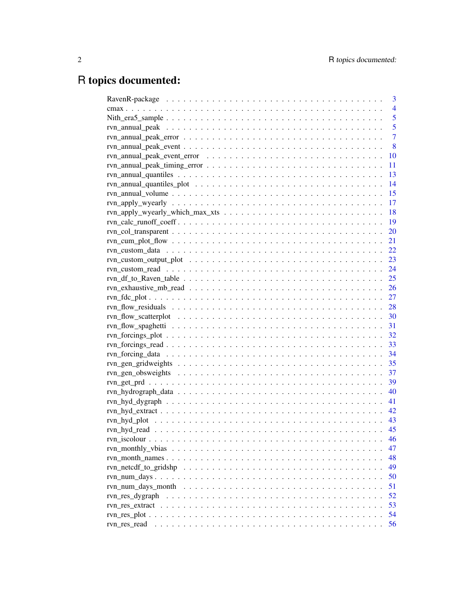# R topics documented:

|                                                                                                  | 3              |
|--------------------------------------------------------------------------------------------------|----------------|
|                                                                                                  | $\overline{4}$ |
|                                                                                                  | 5              |
|                                                                                                  | 5              |
| $rvn\_annual\_peak\_error \ldots \ldots \ldots \ldots \ldots \ldots \ldots \ldots \ldots \ldots$ | $\overline{7}$ |
|                                                                                                  | 8              |
|                                                                                                  | 10             |
|                                                                                                  | 11             |
|                                                                                                  | 13             |
|                                                                                                  | 14             |
|                                                                                                  | 15             |
|                                                                                                  | 17             |
|                                                                                                  | 18             |
|                                                                                                  | 19             |
|                                                                                                  | 20             |
|                                                                                                  | 21             |
|                                                                                                  |                |
|                                                                                                  |                |
|                                                                                                  |                |
|                                                                                                  |                |
|                                                                                                  |                |
|                                                                                                  |                |
|                                                                                                  |                |
|                                                                                                  |                |
|                                                                                                  |                |
|                                                                                                  |                |
|                                                                                                  |                |
|                                                                                                  |                |
|                                                                                                  | 35             |
|                                                                                                  | 37             |
|                                                                                                  | 39             |
|                                                                                                  | 40             |
|                                                                                                  | 41             |
|                                                                                                  | 42             |
|                                                                                                  | 43             |
|                                                                                                  | 45             |
|                                                                                                  | 46             |
|                                                                                                  | 47             |
|                                                                                                  | 48             |
|                                                                                                  | 49             |
|                                                                                                  | 50             |
|                                                                                                  | 51             |
| rvn_res_dygraph                                                                                  | 52             |
|                                                                                                  | 53             |
|                                                                                                  | 54             |
| rvn_res_read                                                                                     | 56             |
|                                                                                                  |                |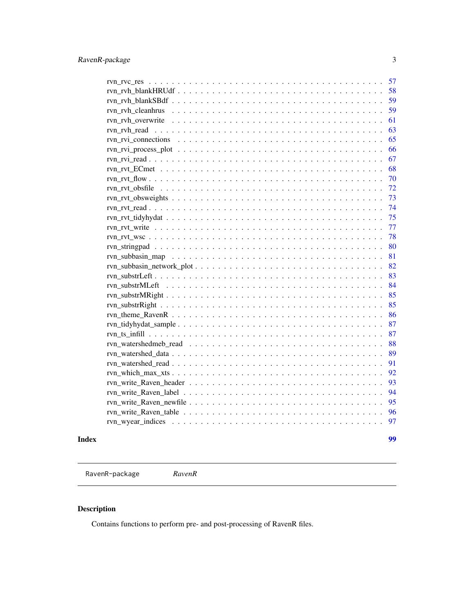<span id="page-2-0"></span>

| Index | 99       |
|-------|----------|
|       | 97       |
|       | 96       |
|       | 95       |
|       | 94       |
|       | 93       |
|       | 92       |
|       | 91       |
|       | 89       |
|       | 88       |
|       | 87       |
|       | 87       |
|       | 86       |
|       | 85       |
|       | 85       |
|       | 84       |
|       | 83       |
|       | 82       |
|       | 81       |
|       | 80       |
|       | 78       |
|       | 77       |
|       | 75       |
|       | 74       |
|       | 73       |
|       | 72       |
|       | 70       |
|       | 68       |
|       | 66<br>67 |
|       | 65       |
|       | 63       |
|       | 61       |
|       | 59       |
|       | 59       |
|       | 58       |
|       | 57       |
|       |          |

RavenR-package *RavenR*

# Description

Contains functions to perform pre- and post-processing of RavenR files.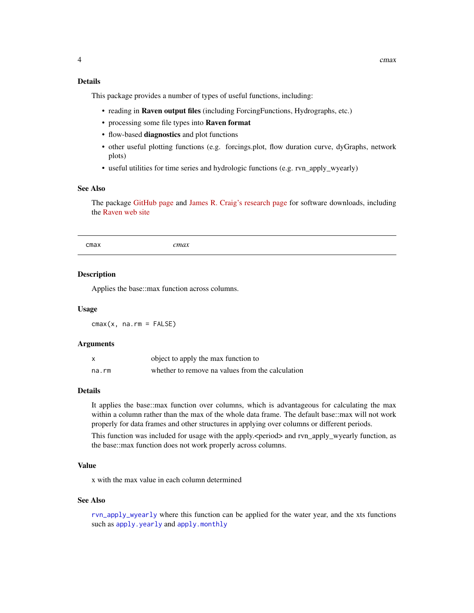# <span id="page-3-0"></span>Details

This package provides a number of types of useful functions, including:

- reading in Raven output files (including ForcingFunctions, Hydrographs, etc.)
- processing some file types into Raven format
- flow-based diagnostics and plot functions
- other useful plotting functions (e.g. forcings.plot, flow duration curve, dyGraphs, network plots)
- useful utilities for time series and hydrologic functions (e.g. rvn\_apply\_wyearly)

# See Also

The package [GitHub page](https://github.com/rchlumsk/RavenR) and [James R. Craig's research page](http://www.civil.uwaterloo.ca/jrcraig/) for software downloads, including the [Raven web site](http://raven.uwaterloo.ca/)

cmax *cmax*

#### **Description**

Applies the base::max function across columns.

#### Usage

 $cmax(x, na.rm = FALSE)$ 

#### Arguments

|       | object to apply the max function to              |
|-------|--------------------------------------------------|
| na.rm | whether to remove na values from the calculation |

#### Details

It applies the base::max function over columns, which is advantageous for calculating the max within a column rather than the max of the whole data frame. The default base::max will not work properly for data frames and other structures in applying over columns or different periods.

This function was included for usage with the apply.<period> and rvn\_apply\_wyearly function, as the base::max function does not work properly across columns.

#### Value

x with the max value in each column determined

#### See Also

[rvn\\_apply\\_wyearly](#page-16-1) where this function can be applied for the water year, and the xts functions such as [apply.yearly](#page-0-0) and [apply.monthly](#page-0-0)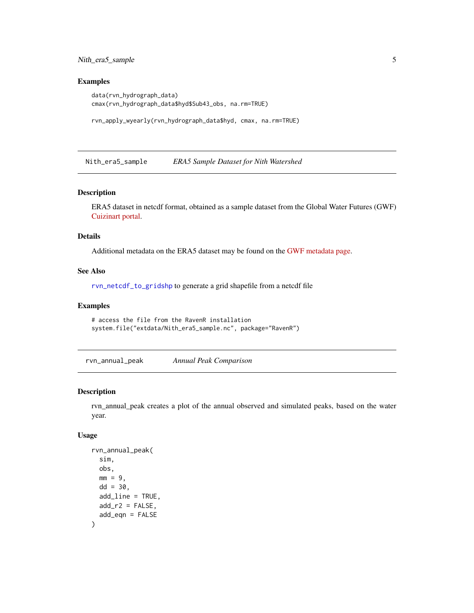<span id="page-4-0"></span>Nith\_era5\_sample 5

#### Examples

```
data(rvn_hydrograph_data)
cmax(rvn_hydrograph_data$hyd$Sub43_obs, na.rm=TRUE)
```

```
rvn_apply_wyearly(rvn_hydrograph_data$hyd, cmax, na.rm=TRUE)
```
Nith\_era5\_sample *ERA5 Sample Dataset for Nith Watershed*

# Description

ERA5 dataset in netcdf format, obtained as a sample dataset from the Global Water Futures (GWF) [Cuizinart portal.](https://tuna.cs.uwaterloo.ca/)

# Details

Additional metadata on the ERA5 dataset may be found on the [GWF metadata page.](https://gwf-uwaterloo.github.io/wamedex/#13079_iso.xml)

#### See Also

[rvn\\_netcdf\\_to\\_gridshp](#page-48-1) to generate a grid shapefile from a netcdf file

#### Examples

```
# access the file from the RavenR installation
system.file("extdata/Nith_era5_sample.nc", package="RavenR")
```
<span id="page-4-1"></span>rvn\_annual\_peak *Annual Peak Comparison*

#### Description

rvn\_annual\_peak creates a plot of the annual observed and simulated peaks, based on the water year.

#### Usage

```
rvn_annual_peak(
  sim,
 obs,
 mm = 9.
 dd = 30.
 add_line = TRUE,
 add_r2 = FALSE,add_eqn = FALSE
)
```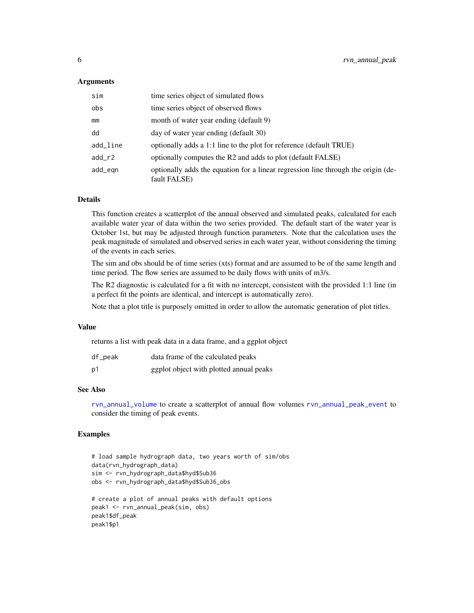#### **Arguments**

| sim      | time series object of simulated flows                                                             |
|----------|---------------------------------------------------------------------------------------------------|
| obs      | time series object of observed flows                                                              |
| mm       | month of water year ending (default 9)                                                            |
| dd       | day of water year ending (default 30)                                                             |
| add_line | optionally adds a 1:1 line to the plot for reference (default TRUE)                               |
| $add_r2$ | optionally computes the R2 and adds to plot (default FALSE)                                       |
| add_eqn  | optionally adds the equation for a linear regression line through the origin (de-<br>fault FALSE) |

# Details

This function creates a scatterplot of the annual observed and simulated peaks, calculated for each available water year of data within the two series provided. The default start of the water year is October 1st, but may be adjusted through function parameters. Note that the calculation uses the peak magnitude of simulated and observed series in each water year, without considering the timing of the events in each series.

The sim and obs should be of time series (xts) format and are assumed to be of the same length and time period. The flow series are assumed to be daily flows with units of m3/s.

The R2 diagnostic is calculated for a fit with no intercept, consistent with the provided 1:1 line (in a perfect fit the points are identical, and intercept is automatically zero).

Note that a plot title is purposely omitted in order to allow the automatic generation of plot titles.

#### Value

returns a list with peak data in a data frame, and a ggplot object

| df_peak | data frame of the calculated peaks      |
|---------|-----------------------------------------|
| p1      | ggplot object with plotted annual peaks |

# See Also

[rvn\\_annual\\_volume](#page-14-1) to create a scatterplot of annual flow volumes [rvn\\_annual\\_peak\\_event](#page-7-1) to consider the timing of peak events.

# Examples

```
# load sample hydrograph data, two years worth of sim/obs
data(rvn_hydrograph_data)
sim <- rvn_hydrograph_data$hyd$Sub36
obs <- rvn_hydrograph_data$hyd$Sub36_obs
# create a plot of annual peaks with default options
peak1 <- rvn_annual_peak(sim, obs)
peak1$df_peak
peak1$p1
```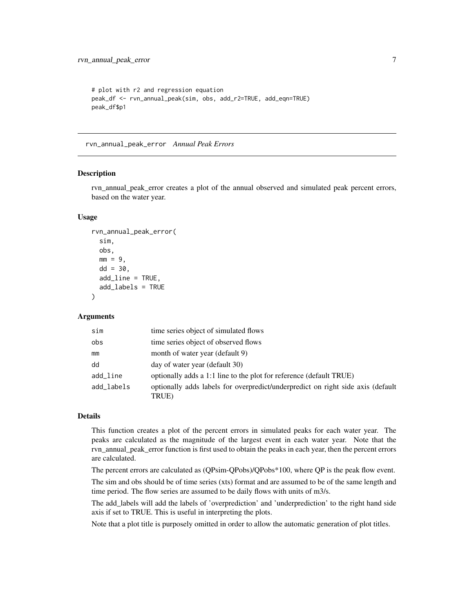```
# plot with r2 and regression equation
peak_df <- rvn_annual_peak(sim, obs, add_r2=TRUE, add_eqn=TRUE)
peak_df$p1
```
<span id="page-6-1"></span>rvn\_annual\_peak\_error *Annual Peak Errors*

#### **Description**

rvn\_annual\_peak\_error creates a plot of the annual observed and simulated peak percent errors, based on the water year.

#### Usage

```
rvn_annual_peak_error(
  sim,
  obs,
  mm = 9,
  dd = 30,add_line = TRUE,
  add_labels = TRUE
\lambda
```
# Arguments

| sim        | time series object of simulated flows                                                    |
|------------|------------------------------------------------------------------------------------------|
| obs        | time series object of observed flows                                                     |
| mm         | month of water year (default 9)                                                          |
| dd         | day of water year (default 30)                                                           |
| add_line   | optionally adds a 1:1 line to the plot for reference (default TRUE)                      |
| add labels | optionally adds labels for overpredict/underpredict on right side axis (default<br>TRUE) |

# Details

This function creates a plot of the percent errors in simulated peaks for each water year. The peaks are calculated as the magnitude of the largest event in each water year. Note that the rvn\_annual\_peak\_error function is first used to obtain the peaks in each year, then the percent errors are calculated.

The percent errors are calculated as (QPsim-QPobs)/QPobs\*100, where QP is the peak flow event.

The sim and obs should be of time series (xts) format and are assumed to be of the same length and time period. The flow series are assumed to be daily flows with units of m3/s.

The add\_labels will add the labels of 'overprediction' and 'underprediction' to the right hand side axis if set to TRUE. This is useful in interpreting the plots.

Note that a plot title is purposely omitted in order to allow the automatic generation of plot titles.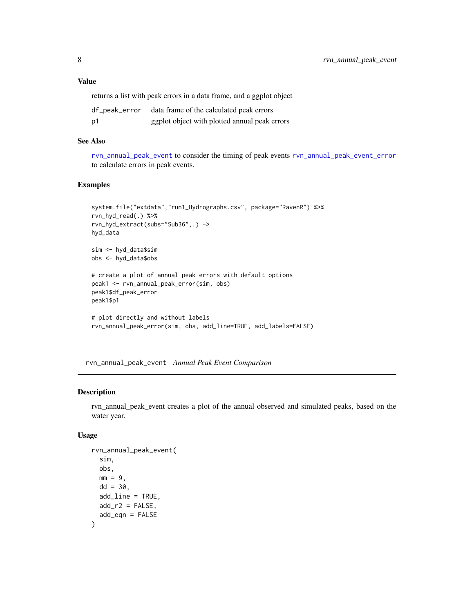### <span id="page-7-0"></span>Value

returns a list with peak errors in a data frame, and a ggplot object

| df_peak_error | data frame of the calculated peak errors      |
|---------------|-----------------------------------------------|
| p1            | ggplot object with plotted annual peak errors |

#### See Also

[rvn\\_annual\\_peak\\_event](#page-7-1) to consider the timing of peak events [rvn\\_annual\\_peak\\_event\\_error](#page-9-1) to calculate errors in peak events.

#### Examples

```
system.file("extdata","run1_Hydrographs.csv", package="RavenR") %>%
rvn_hyd_read(.) %>%
rvn_hyd_extract(subs="Sub36",.) ->
hyd_data
sim <- hyd_data$sim
obs <- hyd_data$obs
# create a plot of annual peak errors with default options
peak1 <- rvn_annual_peak_error(sim, obs)
peak1$df_peak_error
peak1$p1
# plot directly and without labels
rvn_annual_peak_error(sim, obs, add_line=TRUE, add_labels=FALSE)
```
<span id="page-7-1"></span>rvn\_annual\_peak\_event *Annual Peak Event Comparison*

#### Description

rvn\_annual\_peak\_event creates a plot of the annual observed and simulated peaks, based on the water year.

# Usage

```
rvn_annual_peak_event(
  sim,
 obs,
 mm = 9.
 dd = 30.
 add_line = TRUE,
 add_r2 = FALSE,add_eqn = FALSE
)
```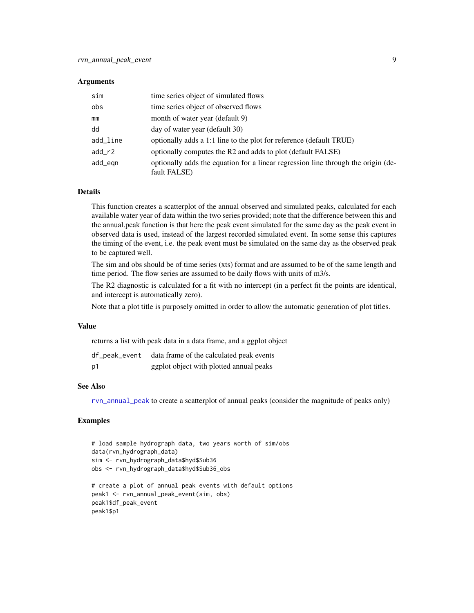#### **Arguments**

| sim      | time series object of simulated flows                                                             |
|----------|---------------------------------------------------------------------------------------------------|
| obs      | time series object of observed flows                                                              |
| mm       | month of water year (default 9)                                                                   |
| dd       | day of water year (default 30)                                                                    |
| add_line | optionally adds a 1:1 line to the plot for reference (default TRUE)                               |
| $add_r2$ | optionally computes the R2 and adds to plot (default FALSE)                                       |
| add_egn  | optionally adds the equation for a linear regression line through the origin (de-<br>fault FALSE) |

#### Details

This function creates a scatterplot of the annual observed and simulated peaks, calculated for each available water year of data within the two series provided; note that the difference between this and the annual.peak function is that here the peak event simulated for the same day as the peak event in observed data is used, instead of the largest recorded simulated event. In some sense this captures the timing of the event, i.e. the peak event must be simulated on the same day as the observed peak to be captured well.

The sim and obs should be of time series (xts) format and are assumed to be of the same length and time period. The flow series are assumed to be daily flows with units of m3/s.

The R2 diagnostic is calculated for a fit with no intercept (in a perfect fit the points are identical, and intercept is automatically zero).

Note that a plot title is purposely omitted in order to allow the automatic generation of plot titles.

#### Value

returns a list with peak data in a data frame, and a ggplot object

|    | df_peak_event data frame of the calculated peak events |
|----|--------------------------------------------------------|
| p1 | ggplot object with plotted annual peaks                |

#### See Also

[rvn\\_annual\\_peak](#page-4-1) to create a scatterplot of annual peaks (consider the magnitude of peaks only)

#### Examples

```
# load sample hydrograph data, two years worth of sim/obs
data(rvn_hydrograph_data)
sim <- rvn_hydrograph_data$hyd$Sub36
obs <- rvn_hydrograph_data$hyd$Sub36_obs
# create a plot of annual peak events with default options
peak1 <- rvn_annual_peak_event(sim, obs)
peak1$df_peak_event
peak1$p1
```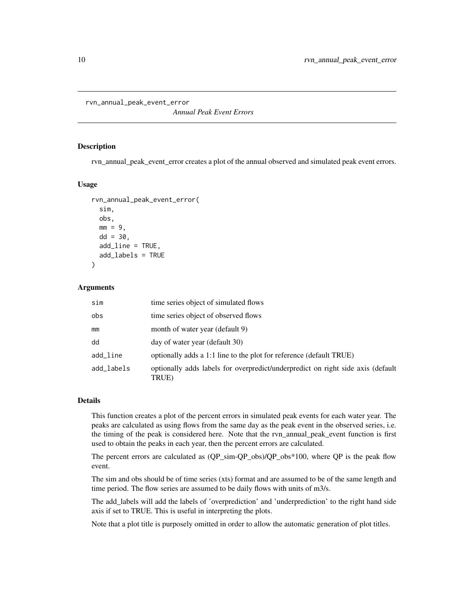<span id="page-9-1"></span><span id="page-9-0"></span>rvn\_annual\_peak\_event\_error

*Annual Peak Event Errors*

#### Description

rvn\_annual\_peak\_event\_error creates a plot of the annual observed and simulated peak event errors.

#### Usage

```
rvn_annual_peak_event_error(
  sim,
  obs,
 mm = 9,
 dd = 30,
  add_line = TRUE,
  add_labels = TRUE
)
```
#### Arguments

| sim        | time series object of simulated flows                                                    |
|------------|------------------------------------------------------------------------------------------|
| obs        | time series object of observed flows                                                     |
| mm         | month of water year (default 9)                                                          |
| dd         | day of water year (default 30)                                                           |
| add_line   | optionally adds a 1:1 line to the plot for reference (default TRUE)                      |
| add labels | optionally adds labels for overpredict/underpredict on right side axis (default<br>TRUE) |

# Details

This function creates a plot of the percent errors in simulated peak events for each water year. The peaks are calculated as using flows from the same day as the peak event in the observed series, i.e. the timing of the peak is considered here. Note that the rvn\_annual\_peak\_event function is first used to obtain the peaks in each year, then the percent errors are calculated.

The percent errors are calculated as (QP\_sim-QP\_obs)/QP\_obs\*100, where QP is the peak flow event.

The sim and obs should be of time series (xts) format and are assumed to be of the same length and time period. The flow series are assumed to be daily flows with units of m3/s.

The add\_labels will add the labels of 'overprediction' and 'underprediction' to the right hand side axis if set to TRUE. This is useful in interpreting the plots.

Note that a plot title is purposely omitted in order to allow the automatic generation of plot titles.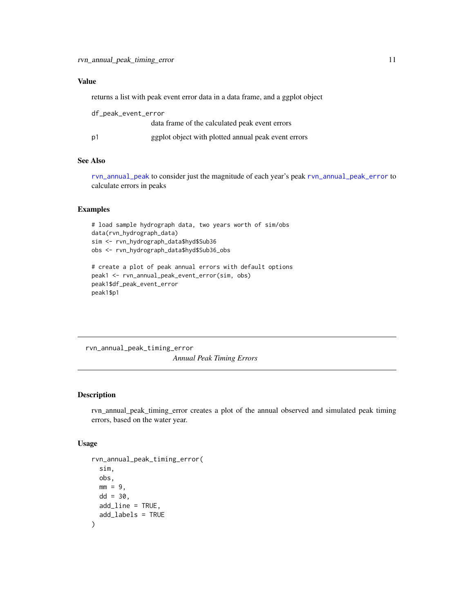# <span id="page-10-0"></span>Value

returns a list with peak event error data in a data frame, and a ggplot object

| df_peak_event_error |                                                     |
|---------------------|-----------------------------------------------------|
|                     | data frame of the calculated peak event errors      |
| p1                  | ggplot object with plotted annual peak event errors |

#### See Also

[rvn\\_annual\\_peak](#page-4-1) to consider just the magnitude of each year's peak [rvn\\_annual\\_peak\\_error](#page-6-1) to calculate errors in peaks

# Examples

```
# load sample hydrograph data, two years worth of sim/obs
data(rvn_hydrograph_data)
sim <- rvn_hydrograph_data$hyd$Sub36
obs <- rvn_hydrograph_data$hyd$Sub36_obs
# create a plot of peak annual errors with default options
peak1 <- rvn_annual_peak_event_error(sim, obs)
peak1$df_peak_event_error
peak1$p1
```
rvn\_annual\_peak\_timing\_error *Annual Peak Timing Errors*

# Description

rvn\_annual\_peak\_timing\_error creates a plot of the annual observed and simulated peak timing errors, based on the water year.

# Usage

```
rvn_annual_peak_timing_error(
  sim,
  obs,
 mm = 9,dd = 30.
 add_line = TRUE,
  add_labels = TRUE
)
```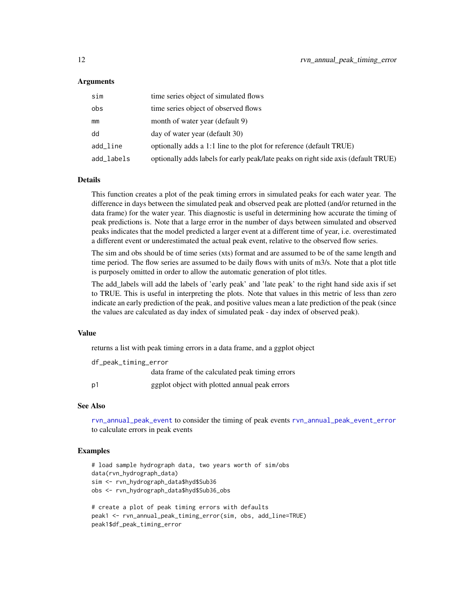#### Arguments

| sim        | time series object of simulated flows                                              |
|------------|------------------------------------------------------------------------------------|
| obs        | time series object of observed flows                                               |
| mm         | month of water year (default 9)                                                    |
| dd         | day of water year (default 30)                                                     |
| add_line   | optionally adds a 1:1 line to the plot for reference (default TRUE)                |
| add_labels | optionally adds labels for early peak/late peaks on right side axis (default TRUE) |

#### Details

This function creates a plot of the peak timing errors in simulated peaks for each water year. The difference in days between the simulated peak and observed peak are plotted (and/or returned in the data frame) for the water year. This diagnostic is useful in determining how accurate the timing of peak predictions is. Note that a large error in the number of days between simulated and observed peaks indicates that the model predicted a larger event at a different time of year, i.e. overestimated a different event or underestimated the actual peak event, relative to the observed flow series.

The sim and obs should be of time series (xts) format and are assumed to be of the same length and time period. The flow series are assumed to be daily flows with units of m3/s. Note that a plot title is purposely omitted in order to allow the automatic generation of plot titles.

The add\_labels will add the labels of 'early peak' and 'late peak' to the right hand side axis if set to TRUE. This is useful in interpreting the plots. Note that values in this metric of less than zero indicate an early prediction of the peak, and positive values mean a late prediction of the peak (since the values are calculated as day index of simulated peak - day index of observed peak).

#### Value

returns a list with peak timing errors in a data frame, and a ggplot object

| df_peak_timing_error |                                                 |
|----------------------|-------------------------------------------------|
|                      | data frame of the calculated peak timing errors |
| p <sub>1</sub>       | ggplot object with plotted annual peak errors   |

# See Also

[rvn\\_annual\\_peak\\_event](#page-7-1) to consider the timing of peak events [rvn\\_annual\\_peak\\_event\\_error](#page-9-1) to calculate errors in peak events

# Examples

peak1\$df\_peak\_timing\_error

```
# load sample hydrograph data, two years worth of sim/obs
data(rvn_hydrograph_data)
sim <- rvn_hydrograph_data$hyd$Sub36
obs <- rvn_hydrograph_data$hyd$Sub36_obs
# create a plot of peak timing errors with defaults
peak1 <- rvn_annual_peak_timing_error(sim, obs, add_line=TRUE)
```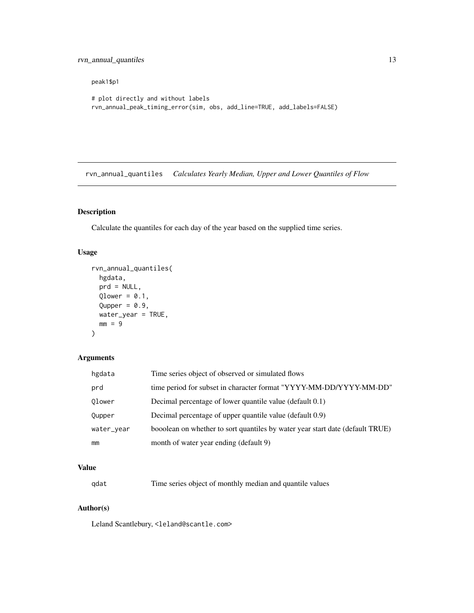#### <span id="page-12-0"></span>peak1\$p1

```
# plot directly and without labels
rvn_annual_peak_timing_error(sim, obs, add_line=TRUE, add_labels=FALSE)
```
<span id="page-12-1"></span>rvn\_annual\_quantiles *Calculates Yearly Median, Upper and Lower Quantiles of Flow*

# Description

Calculate the quantiles for each day of the year based on the supplied time series.

# Usage

```
rvn_annual_quantiles(
 hgdata,
 prd = NULL,Qlower = 0.1,
 Qupper = 0.9,water_year = TRUE,
 mm = 9)
```
# Arguments

| hgdata     | Time series object of observed or simulated flows                             |
|------------|-------------------------------------------------------------------------------|
| prd        | time period for subset in character format "YYYY-MM-DD/YYYY-MM-DD"            |
| Olower     | Decimal percentage of lower quantile value (default 0.1)                      |
| Qupper     | Decimal percentage of upper quantile value (default 0.9)                      |
| water_year | booolean on whether to sort quantiles by water year start date (default TRUE) |
| mm         | month of water year ending (default 9)                                        |

# Value

| qdat |  |  | Time series object of monthly median and quantile values |
|------|--|--|----------------------------------------------------------|
|------|--|--|----------------------------------------------------------|

# Author(s)

Leland Scantlebury, <leland@scantle.com>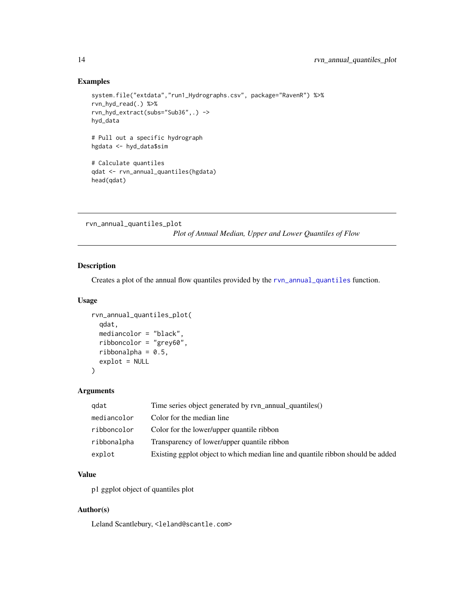### Examples

```
system.file("extdata","run1_Hydrographs.csv", package="RavenR") %>%
rvn_hyd_read(.) %>%
rvn_hyd_extract(subs="Sub36",.) ->
hyd_data
# Pull out a specific hydrograph
hgdata <- hyd_data$sim
# Calculate quantiles
qdat <- rvn_annual_quantiles(hgdata)
head(qdat)
```
rvn\_annual\_quantiles\_plot

*Plot of Annual Median, Upper and Lower Quantiles of Flow*

# Description

Creates a plot of the annual flow quantiles provided by the [rvn\\_annual\\_quantiles](#page-12-1) function.

#### Usage

```
rvn_annual_quantiles_plot(
 qdat,
 mediancolor = "black",
 ribboncolor = "grey60",
 ribbonalpha = 0.5,
  explot = NULL)
```
# Arguments

| gdat        | Time series object generated by rvn_annual_quantiles()                          |
|-------------|---------------------------------------------------------------------------------|
| mediancolor | Color for the median line                                                       |
| ribboncolor | Color for the lower/upper quantile ribbon                                       |
| ribbonalpha | Transparency of lower/upper quantile ribbon                                     |
| explot      | Existing ggplot object to which median line and quantile ribbon should be added |

# Value

p1 ggplot object of quantiles plot

#### Author(s)

Leland Scantlebury, <leland@scantle.com>

<span id="page-13-0"></span>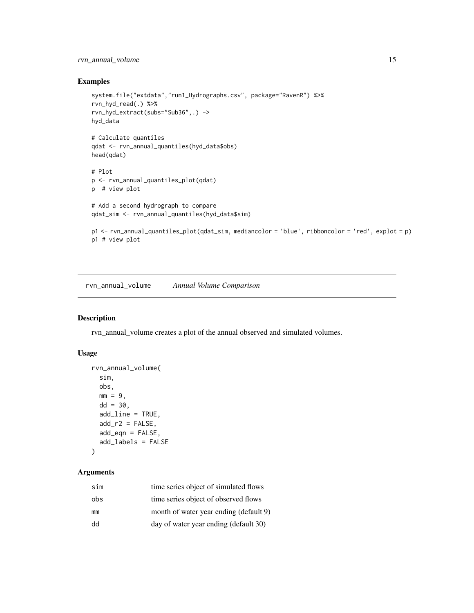# <span id="page-14-0"></span>rvn\_annual\_volume 15

# Examples

```
system.file("extdata","run1_Hydrographs.csv", package="RavenR") %>%
rvn_hyd_read(.) %>%
rvn_hyd_extract(subs="Sub36",.) ->
hyd_data
# Calculate quantiles
qdat <- rvn_annual_quantiles(hyd_data$obs)
head(qdat)
# Plot
p <- rvn_annual_quantiles_plot(qdat)
p # view plot
# Add a second hydrograph to compare
qdat_sim <- rvn_annual_quantiles(hyd_data$sim)
p1 <- rvn_annual_quantiles_plot(qdat_sim, mediancolor = 'blue', ribboncolor = 'red', explot = p)
p1 # view plot
```
<span id="page-14-1"></span>rvn\_annual\_volume *Annual Volume Comparison*

#### Description

rvn\_annual\_volume creates a plot of the annual observed and simulated volumes.

#### Usage

```
rvn_annual_volume(
  sim,
  obs,
 mm = 9,dd = 30,add_line = TRUE,
  add_r2 = FALSE,add_eqn = FALSE,
  add_labels = FALSE
\mathcal{L}
```
# Arguments

| sim | time series object of simulated flows  |
|-----|----------------------------------------|
| obs | time series object of observed flows   |
| mm  | month of water year ending (default 9) |
| dd  | day of water year ending (default 30)  |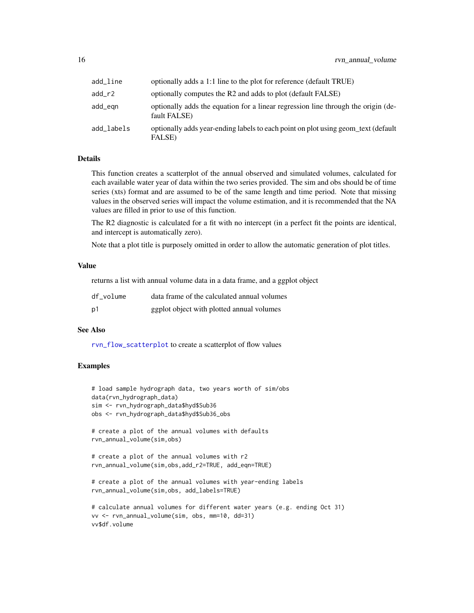| add_line   | optionally adds a 1:1 line to the plot for reference (default TRUE)                               |
|------------|---------------------------------------------------------------------------------------------------|
| add_r2     | optionally computes the R2 and adds to plot (default FALSE)                                       |
| add_egn    | optionally adds the equation for a linear regression line through the origin (de-<br>fault FALSE) |
| add_labels | optionally adds year-ending labels to each point on plot using geom text (default<br>FALSE)       |

#### Details

This function creates a scatterplot of the annual observed and simulated volumes, calculated for each available water year of data within the two series provided. The sim and obs should be of time series (xts) format and are assumed to be of the same length and time period. Note that missing values in the observed series will impact the volume estimation, and it is recommended that the NA values are filled in prior to use of this function.

The R2 diagnostic is calculated for a fit with no intercept (in a perfect fit the points are identical, and intercept is automatically zero).

Note that a plot title is purposely omitted in order to allow the automatic generation of plot titles.

#### Value

returns a list with annual volume data in a data frame, and a ggplot object

| df volume | data frame of the calculated annual volumes |
|-----------|---------------------------------------------|
| p1        | ggplot object with plotted annual volumes   |

#### See Also

[rvn\\_flow\\_scatterplot](#page-29-1) to create a scatterplot of flow values

# Examples

vv\$df.volume

```
# load sample hydrograph data, two years worth of sim/obs
data(rvn_hydrograph_data)
sim <- rvn_hydrograph_data$hyd$Sub36
obs <- rvn_hydrograph_data$hyd$Sub36_obs
# create a plot of the annual volumes with defaults
rvn_annual_volume(sim,obs)
# create a plot of the annual volumes with r2
rvn_annual_volume(sim,obs,add_r2=TRUE, add_eqn=TRUE)
# create a plot of the annual volumes with year-ending labels
rvn_annual_volume(sim,obs, add_labels=TRUE)
# calculate annual volumes for different water years (e.g. ending Oct 31)
vv <- rvn_annual_volume(sim, obs, mm=10, dd=31)
```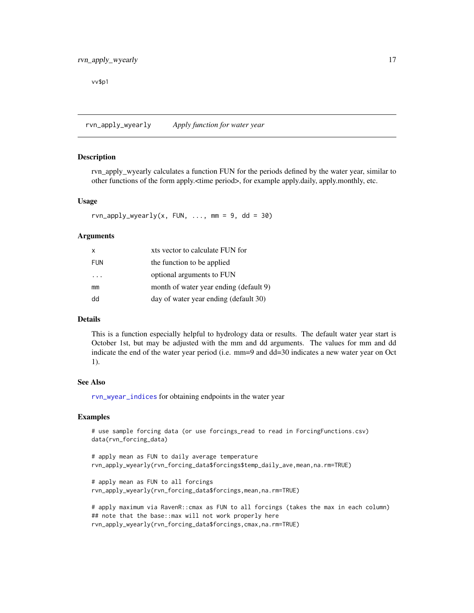<span id="page-16-0"></span>vv\$p1

<span id="page-16-1"></span>rvn\_apply\_wyearly *Apply function for water year*

# Description

rvn apply wyearly calculates a function FUN for the periods defined by the water year, similar to other functions of the form apply.<time period>, for example apply.daily, apply.monthly, etc.

#### Usage

```
rvn<sub>-apply_wyearly(x, FUN, ..., mm = 9, dd = 30)</sub>
```
#### Arguments

| X          | xts vector to calculate FUN for        |
|------------|----------------------------------------|
| <b>FUN</b> | the function to be applied             |
| $\cdots$   | optional arguments to FUN              |
| mm         | month of water year ending (default 9) |
| dd         | day of water year ending (default 30)  |

#### Details

This is a function especially helpful to hydrology data or results. The default water year start is October 1st, but may be adjusted with the mm and dd arguments. The values for mm and dd indicate the end of the water year period (i.e. mm=9 and dd=30 indicates a new water year on Oct 1).

#### See Also

[rvn\\_wyear\\_indices](#page-96-1) for obtaining endpoints in the water year

# Examples

# use sample forcing data (or use forcings\_read to read in ForcingFunctions.csv) data(rvn\_forcing\_data)

# apply mean as FUN to daily average temperature rvn\_apply\_wyearly(rvn\_forcing\_data\$forcings\$temp\_daily\_ave,mean,na.rm=TRUE)

```
# apply mean as FUN to all forcings
rvn_apply_wyearly(rvn_forcing_data$forcings,mean,na.rm=TRUE)
```
# apply maximum via RavenR::cmax as FUN to all forcings (takes the max in each column) ## note that the base::max will not work properly here rvn\_apply\_wyearly(rvn\_forcing\_data\$forcings,cmax,na.rm=TRUE)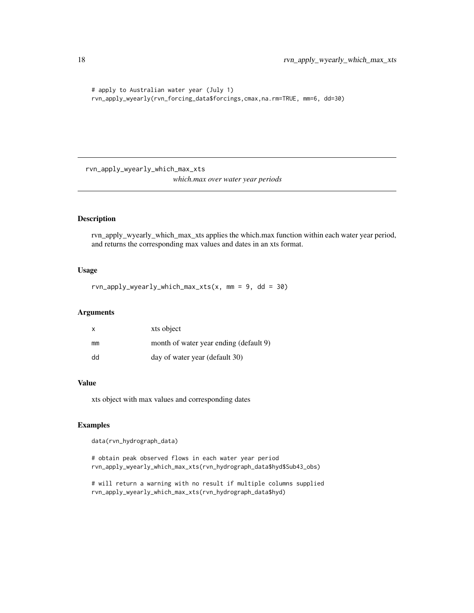```
# apply to Australian water year (July 1)
rvn_apply_wyearly(rvn_forcing_data$forcings,cmax,na.rm=TRUE, mm=6, dd=30)
```
rvn\_apply\_wyearly\_which\_max\_xts *which.max over water year periods*

# Description

rvn\_apply\_wyearly\_which\_max\_xts applies the which.max function within each water year period, and returns the corresponding max values and dates in an xts format.

# Usage

 $rvn\_\napply\_\nwyearly\_\nwhich\_\nmax_x_t(s, \, mm = 9, \, dd = 30)$ 

#### Arguments

| $\mathsf{x}$ | xts object                             |
|--------------|----------------------------------------|
| mm           | month of water year ending (default 9) |
| dd           | day of water year (default 30)         |

# Value

xts object with max values and corresponding dates

# Examples

data(rvn\_hydrograph\_data)

# obtain peak observed flows in each water year period rvn\_apply\_wyearly\_which\_max\_xts(rvn\_hydrograph\_data\$hyd\$Sub43\_obs)

# will return a warning with no result if multiple columns supplied rvn\_apply\_wyearly\_which\_max\_xts(rvn\_hydrograph\_data\$hyd)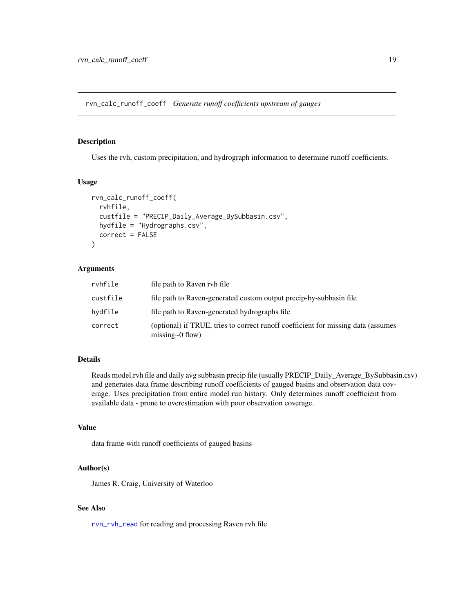<span id="page-18-0"></span>rvn\_calc\_runoff\_coeff *Generate runoff coefficients upstream of gauges*

# Description

Uses the rvh, custom precipitation, and hydrograph information to determine runoff coefficients.

#### Usage

```
rvn_calc_runoff_coeff(
  rvhfile,
  custfile = "PRECIP_Daily_Average_BySubbasin.csv",
 hydfile = "Hydrographs.csv",
 correct = FALSE
)
```
# Arguments

| rvhfile  | file path to Raven ryh file                                                                                 |
|----------|-------------------------------------------------------------------------------------------------------------|
| custfile | file path to Raven-generated custom output precip-by-subbasin file                                          |
| hydfile  | file path to Raven-generated hydrographs file                                                               |
| correct  | (optional) if TRUE, tries to correct runoff coefficient for missing data (assumes<br>missing $\sim$ 0 flow) |

# Details

Reads model.rvh file and daily avg subbasin precip file (usually PRECIP\_Daily\_Average\_BySubbasin.csv) and generates data frame describing runoff coefficients of gauged basins and observation data coverage. Uses precipitation from entire model run history. Only determines runoff coefficient from available data - prone to overestimation with poor observation coverage.

# Value

data frame with runoff coefficients of gauged basins

#### Author(s)

James R. Craig, University of Waterloo

#### See Also

[rvn\\_rvh\\_read](#page-62-1) for reading and processing Raven rvh file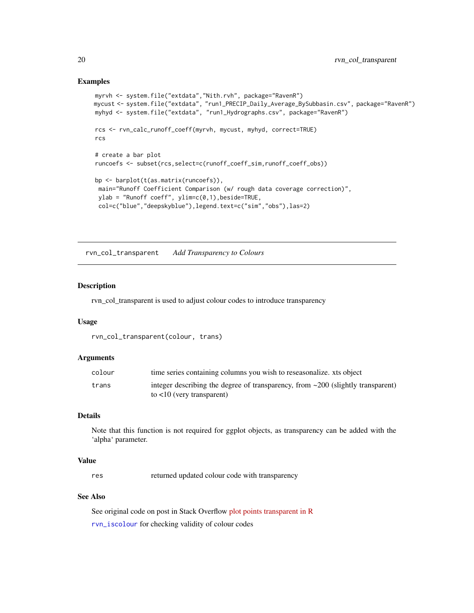#### Examples

```
myrvh <- system.file("extdata","Nith.rvh", package="RavenR")
mycust <- system.file("extdata", "run1_PRECIP_Daily_Average_BySubbasin.csv", package="RavenR")
myhyd <- system.file("extdata", "run1_Hydrographs.csv", package="RavenR")
rcs <- rvn_calc_runoff_coeff(myrvh, mycust, myhyd, correct=TRUE)
rcs
# create a bar plot
runcoefs <- subset(rcs,select=c(runoff_coeff_sim,runoff_coeff_obs))
bp <- barplot(t(as.matrix(runcoefs)),
 main="Runoff Coefficient Comparison (w/ rough data coverage correction)",
 ylab = "Runoff coeff", ylim=c(0,1), beside=TRUE,
 col=c("blue","deepskyblue"),legend.text=c("sim","obs"),las=2)
```
rvn\_col\_transparent *Add Transparency to Colours*

#### Description

rvn\_col\_transparent is used to adjust colour codes to introduce transparency

#### Usage

```
rvn_col_transparent(colour, trans)
```
# Arguments

| colour | time series containing columns you wish to reseasonalize, xts object                     |
|--------|------------------------------------------------------------------------------------------|
| trans  | integer describing the degree of transparency, from $\approx$ 200 (slightly transparent) |
|        | to $\langle 10 \rangle$ (very transparent)                                               |

# **Details**

Note that this function is not required for ggplot objects, as transparency can be added with the 'alpha' parameter.

# Value

res returned updated colour code with transparency

#### See Also

See original code on post in Stack Overflow [plot points transparent in R](http://stackoverflow.com/questions/12995683/any-way-to-make-plot-points-in-scatterplot-more-transparent-in-rmaking) [rvn\\_iscolour](#page-45-1) for checking validity of colour codes

<span id="page-19-0"></span>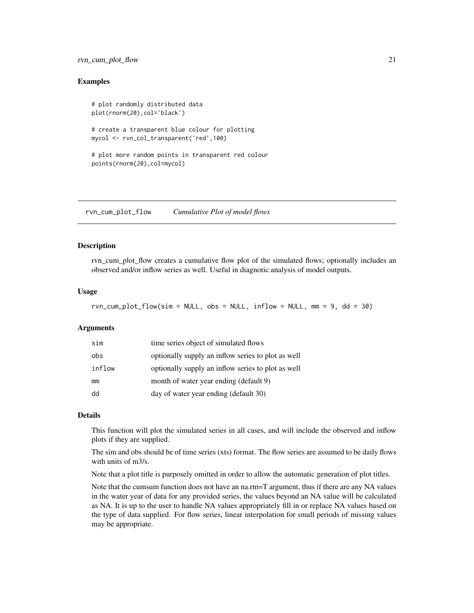# <span id="page-20-0"></span>rvn\_cum\_plot\_flow 21

### Examples

```
# plot randomly distributed data
plot(rnorm(20),col='black')
# create a transparent blue colour for plotting
mycol <- rvn_col_transparent('red',100)
# plot more random points in transparent red colour
points(rnorm(20),col=mycol)
```
<span id="page-20-1"></span>rvn\_cum\_plot\_flow *Cumulative Plot of model flows*

#### Description

rvn\_cum\_plot\_flow creates a cumulative flow plot of the simulated flows; optionally includes an observed and/or inflow series as well. Useful in diagnotic analysis of model outputs.

#### Usage

```
rvn\_cum\_plot\_flow(sim = NULL, obs = NULL, inflow = NULL, mm = 9, dd = 30)
```
#### **Arguments**

| sim    | time series object of simulated flows              |
|--------|----------------------------------------------------|
| obs    | optionally supply an inflow series to plot as well |
| inflow | optionally supply an inflow series to plot as well |
| mm     | month of water year ending (default 9)             |
| dd     | day of water year ending (default 30)              |

# Details

This function will plot the simulated series in all cases, and will include the observed and inflow plots if they are supplied.

The sim and obs should be of time series (xts) format. The flow series are assumed to be daily flows with units of m3/s.

Note that a plot title is purposely omitted in order to allow the automatic generation of plot titles.

Note that the cumsum function does not have an na.rm=T argument, thus if there are any NA values in the water year of data for any provided series, the values beyond an NA value will be calculated as NA. It is up to the user to handle NA values appropriately fill in or replace NA values based on the type of data supplied. For flow series, linear interpolation for small periods of missing values may be appropriate.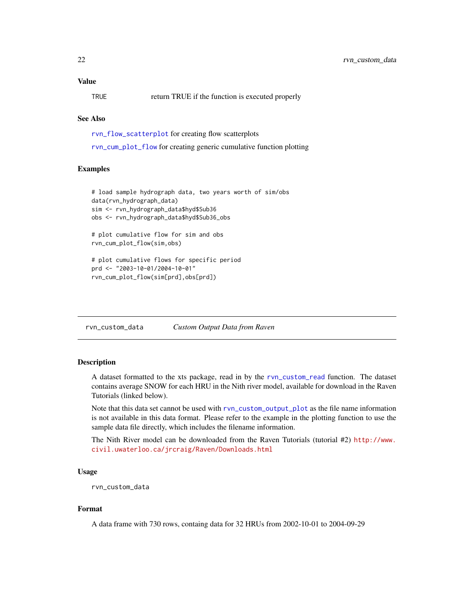# <span id="page-21-0"></span>Value

TRUE return TRUE if the function is executed properly

# See Also

[rvn\\_flow\\_scatterplot](#page-29-1) for creating flow scatterplots

[rvn\\_cum\\_plot\\_flow](#page-20-1) for creating generic cumulative function plotting

#### Examples

```
# load sample hydrograph data, two years worth of sim/obs
data(rvn_hydrograph_data)
sim <- rvn_hydrograph_data$hyd$Sub36
obs <- rvn_hydrograph_data$hyd$Sub36_obs
# plot cumulative flow for sim and obs
rvn_cum_plot_flow(sim,obs)
```
# plot cumulative flows for specific period prd <- "2003-10-01/2004-10-01" rvn\_cum\_plot\_flow(sim[prd],obs[prd])

rvn\_custom\_data *Custom Output Data from Raven*

# Description

A dataset formatted to the xts package, read in by the [rvn\\_custom\\_read](#page-23-1) function. The dataset contains average SNOW for each HRU in the Nith river model, available for download in the Raven Tutorials (linked below).

Note that this data set cannot be used with [rvn\\_custom\\_output\\_plot](#page-22-1) as the file name information is not available in this data format. Please refer to the example in the plotting function to use the sample data file directly, which includes the filename information.

The Nith River model can be downloaded from the Raven Tutorials (tutorial #2) [http://www.](http://www.civil.uwaterloo.ca/jrcraig/Raven/Downloads.html) [civil.uwaterloo.ca/jrcraig/Raven/Downloads.html](http://www.civil.uwaterloo.ca/jrcraig/Raven/Downloads.html)

#### Usage

```
rvn_custom_data
```
#### Format

A data frame with 730 rows, containg data for 32 HRUs from 2002-10-01 to 2004-09-29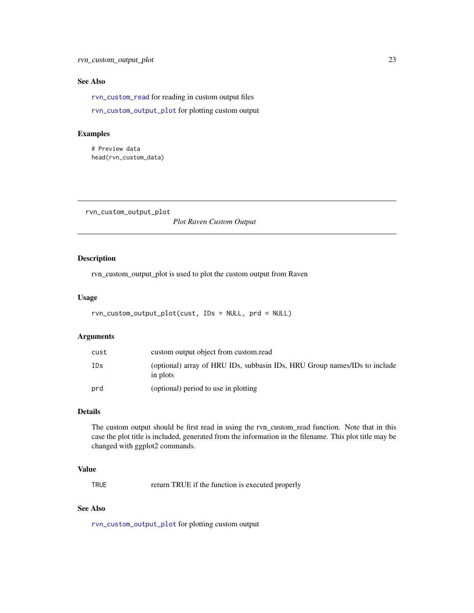# <span id="page-22-0"></span>See Also

[rvn\\_custom\\_read](#page-23-1) for reading in custom output files

[rvn\\_custom\\_output\\_plot](#page-22-1) for plotting custom output

# Examples

# Preview data head(rvn\_custom\_data)

<span id="page-22-1"></span>rvn\_custom\_output\_plot

*Plot Raven Custom Output*

# Description

rvn\_custom\_output\_plot is used to plot the custom output from Raven

# Usage

```
rvn_custom_output_plot(cust, IDs = NULL, prd = NULL)
```
# Arguments

| cust | custom output object from custom.read                                                 |
|------|---------------------------------------------------------------------------------------|
| IDs  | (optional) array of HRU IDs, subbasin IDs, HRU Group names/IDs to include<br>in plots |
| prd  | (optional) period to use in plotting                                                  |

# Details

The custom output should be first read in using the rvn\_custom\_read function. Note that in this case the plot title is included, generated from the information in the filename. This plot title may be changed with ggplot2 commands.

### Value

TRUE return TRUE if the function is executed properly

#### See Also

[rvn\\_custom\\_output\\_plot](#page-22-1) for plotting custom output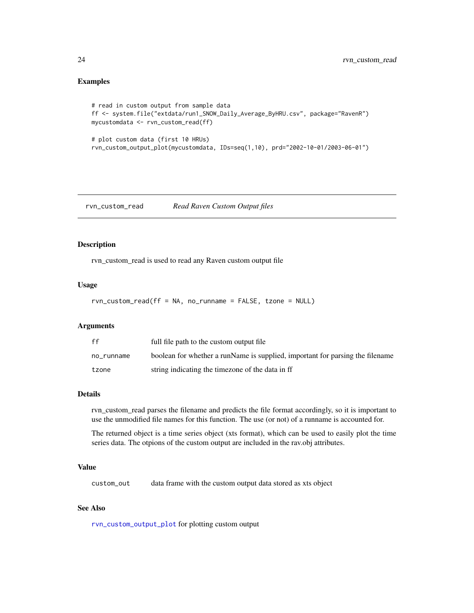# <span id="page-23-0"></span>Examples

```
# read in custom output from sample data
ff <- system.file("extdata/run1_SNOW_Daily_Average_ByHRU.csv", package="RavenR")
mycustomdata <- rvn_custom_read(ff)
# plot custom data (first 10 HRUs)
rvn_custom_output_plot(mycustomdata, IDs=seq(1,10), prd="2002-10-01/2003-06-01")
```
<span id="page-23-1"></span>rvn\_custom\_read *Read Raven Custom Output files*

#### Description

rvn\_custom\_read is used to read any Raven custom output file

# Usage

```
rvn_custom_read(ff = NA, no_runname = FALSE, tzone = NULL)
```
# Arguments

| ff         | full file path to the custom output file                                      |
|------------|-------------------------------------------------------------------------------|
| no runname | boolean for whether a runName is supplied, important for parsing the filename |
| tzone      | string indicating the timezone of the data in ff                              |

#### Details

rvn\_custom\_read parses the filename and predicts the file format accordingly, so it is important to use the unmodified file names for this function. The use (or not) of a runname is accounted for.

The returned object is a time series object (xts format), which can be used to easily plot the time series data. The otpions of the custom output are included in the rav.obj attributes.

#### Value

custom\_out data frame with the custom output data stored as xts object

#### See Also

[rvn\\_custom\\_output\\_plot](#page-22-1) for plotting custom output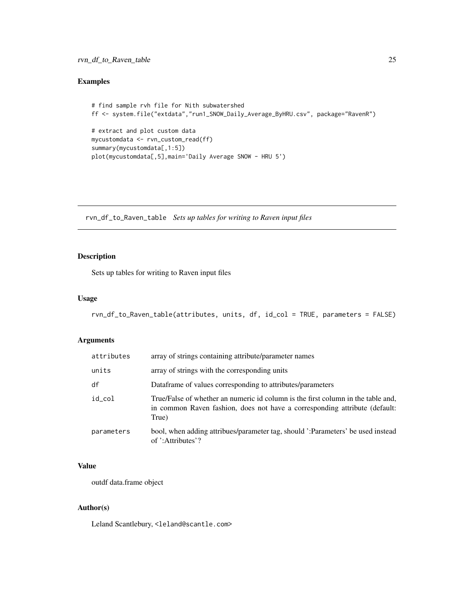# <span id="page-24-0"></span>rvn\_df\_to\_Raven\_table 25

# Examples

```
# find sample rvh file for Nith subwatershed
ff <- system.file("extdata","run1_SNOW_Daily_Average_ByHRU.csv", package="RavenR")
# extract and plot custom data
mycustomdata <- rvn_custom_read(ff)
summary(mycustomdata[,1:5])
plot(mycustomdata[,5],main='Daily Average SNOW - HRU 5')
```
rvn\_df\_to\_Raven\_table *Sets up tables for writing to Raven input files*

# Description

Sets up tables for writing to Raven input files

# Usage

```
rvn_df_to_Raven_table(attributes, units, df, id_col = TRUE, parameters = FALSE)
```
# Arguments

| attributes | array of strings containing attribute/parameter names                                                                                                                   |
|------------|-------------------------------------------------------------------------------------------------------------------------------------------------------------------------|
| units      | array of strings with the corresponding units                                                                                                                           |
| df         | Dataframe of values corresponding to attributes/parameters                                                                                                              |
| id_col     | True/False of whether an numeric id column is the first column in the table and,<br>in common Raven fashion, does not have a corresponding attribute (default:<br>True) |
| parameters | bool, when adding attribues/parameter tag, should ':Parameters' be used instead<br>of ':Attributes'?                                                                    |

# Value

outdf data.frame object

# Author(s)

Leland Scantlebury, <leland@scantle.com>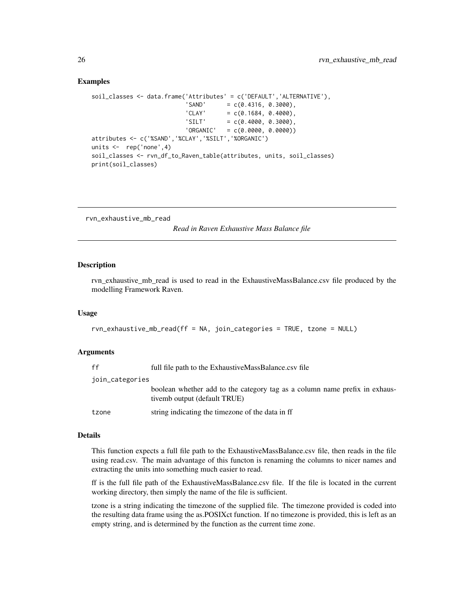#### Examples

```
soil_classes <- data.frame('Attributes' = c('DEFAULT','ALTERNATIVE'),
                          'SAND' = c(0.4316, 0.3000),
                          'CLAY' = c(0.1684, 0.4000),'SILT' = c(0.4000, 0.3000),'ORGANIC' = c(0.0000, 0.0000))attributes <- c('%SAND','%CLAY','%SILT','%ORGANIC')
units <- rep('none',4)
soil_classes <- rvn_df_to_Raven_table(attributes, units, soil_classes)
print(soil_classes)
```
<span id="page-25-1"></span>rvn\_exhaustive\_mb\_read

*Read in Raven Exhaustive Mass Balance file*

#### Description

rvn\_exhaustive\_mb\_read is used to read in the ExhaustiveMassBalance.csv file produced by the modelling Framework Raven.

#### Usage

```
rvn_exhaustive_mb_read(ff = NA, join_categories = TRUE, tzone = NULL)
```
#### Arguments

| ff              | full file path to the ExhaustiveMassBalance.csv file                                                       |
|-----------------|------------------------------------------------------------------------------------------------------------|
| join_categories |                                                                                                            |
|                 | boolean whether add to the category tag as a column name prefix in exhaus-<br>tivemb output (default TRUE) |
| tzone           | string indicating the timezone of the data in ff                                                           |

#### Details

This function expects a full file path to the ExhaustiveMassBalance.csv file, then reads in the file using read.csv. The main advantage of this functon is renaming the columns to nicer names and extracting the units into something much easier to read.

ff is the full file path of the ExhaustiveMassBalance.csv file. If the file is located in the current working directory, then simply the name of the file is sufficient.

tzone is a string indicating the timezone of the supplied file. The timezone provided is coded into the resulting data frame using the as.POSIXct function. If no timezone is provided, this is left as an empty string, and is determined by the function as the current time zone.

<span id="page-25-0"></span>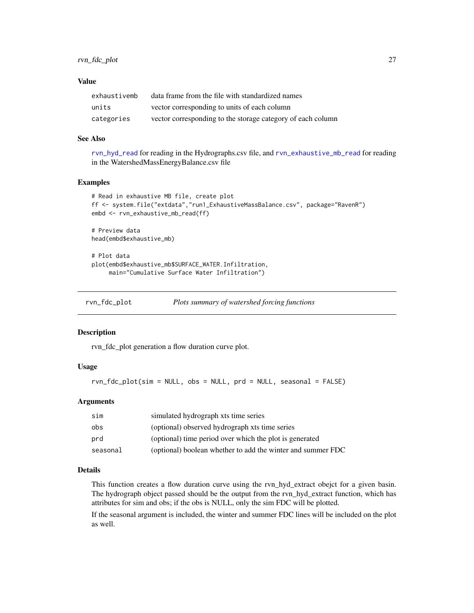# <span id="page-26-0"></span>Value

| exhaustivemb | data frame from the file with standardized names            |
|--------------|-------------------------------------------------------------|
| units        | vector corresponding to units of each column                |
| categories   | vector corresponding to the storage category of each column |

#### See Also

[rvn\\_hyd\\_read](#page-44-1) for reading in the Hydrographs.csv file, and [rvn\\_exhaustive\\_mb\\_read](#page-25-1) for reading in the WatershedMassEnergyBalance.csv file

# Examples

```
# Read in exhaustive MB file, create plot
ff <- system.file("extdata","run1_ExhaustiveMassBalance.csv", package="RavenR")
embd <- rvn_exhaustive_mb_read(ff)
```

```
# Preview data
head(embd$exhaustive_mb)
```

```
# Plot data
plot(embd$exhaustive_mb$SURFACE_WATER.Infiltration,
     main="Cumulative Surface Water Infiltration")
```

| rvn_fdc_plot |  | Plots summary of watershed forcing functions |
|--------------|--|----------------------------------------------|
|              |  |                                              |

#### Description

rvn\_fdc\_plot generation a flow duration curve plot.

# Usage

rvn\_fdc\_plot(sim = NULL, obs = NULL, prd = NULL, seasonal = FALSE)

### Arguments

| sim      | simulated hydrograph xts time series                        |
|----------|-------------------------------------------------------------|
| obs      | (optional) observed hydrograph xts time series              |
| prd      | (optional) time period over which the plot is generated     |
| seasonal | (optional) boolean whether to add the winter and summer FDC |

#### Details

This function creates a flow duration curve using the rvn\_hyd\_extract obejct for a given basin. The hydrograph object passed should be the output from the rvn\_hyd\_extract function, which has attributes for sim and obs; if the obs is NULL, only the sim FDC will be plotted.

If the seasonal argument is included, the winter and summer FDC lines will be included on the plot as well.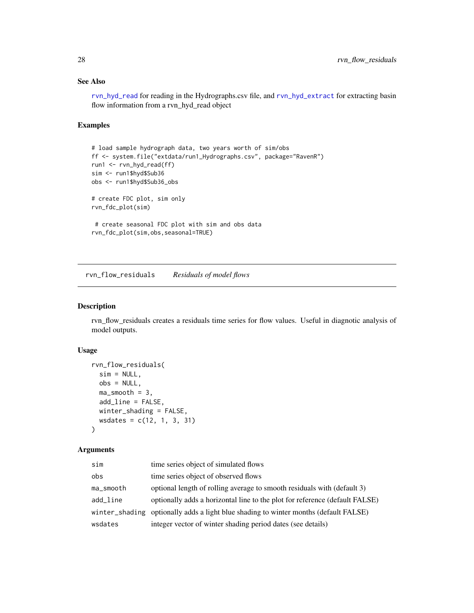# See Also

[rvn\\_hyd\\_read](#page-44-1) for reading in the Hydrographs.csv file, and [rvn\\_hyd\\_extract](#page-41-1) for extracting basin flow information from a rvn\_hyd\_read object

# Examples

```
# load sample hydrograph data, two years worth of sim/obs
ff <- system.file("extdata/run1_Hydrographs.csv", package="RavenR")
run1 <- rvn_hyd_read(ff)
sim <- run1$hyd$Sub36
obs <- run1$hyd$Sub36_obs
# create FDC plot, sim only
rvn_fdc_plot(sim)
 # create seasonal FDC plot with sim and obs data
rvn_fdc_plot(sim,obs,seasonal=TRUE)
```
rvn\_flow\_residuals *Residuals of model flows*

# Description

rvn\_flow\_residuals creates a residuals time series for flow values. Useful in diagnotic analysis of model outputs.

# Usage

```
rvn_flow_residuals(
 sim = NULL,
 obs = NULL,ma_smooth = 3,
 add_line = FALSE,
 winter_shading = FALSE,
 wsdates = c(12, 1, 3, 31))
```
### Arguments

| sim       | time series object of simulated flows                                                |
|-----------|--------------------------------------------------------------------------------------|
| obs       | time series object of observed flows                                                 |
| ma_smooth | optional length of rolling average to smooth residuals with (default 3)              |
| add_line  | optionally adds a horizontal line to the plot for reference (default FALSE)          |
|           | winter_shading optionally adds a light blue shading to winter months (default FALSE) |
| wsdates   | integer vector of winter shading period dates (see details)                          |

<span id="page-27-0"></span>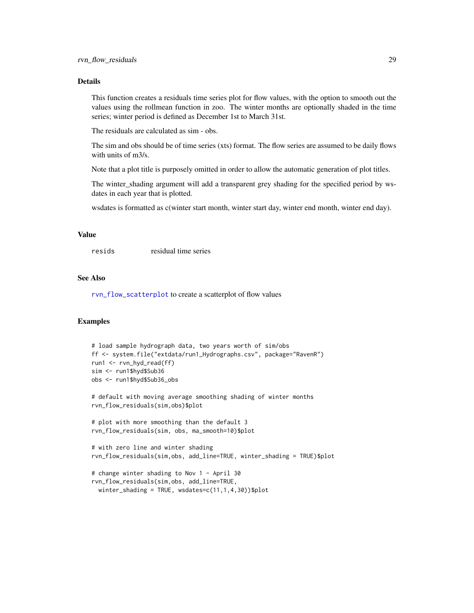# Details

This function creates a residuals time series plot for flow values, with the option to smooth out the values using the rollmean function in zoo. The winter months are optionally shaded in the time series; winter period is defined as December 1st to March 31st.

The residuals are calculated as sim - obs.

The sim and obs should be of time series (xts) format. The flow series are assumed to be daily flows with units of m3/s.

Note that a plot title is purposely omitted in order to allow the automatic generation of plot titles.

The winter shading argument will add a transparent grey shading for the specified period by wsdates in each year that is plotted.

wsdates is formatted as c(winter start month, winter start day, winter end month, winter end day).

# Value

resids residual time series

#### See Also

[rvn\\_flow\\_scatterplot](#page-29-1) to create a scatterplot of flow values

#### Examples

```
# load sample hydrograph data, two years worth of sim/obs
ff <- system.file("extdata/run1_Hydrographs.csv", package="RavenR")
run1 <- rvn_hyd_read(ff)
sim <- run1$hyd$Sub36
obs <- run1$hyd$Sub36_obs
# default with moving average smoothing shading of winter months
rvn_flow_residuals(sim,obs)$plot
# plot with more smoothing than the default 3
rvn_flow_residuals(sim, obs, ma_smooth=10)$plot
# with zero line and winter shading
rvn_flow_residuals(sim,obs, add_line=TRUE, winter_shading = TRUE)$plot
# change winter shading to Nov 1 - April 30
rvn_flow_residuals(sim,obs, add_line=TRUE,
 winter_shading = TRUE, wsdates=c(11,1,4,30))$plot
```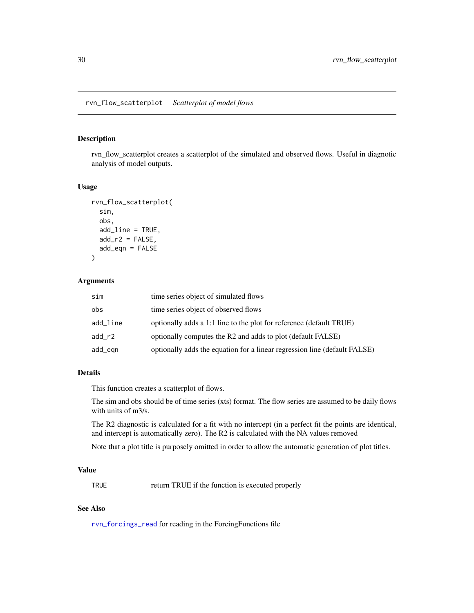#### <span id="page-29-1"></span><span id="page-29-0"></span>Description

rvn\_flow\_scatterplot creates a scatterplot of the simulated and observed flows. Useful in diagnotic analysis of model outputs.

# Usage

```
rvn_flow_scatterplot(
  sim,
  obs,
  add_line = TRUE,
  add_r2 = FALSE,add_eqn = FALSE
\lambda
```
# Arguments

| sim      | time series object of simulated flows                                     |
|----------|---------------------------------------------------------------------------|
| obs      | time series object of observed flows                                      |
| add_line | optionally adds a 1:1 line to the plot for reference (default TRUE)       |
| $add_r2$ | optionally computes the R2 and adds to plot (default FALSE)               |
| add_egn  | optionally adds the equation for a linear regression line (default FALSE) |

### Details

This function creates a scatterplot of flows.

The sim and obs should be of time series (xts) format. The flow series are assumed to be daily flows with units of m3/s.

The R2 diagnostic is calculated for a fit with no intercept (in a perfect fit the points are identical, and intercept is automatically zero). The R2 is calculated with the NA values removed

Note that a plot title is purposely omitted in order to allow the automatic generation of plot titles.

#### Value

TRUE return TRUE if the function is executed properly

#### See Also

[rvn\\_forcings\\_read](#page-32-1) for reading in the ForcingFunctions file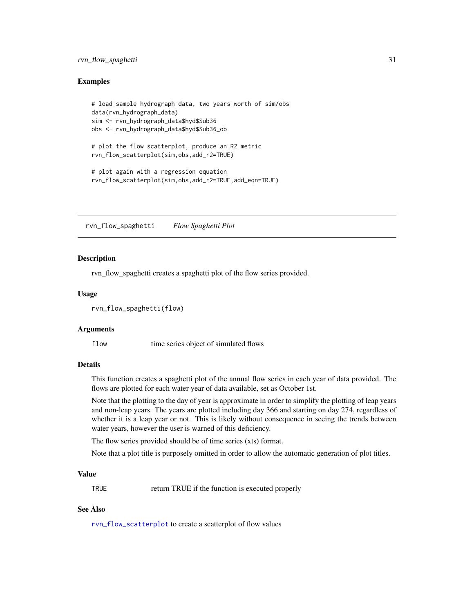# <span id="page-30-0"></span>rvn\_flow\_spaghetti 31

#### Examples

```
# load sample hydrograph data, two years worth of sim/obs
data(rvn_hydrograph_data)
sim <- rvn_hydrograph_data$hyd$Sub36
obs <- rvn_hydrograph_data$hyd$Sub36_ob
# plot the flow scatterplot, produce an R2 metric
rvn_flow_scatterplot(sim,obs,add_r2=TRUE)
# plot again with a regression equation
rvn_flow_scatterplot(sim,obs,add_r2=TRUE,add_eqn=TRUE)
```
rvn\_flow\_spaghetti *Flow Spaghetti Plot*

#### Description

rvn\_flow\_spaghetti creates a spaghetti plot of the flow series provided.

#### Usage

```
rvn_flow_spaghetti(flow)
```
#### Arguments

flow time series object of simulated flows

# **Details**

This function creates a spaghetti plot of the annual flow series in each year of data provided. The flows are plotted for each water year of data available, set as October 1st.

Note that the plotting to the day of year is approximate in order to simplify the plotting of leap years and non-leap years. The years are plotted including day 366 and starting on day 274, regardless of whether it is a leap year or not. This is likely without consequence in seeing the trends between water years, however the user is warned of this deficiency.

The flow series provided should be of time series (xts) format.

Note that a plot title is purposely omitted in order to allow the automatic generation of plot titles.

#### Value

TRUE return TRUE if the function is executed properly

# See Also

[rvn\\_flow\\_scatterplot](#page-29-1) to create a scatterplot of flow values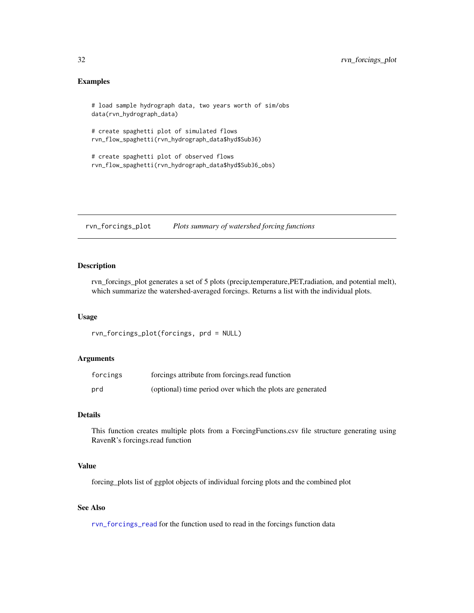# <span id="page-31-0"></span>Examples

```
# load sample hydrograph data, two years worth of sim/obs
data(rvn_hydrograph_data)
# create spaghetti plot of simulated flows
rvn_flow_spaghetti(rvn_hydrograph_data$hyd$Sub36)
# create spaghetti plot of observed flows
rvn_flow_spaghetti(rvn_hydrograph_data$hyd$Sub36_obs)
```
<span id="page-31-1"></span>rvn\_forcings\_plot *Plots summary of watershed forcing functions*

# Description

rvn\_forcings\_plot generates a set of 5 plots (precip,temperature,PET,radiation, and potential melt), which summarize the watershed-averaged forcings. Returns a list with the individual plots.

#### Usage

```
rvn_forcings_plot(forcings, prd = NULL)
```
# Arguments

| forcings | forcings attribute from forcings read function            |
|----------|-----------------------------------------------------------|
| prd      | (optional) time period over which the plots are generated |

# Details

This function creates multiple plots from a ForcingFunctions.csv file structure generating using RavenR's forcings.read function

#### Value

forcing\_plots list of ggplot objects of individual forcing plots and the combined plot

# See Also

[rvn\\_forcings\\_read](#page-32-1) for the function used to read in the forcings function data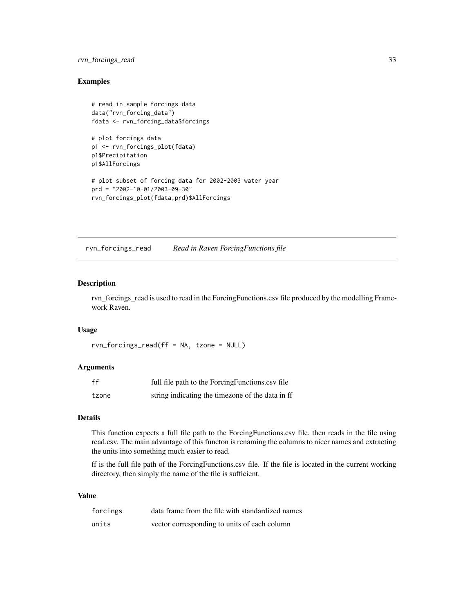# <span id="page-32-0"></span>rvn\_forcings\_read 33

### Examples

```
# read in sample forcings data
data("rvn_forcing_data")
fdata <- rvn_forcing_data$forcings
# plot forcings data
p1 <- rvn_forcings_plot(fdata)
p1$Precipitation
p1$AllForcings
```

```
# plot subset of forcing data for 2002-2003 water year
prd = "2002-10-01/2003-09-30"
rvn_forcings_plot(fdata,prd)$AllForcings
```
<span id="page-32-1"></span>rvn\_forcings\_read *Read in Raven ForcingFunctions file*

# Description

rvn\_forcings\_read is used to read in the ForcingFunctions.csv file produced by the modelling Framework Raven.

#### Usage

rvn\_forcings\_read(ff = NA, tzone = NULL)

#### Arguments

| ff    | full file path to the Forcing Functions.cs of file |
|-------|----------------------------------------------------|
| tzone | string indicating the timezone of the data in ff   |

# Details

This function expects a full file path to the ForcingFunctions.csv file, then reads in the file using read.csv. The main advantage of this functon is renaming the columns to nicer names and extracting the units into something much easier to read.

ff is the full file path of the ForcingFunctions.csv file. If the file is located in the current working directory, then simply the name of the file is sufficient.

#### Value

| forcings | data frame from the file with standardized names |
|----------|--------------------------------------------------|
| units    | vector corresponding to units of each column     |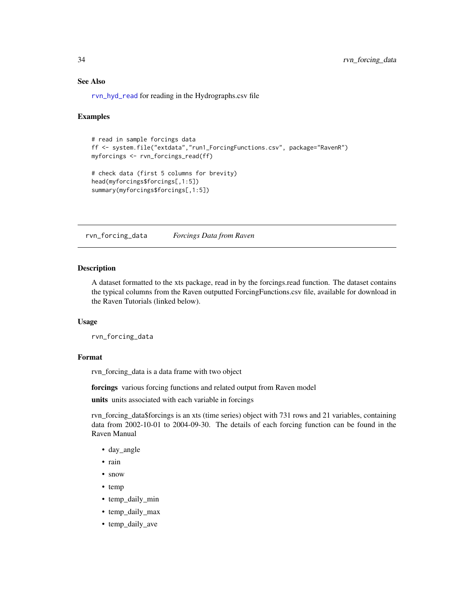#### See Also

[rvn\\_hyd\\_read](#page-44-1) for reading in the Hydrographs.csv file

#### Examples

```
# read in sample forcings data
ff <- system.file("extdata","run1_ForcingFunctions.csv", package="RavenR")
myforcings <- rvn_forcings_read(ff)
# check data (first 5 columns for brevity)
head(myforcings$forcings[,1:5])
summary(myforcings$forcings[,1:5])
```
rvn\_forcing\_data *Forcings Data from Raven*

# Description

A dataset formatted to the xts package, read in by the forcings.read function. The dataset contains the typical columns from the Raven outputted ForcingFunctions.csv file, available for download in the Raven Tutorials (linked below).

#### Usage

```
rvn_forcing_data
```
#### Format

rvn\_forcing\_data is a data frame with two object

forcings various forcing functions and related output from Raven model

units units associated with each variable in forcings

rvn\_forcing\_data\$forcings is an xts (time series) object with 731 rows and 21 variables, containing data from 2002-10-01 to 2004-09-30. The details of each forcing function can be found in the Raven Manual

- day\_angle
- rain
- snow
- temp
- temp\_daily\_min
- temp\_daily\_max
- temp\_daily\_ave

<span id="page-33-0"></span>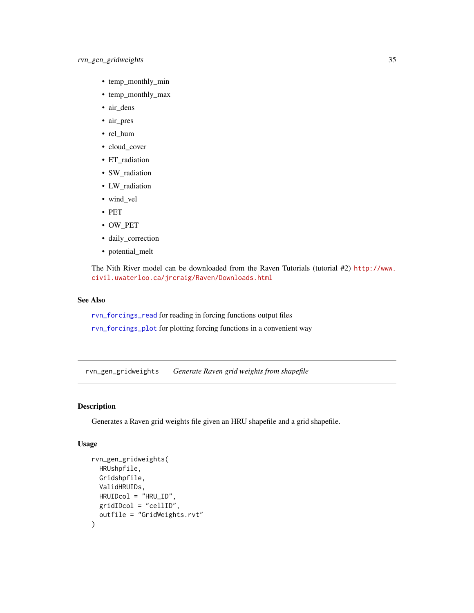# <span id="page-34-0"></span>rvn\_gen\_gridweights 35

- temp\_monthly\_min
- temp\_monthly\_max
- air\_dens
- air\_pres
- rel\_hum
- cloud\_cover
- ET\_radiation
- SW\_radiation
- LW\_radiation
- wind\_vel
- PET
- OW\_PET
- daily\_correction
- potential\_melt

The Nith River model can be downloaded from the Raven Tutorials (tutorial #2) [http://www.](http://www.civil.uwaterloo.ca/jrcraig/Raven/Downloads.html) [civil.uwaterloo.ca/jrcraig/Raven/Downloads.html](http://www.civil.uwaterloo.ca/jrcraig/Raven/Downloads.html)

# See Also

[rvn\\_forcings\\_read](#page-32-1) for reading in forcing functions output files

[rvn\\_forcings\\_plot](#page-31-1) for plotting forcing functions in a convenient way

rvn\_gen\_gridweights *Generate Raven grid weights from shapefile*

# Description

Generates a Raven grid weights file given an HRU shapefile and a grid shapefile.

# Usage

```
rvn_gen_gridweights(
 HRUshpfile,
  Gridshpfile,
 ValidHRUIDs,
 HRUIDcol = "HRU_ID",
 gridIDcol = "cellID",
 outfile = "GridWeights.rvt"
)
```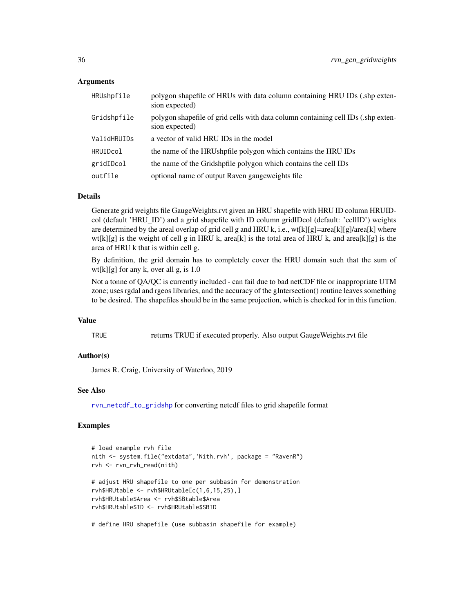# Arguments

| HRUshpfile  | polygon shapefile of HRUs with data column containing HRU IDs (.shp exten-<br>sion expected)        |
|-------------|-----------------------------------------------------------------------------------------------------|
| Gridshpfile | polygon shapefile of grid cells with data column containing cell IDs (.shp exten-<br>sion expected) |
| ValidHRUIDs | a vector of valid HRU IDs in the model                                                              |
| HRUIDcol    | the name of the HRUshpfile polygon which contains the HRU IDs                                       |
| gridIDcol   | the name of the Gridshpfile polygon which contains the cell IDs                                     |
| outfile     | optional name of output Raven gauge weights file                                                    |

#### Details

Generate grid weights file GaugeWeights.rvt given an HRU shapefile with HRU ID column HRUIDcol (default 'HRU\_ID') and a grid shapefile with ID column gridIDcol (default: 'cellID') weights are determined by the areal overlap of grid cell g and HRU k, i.e., wt[k][g]=area[k][g]/area[k] where  $wt[k][g]$  is the weight of cell g in HRU k, area[k] is the total area of HRU k, and area[k][g] is the area of HRU k that is within cell g.

By definition, the grid domain has to completely cover the HRU domain such that the sum of  $wt[k][g]$  for any k, over all g, is 1.0

Not a tonne of QA/QC is currently included - can fail due to bad netCDF file or inappropriate UTM zone; uses rgdal and rgeos libraries, and the accuracy of the gIntersection() routine leaves something to be desired. The shapefiles should be in the same projection, which is checked for in this function.

#### Value

TRUE returns TRUE if executed properly. Also output GaugeWeights.rvt file

# Author(s)

James R. Craig, University of Waterloo, 2019

#### See Also

[rvn\\_netcdf\\_to\\_gridshp](#page-48-1) for converting netcdf files to grid shapefile format

# Examples

```
# load example rvh file
nith <- system.file("extdata",'Nith.rvh', package = "RavenR")
rvh <- rvn_rvh_read(nith)
# adjust HRU shapefile to one per subbasin for demonstration
rvh$HRUtable <- rvh$HRUtable[c(1,6,15,25),]
rvh$HRUtable$Area <- rvh$SBtable$Area
rvh$HRUtable$ID <- rvh$HRUtable$SBID
# define HRU shapefile (use subbasin shapefile for example)
```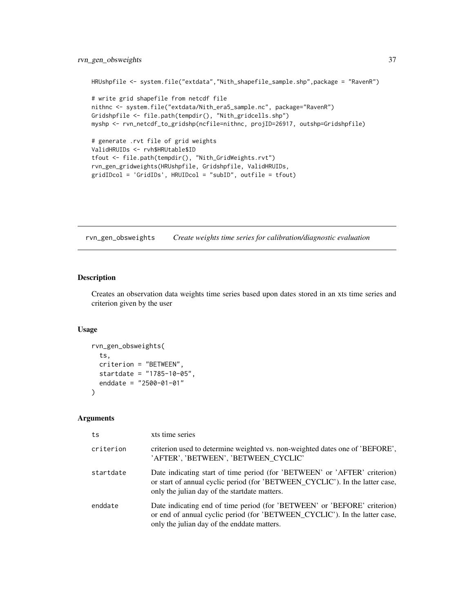# rvn\_gen\_obsweights 37

```
HRUshpfile <- system.file("extdata","Nith_shapefile_sample.shp",package = "RavenR")
# write grid shapefile from netcdf file
nithnc <- system.file("extdata/Nith_era5_sample.nc", package="RavenR")
Gridshpfile <- file.path(tempdir(), "Nith_gridcells.shp")
myshp <- rvn_netcdf_to_gridshp(ncfile=nithnc, projID=26917, outshp=Gridshpfile)
# generate .rvt file of grid weights
ValidHRUIDs <- rvh$HRUtable$ID
tfout <- file.path(tempdir(), "Nith_GridWeights.rvt")
rvn_gen_gridweights(HRUshpfile, Gridshpfile, ValidHRUIDs,
gridIDcol = 'GridIDs', HRUIDcol = "subID", outfile = tfout)
```
rvn\_gen\_obsweights *Create weights time series for calibration/diagnostic evaluation*

# Description

Creates an observation data weights time series based upon dates stored in an xts time series and criterion given by the user

#### Usage

```
rvn_gen_obsweights(
  ts,
 criterion = "BETWEEN",
 startdate = "1785-10-05",
 enddate = "2500-01-01"
)
```
#### Arguments

| ts        | xts time series                                                                                                                                                                                             |
|-----------|-------------------------------------------------------------------------------------------------------------------------------------------------------------------------------------------------------------|
| criterion | criterion used to determine weighted vs. non-weighted dates one of 'BEFORE'.<br>'AFTER', 'BETWEEN', 'BETWEEN_CYCLIC'                                                                                        |
| startdate | Date indicating start of time period (for 'BETWEEN' or 'AFTER' criterion)<br>or start of annual cyclic period (for 'BETWEEN_CYCLIC'). In the latter case,<br>only the julian day of the start date matters. |
| enddate   | Date indicating end of time period (for 'BETWEEN' or 'BEFORE' criterion)<br>or end of annual cyclic period (for 'BETWEEN CYCLIC'). In the latter case,<br>only the julian day of the enddate matters.       |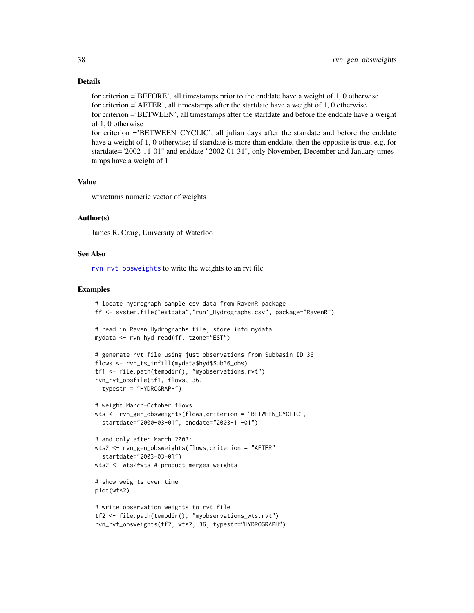# Details

for criterion ='BEFORE', all timestamps prior to the enddate have a weight of 1, 0 otherwise for criterion ='AFTER', all timestamps after the startdate have a weight of 1, 0 otherwise for criterion ='BETWEEN', all timestamps after the startdate and before the enddate have a weight of 1, 0 otherwise for criterion ='BETWEEN\_CYCLIC', all julian days after the startdate and before the enddate have a weight of 1, 0 otherwise; if startdate is more than enddate, then the opposite is true, e.g, for

startdate="2002-11-01" and enddate "2002-01-31", only November, December and January timestamps have a weight of 1

### Value

wtsreturns numeric vector of weights

### Author(s)

James R. Craig, University of Waterloo

## See Also

[rvn\\_rvt\\_obsweights](#page-72-0) to write the weights to an rvt file

```
# locate hydrograph sample csv data from RavenR package
ff <- system.file("extdata","run1_Hydrographs.csv", package="RavenR")
# read in Raven Hydrographs file, store into mydata
mydata <- rvn_hyd_read(ff, tzone="EST")
# generate rvt file using just observations from Subbasin ID 36
flows <- rvn_ts_infill(mydata$hyd$Sub36_obs)
tf1 <- file.path(tempdir(), "myobservations.rvt")
rvn_rvt_obsfile(tf1, flows, 36,
  typestr = "HYDROGRAPH")
# weight March-October flows:
wts <- rvn_gen_obsweights(flows,criterion = "BETWEEN_CYCLIC",
  startdate="2000-03-01", enddate="2003-11-01")
# and only after March 2003:
wts2 <- rvn_gen_obsweights(flows,criterion = "AFTER",
  startdate="2003-03-01")
wts2 <- wts2*wts # product merges weights
# show weights over time
plot(wts2)
# write observation weights to rvt file
tf2 <- file.path(tempdir(), "myobservations_wts.rvt")
rvn_rvt_obsweights(tf2, wts2, 36, typestr="HYDROGRAPH")
```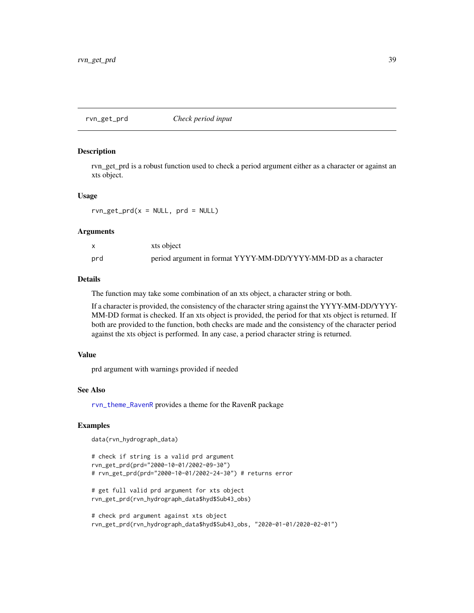rvn\_get\_prd *Check period input*

#### Description

rvn\_get\_prd is a robust function used to check a period argument either as a character or against an xts object.

### Usage

 $rvn\_get\_prd(x = NULL, prd = NULL)$ 

#### Arguments

|     | xts object                                                     |
|-----|----------------------------------------------------------------|
| prd | period argument in format YYYY-MM-DD/YYYY-MM-DD as a character |

### Details

The function may take some combination of an xts object, a character string or both.

If a character is provided, the consistency of the character string against the YYYY-MM-DD/YYYY-MM-DD format is checked. If an xts object is provided, the period for that xts object is returned. If both are provided to the function, both checks are made and the consistency of the character period against the xts object is performed. In any case, a period character string is returned.

### Value

prd argument with warnings provided if needed

### See Also

[rvn\\_theme\\_RavenR](#page-85-0) provides a theme for the RavenR package

```
data(rvn_hydrograph_data)
```

```
# check if string is a valid prd argument
rvn_get_prd(prd="2000-10-01/2002-09-30")
# rvn_get_prd(prd="2000-10-01/2002-24-30") # returns error
# get full valid prd argument for xts object
rvn_get_prd(rvn_hydrograph_data$hyd$Sub43_obs)
# check prd argument against xts object
rvn_get_prd(rvn_hydrograph_data$hyd$Sub43_obs, "2020-01-01/2020-02-01")
```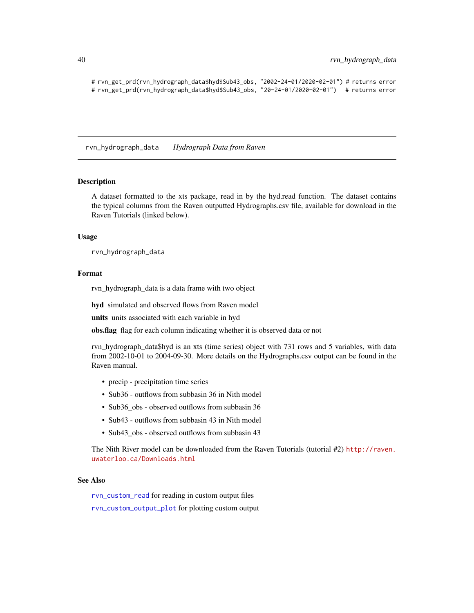```
# rvn_get_prd(rvn_hydrograph_data$hyd$Sub43_obs, "2002-24-01/2020-02-01") # returns error
# rvn_get_prd(rvn_hydrograph_data$hyd$Sub43_obs, "20-24-01/2020-02-01") # returns error
```
rvn\_hydrograph\_data *Hydrograph Data from Raven*

#### Description

A dataset formatted to the xts package, read in by the hyd.read function. The dataset contains the typical columns from the Raven outputted Hydrographs.csv file, available for download in the Raven Tutorials (linked below).

#### Usage

rvn\_hydrograph\_data

#### Format

rvn\_hydrograph\_data is a data frame with two object

hyd simulated and observed flows from Raven model

units units associated with each variable in hyd

obs.flag flag for each column indicating whether it is observed data or not

rvn hydrograph data\$hyd is an xts (time series) object with 731 rows and 5 variables, with data from 2002-10-01 to 2004-09-30. More details on the Hydrographs.csv output can be found in the Raven manual.

- precip precipitation time series
- Sub36 outflows from subbasin 36 in Nith model
- Sub36\_obs observed outflows from subbasin 36
- Sub43 outflows from subbasin 43 in Nith model
- Sub43 obs observed outflows from subbasin 43

The Nith River model can be downloaded from the Raven Tutorials (tutorial #2) [http://raven.](http://raven.uwaterloo.ca/Downloads.html) [uwaterloo.ca/Downloads.html](http://raven.uwaterloo.ca/Downloads.html)

## See Also

[rvn\\_custom\\_read](#page-23-0) for reading in custom output files

[rvn\\_custom\\_output\\_plot](#page-22-0) for plotting custom output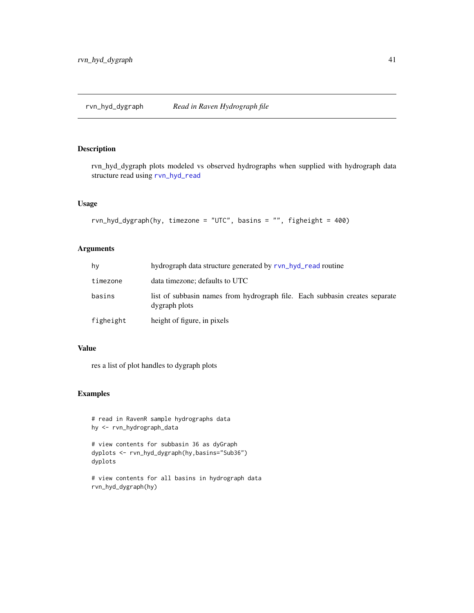<span id="page-40-0"></span>rvn\_hyd\_dygraph plots modeled vs observed hydrographs when supplied with hydrograph data structure read using [rvn\\_hyd\\_read](#page-44-0)

# Usage

```
rvn_hyd_dygraph(hy, timezone = "UTC", basins = "", figheight = 400)
```
# Arguments

| hv        | hydrograph data structure generated by rvn_hyd_read routine                                  |  |  |  |
|-----------|----------------------------------------------------------------------------------------------|--|--|--|
| timezone  | data timezone; defaults to UTC                                                               |  |  |  |
| basins    | list of subbasin names from hydrograph file. Each subbasin creates separate<br>dygraph plots |  |  |  |
| figheight | height of figure, in pixels                                                                  |  |  |  |

# Value

res a list of plot handles to dygraph plots

# Examples

```
# read in RavenR sample hydrographs data
hy <- rvn_hydrograph_data
```

```
# view contents for subbasin 36 as dyGraph
dyplots <- rvn_hyd_dygraph(hy,basins="Sub36")
dyplots
```
# view contents for all basins in hydrograph data rvn\_hyd\_dygraph(hy)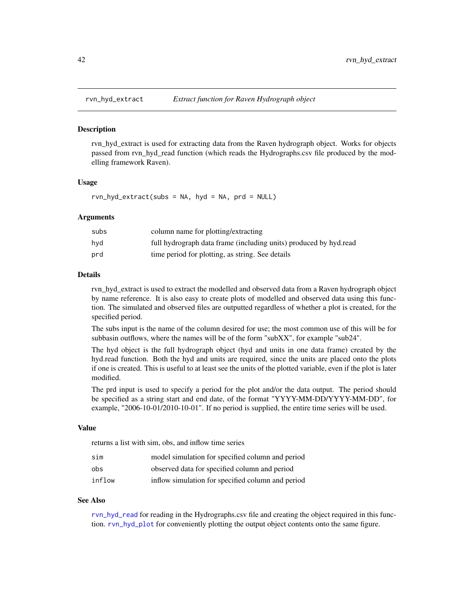<span id="page-41-0"></span>

rvn\_hyd\_extract is used for extracting data from the Raven hydrograph object. Works for objects passed from rvn\_hyd\_read function (which reads the Hydrographs.csv file produced by the modelling framework Raven).

### Usage

 $rvn_hyd\_extract(subs = NA, hyd = NA, prd = NULL)$ 

### Arguments

| subs | column name for plotting/extracting                               |
|------|-------------------------------------------------------------------|
| hvd  | full hydrograph data frame (including units) produced by hyd.read |
| prd  | time period for plotting, as string. See details                  |

### **Details**

rvn\_hyd\_extract is used to extract the modelled and observed data from a Raven hydrograph object by name reference. It is also easy to create plots of modelled and observed data using this function. The simulated and observed files are outputted regardless of whether a plot is created, for the specified period.

The subs input is the name of the column desired for use; the most common use of this will be for subbasin outflows, where the names will be of the form "subXX", for example "sub24".

The hyd object is the full hydrograph object (hyd and units in one data frame) created by the hyd.read function. Both the hyd and units are required, since the units are placed onto the plots if one is created. This is useful to at least see the units of the plotted variable, even if the plot is later modified.

The prd input is used to specify a period for the plot and/or the data output. The period should be specified as a string start and end date, of the format "YYYY-MM-DD/YYYY-MM-DD", for example, "2006-10-01/2010-10-01". If no period is supplied, the entire time series will be used.

### Value

returns a list with sim, obs, and inflow time series

| sim    | model simulation for specified column and period  |
|--------|---------------------------------------------------|
| obs    | observed data for specified column and period     |
| inflow | inflow simulation for specified column and period |

#### See Also

[rvn\\_hyd\\_read](#page-44-0) for reading in the Hydrographs.csv file and creating the object required in this function. [rvn\\_hyd\\_plot](#page-42-0) for conveniently plotting the output object contents onto the same figure.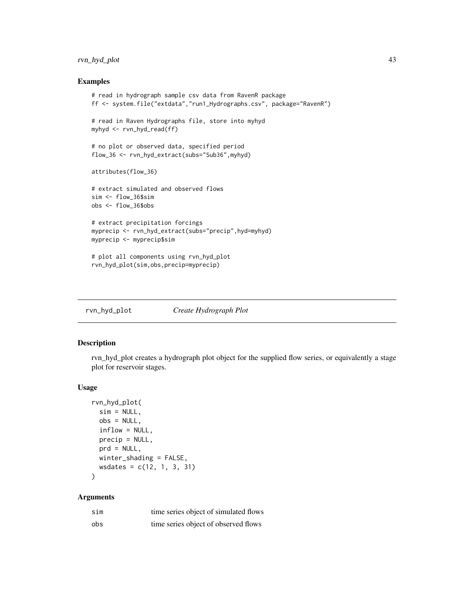# rvn\_hyd\_plot 43

### Examples

```
# read in hydrograph sample csv data from RavenR package
ff <- system.file("extdata","run1_Hydrographs.csv", package="RavenR")
# read in Raven Hydrographs file, store into myhyd
myhyd <- rvn_hyd_read(ff)
# no plot or observed data, specified period
flow_36 <- rvn_hyd_extract(subs="Sub36",myhyd)
attributes(flow_36)
# extract simulated and observed flows
sim <- flow_36$sim
obs <- flow_36$obs
# extract precipitation forcings
myprecip <- rvn_hyd_extract(subs="precip",hyd=myhyd)
myprecip <- myprecip$sim
# plot all components using rvn_hyd_plot
rvn_hyd_plot(sim,obs,precip=myprecip)
```
<span id="page-42-0"></span>

| rvn_hyd_plot | Create Hydrograph Plot |
|--------------|------------------------|
|--------------|------------------------|

## Description

rvn\_hyd\_plot creates a hydrograph plot object for the supplied flow series, or equivalently a stage plot for reservoir stages.

### Usage

```
rvn_hyd_plot(
  sim = NULL,obs = NULL,
  inflow = NULL,
 precip = NULL,
 prd = NULL,winter_shading = FALSE,
 wsdates = c(12, 1, 3, 31)
)
```
# Arguments

| sim | time series object of simulated flows |
|-----|---------------------------------------|
| obs | time series object of observed flows  |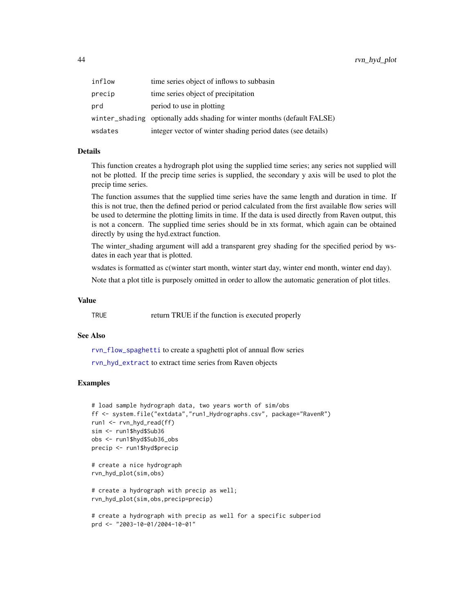| inflow  | time series object of inflows to subbasin                                |
|---------|--------------------------------------------------------------------------|
| precip  | time series object of precipitation                                      |
| prd     | period to use in plotting                                                |
|         | winter_shading optionally adds shading for winter months (default FALSE) |
| wsdates | integer vector of winter shading period dates (see details)              |

## Details

This function creates a hydrograph plot using the supplied time series; any series not supplied will not be plotted. If the precip time series is supplied, the secondary y axis will be used to plot the precip time series.

The function assumes that the supplied time series have the same length and duration in time. If this is not true, then the defined period or period calculated from the first available flow series will be used to determine the plotting limits in time. If the data is used directly from Raven output, this is not a concern. The supplied time series should be in xts format, which again can be obtained directly by using the hyd.extract function.

The winter\_shading argument will add a transparent grey shading for the specified period by wsdates in each year that is plotted.

wsdates is formatted as c(winter start month, winter start day, winter end month, winter end day).

Note that a plot title is purposely omitted in order to allow the automatic generation of plot titles.

#### Value

TRUE return TRUE if the function is executed properly

# See Also

[rvn\\_flow\\_spaghetti](#page-30-0) to create a spaghetti plot of annual flow series [rvn\\_hyd\\_extract](#page-41-0) to extract time series from Raven objects

```
# load sample hydrograph data, two years worth of sim/obs
ff <- system.file("extdata","run1_Hydrographs.csv", package="RavenR")
run1 <- rvn_hyd_read(ff)
sim <- run1$hyd$Sub36
obs <- run1$hyd$Sub36_obs
precip <- run1$hyd$precip
```

```
# create a nice hydrograph
rvn_hyd_plot(sim,obs)
```

```
# create a hydrograph with precip as well;
rvn_hyd_plot(sim,obs,precip=precip)
```

```
# create a hydrograph with precip as well for a specific subperiod
prd <- "2003-10-01/2004-10-01"
```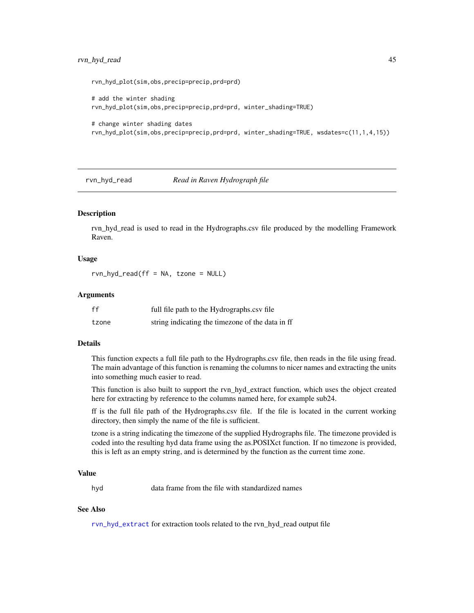# rvn\_hyd\_read 45

rvn\_hyd\_plot(sim,obs,precip=precip,prd=prd)

```
# add the winter shading
rvn_hyd_plot(sim,obs,precip=precip,prd=prd, winter_shading=TRUE)
# change winter shading dates
```

```
rvn_hyd_plot(sim,obs,precip=precip,prd=prd, winter_shading=TRUE, wsdates=c(11,1,4,15))
```
# <span id="page-44-0"></span>rvn\_hyd\_read *Read in Raven Hydrograph file*

## **Description**

rvn\_hyd\_read is used to read in the Hydrographs.csv file produced by the modelling Framework Raven.

# Usage

 $rvn_hyd_read(ff = NA, tzone = NULL)$ 

### Arguments

| ff    | full file path to the Hydrographs.csv file       |
|-------|--------------------------------------------------|
| tzone | string indicating the timezone of the data in ff |

#### Details

This function expects a full file path to the Hydrographs.csv file, then reads in the file using fread. The main advantage of this function is renaming the columns to nicer names and extracting the units into something much easier to read.

This function is also built to support the rvn\_hyd\_extract function, which uses the object created here for extracting by reference to the columns named here, for example sub24.

ff is the full file path of the Hydrographs.csv file. If the file is located in the current working directory, then simply the name of the file is sufficient.

tzone is a string indicating the timezone of the supplied Hydrographs file. The timezone provided is coded into the resulting hyd data frame using the as.POSIXct function. If no timezone is provided, this is left as an empty string, and is determined by the function as the current time zone.

# Value

hyd data frame from the file with standardized names

# See Also

[rvn\\_hyd\\_extract](#page-41-0) for extraction tools related to the rvn\_hyd\_read output file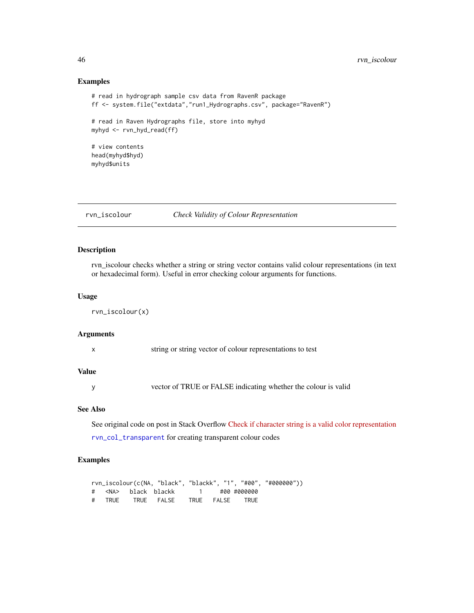### Examples

```
# read in hydrograph sample csv data from RavenR package
ff <- system.file("extdata","run1_Hydrographs.csv", package="RavenR")
# read in Raven Hydrographs file, store into myhyd
myhyd <- rvn_hyd_read(ff)
# view contents
head(myhyd$hyd)
myhyd$units
```
rvn\_iscolour *Check Validity of Colour Representation*

# Description

rvn\_iscolour checks whether a string or string vector contains valid colour representations (in text or hexadecimal form). Useful in error checking colour arguments for functions.

### Usage

rvn\_iscolour(x)

### Arguments

|  |  | string or string vector of colour representations to test |  |
|--|--|-----------------------------------------------------------|--|
|  |  |                                                           |  |

#### Value

y vector of TRUE or FALSE indicating whether the colour is valid

## See Also

See original code on post in Stack Overflow [Check if character string is a valid color representation](https://stackoverflow.com/questions/13289009/check-if-character-string-is-a-valid-color-representation?utm_medium=organic&utm_source=google_rich_qa&utm_campaign=google_rich_qa)

[rvn\\_col\\_transparent](#page-19-0) for creating transparent colour codes

```
rvn_iscolour(c(NA, "black", "blackk", "1", "#00", "#000000"))
# <NA> black blackk 1 #00 #000000
# TRUE TRUE FALSE TRUE FALSE TRUE
```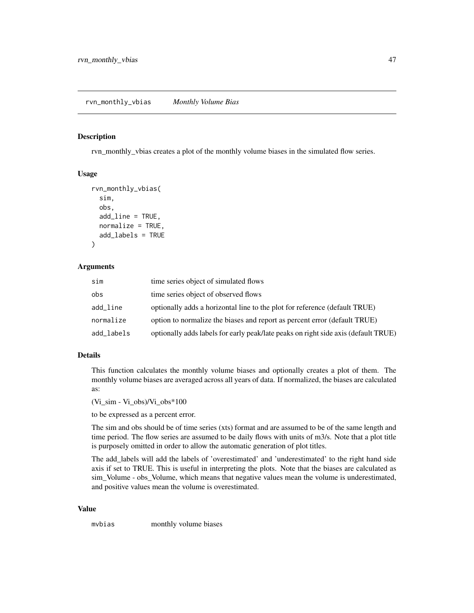rvn\_monthly\_vbias creates a plot of the monthly volume biases in the simulated flow series.

### Usage

```
rvn_monthly_vbias(
  sim,
  obs,
  add_line = TRUE,
  normalize = TRUE,
  add_labels = TRUE
)
```
# **Arguments**

| sim        | time series object of simulated flows                                              |
|------------|------------------------------------------------------------------------------------|
| obs        | time series object of observed flows                                               |
| add_line   | optionally adds a horizontal line to the plot for reference (default TRUE)         |
| normalize  | option to normalize the biases and report as percent error (default TRUE)          |
| add_labels | optionally adds labels for early peak/late peaks on right side axis (default TRUE) |

## Details

This function calculates the monthly volume biases and optionally creates a plot of them. The monthly volume biases are averaged across all years of data. If normalized, the biases are calculated as:

(Vi\_sim - Vi\_obs)/Vi\_obs\*100

to be expressed as a percent error.

The sim and obs should be of time series (xts) format and are assumed to be of the same length and time period. The flow series are assumed to be daily flows with units of m3/s. Note that a plot title is purposely omitted in order to allow the automatic generation of plot titles.

The add\_labels will add the labels of 'overestimated' and 'underestimated' to the right hand side axis if set to TRUE. This is useful in interpreting the plots. Note that the biases are calculated as sim\_Volume - obs\_Volume, which means that negative values mean the volume is underestimated, and positive values mean the volume is overestimated.

#### Value

mvbias monthly volume biases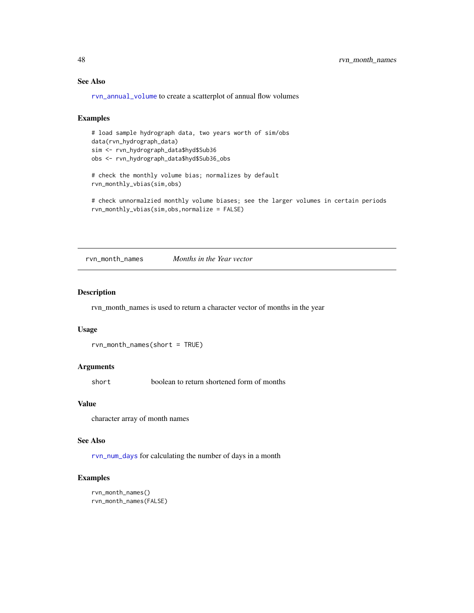# See Also

[rvn\\_annual\\_volume](#page-14-0) to create a scatterplot of annual flow volumes

### Examples

# load sample hydrograph data, two years worth of sim/obs data(rvn\_hydrograph\_data) sim <- rvn\_hydrograph\_data\$hyd\$Sub36 obs <- rvn\_hydrograph\_data\$hyd\$Sub36\_obs

# check the monthly volume bias; normalizes by default rvn\_monthly\_vbias(sim,obs)

# check unnormalzied monthly volume biases; see the larger volumes in certain periods rvn\_monthly\_vbias(sim,obs,normalize = FALSE)

rvn\_month\_names *Months in the Year vector*

### Description

rvn\_month\_names is used to return a character vector of months in the year

#### Usage

```
rvn_month_names(short = TRUE)
```
### Arguments

short boolean to return shortened form of months

## Value

character array of month names

#### See Also

[rvn\\_num\\_days](#page-49-0) for calculating the number of days in a month

```
rvn_month_names()
rvn_month_names(FALSE)
```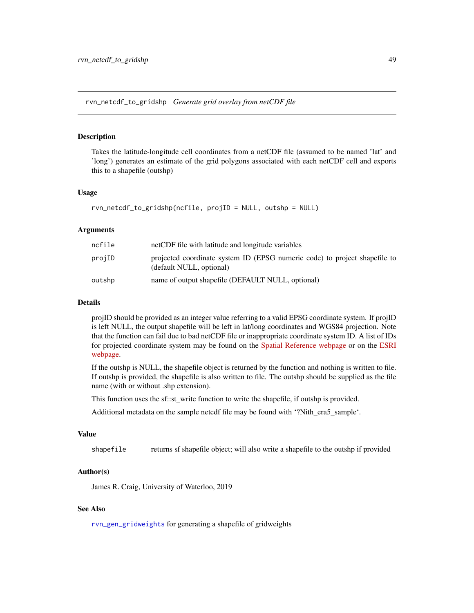rvn\_netcdf\_to\_gridshp *Generate grid overlay from netCDF file*

#### **Description**

Takes the latitude-longitude cell coordinates from a netCDF file (assumed to be named 'lat' and 'long') generates an estimate of the grid polygons associated with each netCDF cell and exports this to a shapefile (outshp)

### Usage

```
rvn_netcdf_to_gridshp(ncfile, projID = NULL, outshp = NULL)
```
### Arguments

| ncfile | netCDF file with latitude and longitude variables                                                      |
|--------|--------------------------------------------------------------------------------------------------------|
| projID | projected coordinate system ID (EPSG numeric code) to project shapefile to<br>(default NULL, optional) |
| outshp | name of output shapefile (DEFAULT NULL, optional)                                                      |

## Details

projID should be provided as an integer value referring to a valid EPSG coordinate system. If projID is left NULL, the output shapefile will be left in lat/long coordinates and WGS84 projection. Note that the function can fail due to bad netCDF file or inappropriate coordinate system ID. A list of IDs for projected coordinate system may be found on the [Spatial Reference webpage](https://spatialreference.org/ref/epsg/) or on the [ESRI](http://resources.esri.com/help/9.3/arcgisserver/apis/rest/pcs.html) [webpage.](http://resources.esri.com/help/9.3/arcgisserver/apis/rest/pcs.html)

If the outshp is NULL, the shapefile object is returned by the function and nothing is written to file. If outshp is provided, the shapefile is also written to file. The outshp should be supplied as the file name (with or without .shp extension).

This function uses the sf::st\_write function to write the shapefile, if outshp is provided.

Additional metadata on the sample netcdf file may be found with '?Nith\_era5\_sample'.

### Value

shapefile returns sf shapefile object; will also write a shapefile to the outshp if provided

### Author(s)

James R. Craig, University of Waterloo, 2019

## See Also

[rvn\\_gen\\_gridweights](#page-34-0) for generating a shapefile of gridweights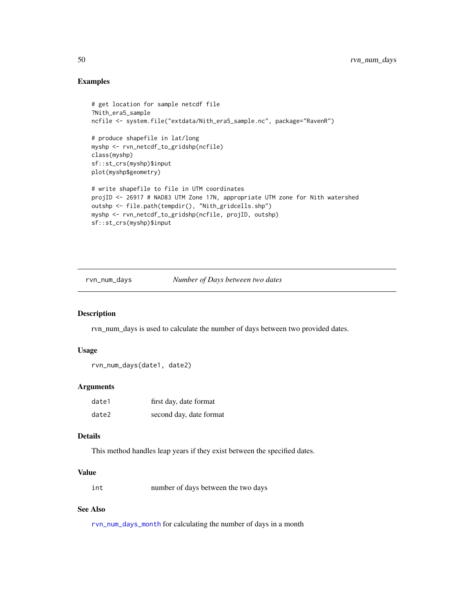# Examples

```
# get location for sample netcdf file
?Nith_era5_sample
ncfile <- system.file("extdata/Nith_era5_sample.nc", package="RavenR")
# produce shapefile in lat/long
myshp <- rvn_netcdf_to_gridshp(ncfile)
class(myshp)
sf::st_crs(myshp)$input
plot(myshp$geometry)
# write shapefile to file in UTM coordinates
projID <- 26917 # NAD83 UTM Zone 17N, appropriate UTM zone for Nith watershed
outshp <- file.path(tempdir(), "Nith_gridcells.shp")
myshp <- rvn_netcdf_to_gridshp(ncfile, projID, outshp)
sf::st_crs(myshp)$input
```
<span id="page-49-0"></span>rvn\_num\_days *Number of Days between two dates*

#### Description

rvn\_num\_days is used to calculate the number of days between two provided dates.

### Usage

```
rvn_num_days(date1, date2)
```
# Arguments

| date1 | first day, date format  |
|-------|-------------------------|
| date2 | second day, date format |

### Details

This method handles leap years if they exist between the specified dates.

# Value

| int | number of days between the two days |  |
|-----|-------------------------------------|--|
|-----|-------------------------------------|--|

# See Also

[rvn\\_num\\_days\\_month](#page-50-0) for calculating the number of days in a month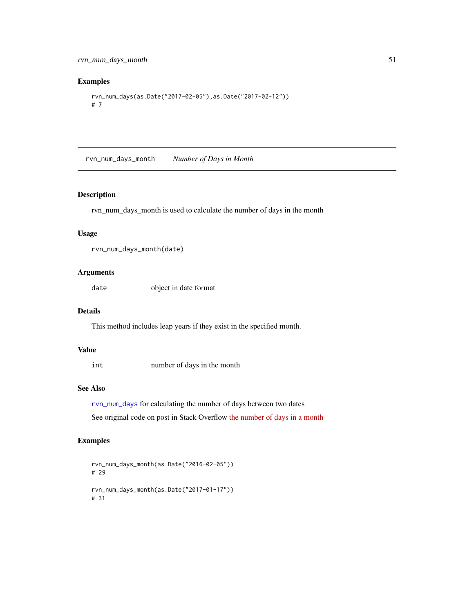# Examples

```
rvn_num_days(as.Date("2017-02-05"),as.Date("2017-02-12"))
# 7
```
<span id="page-50-0"></span>rvn\_num\_days\_month *Number of Days in Month*

## Description

rvn\_num\_days\_month is used to calculate the number of days in the month

# Usage

```
rvn_num_days_month(date)
```
# Arguments

date object in date format

### Details

This method includes leap years if they exist in the specified month.

# Value

int number of days in the month

# See Also

[rvn\\_num\\_days](#page-49-0) for calculating the number of days between two dates See original code on post in Stack Overflow [the number of days in a month](http://stackoverflow.com/questions/6243088/find-out-the-number-of-days-of-a-month-in-rfind)

```
rvn_num_days_month(as.Date("2016-02-05"))
# 29
rvn_num_days_month(as.Date("2017-01-17"))
# 31
```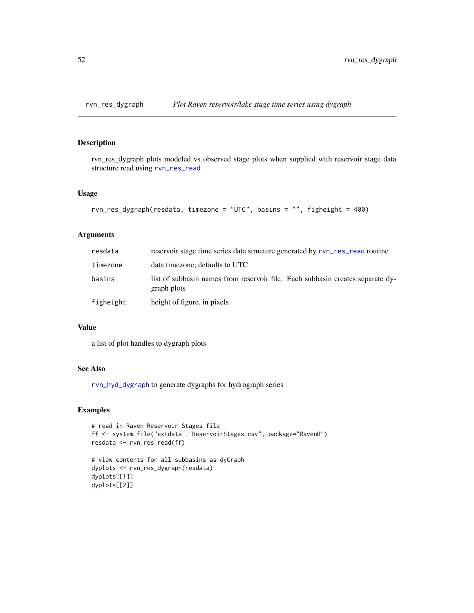rvn\_res\_dygraph plots modeled vs observed stage plots when supplied with reservoir stage data structure read using [rvn\\_res\\_read](#page-55-0)

#### Usage

```
rvn_res_dygraph(resdata, timezone = "UTC", basins = "", figheight = 400)
```
# Arguments

| resdata   | reservoir stage time series data structure generated by rvn_res_read routine                  |
|-----------|-----------------------------------------------------------------------------------------------|
| timezone  | data timezone; defaults to UTC                                                                |
| basins    | list of subbasin names from reservoir file. Each subbasin creates separate dy-<br>graph plots |
| figheight | height of figure, in pixels                                                                   |

## Value

a list of plot handles to dygraph plots

# See Also

[rvn\\_hyd\\_dygraph](#page-40-0) to generate dygraphs for hydrograph series

```
# read in Raven Reservoir Stages file
ff <- system.file("extdata","ReservoirStages.csv", package="RavenR")
resdata <- rvn_res_read(ff)
# view contents for all subbasins as dyGraph
```

```
dyplots <- rvn_res_dygraph(resdata)
dyplots[[1]]
dyplots[[2]]
```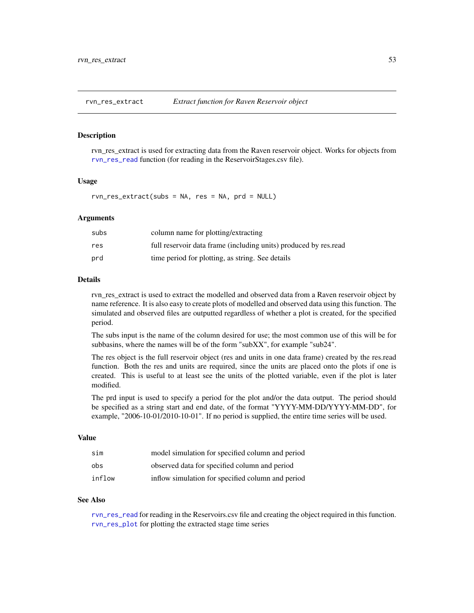<span id="page-52-0"></span>

rvn\_res\_extract is used for extracting data from the Raven reservoir object. Works for objects from [rvn\\_res\\_read](#page-55-0) function (for reading in the ReservoirStages.csv file).

# Usage

rvn\_res\_extract(subs = NA, res = NA, prd = NULL)

### Arguments

| subs | column name for plotting/extracting                              |
|------|------------------------------------------------------------------|
| res  | full reservoir data frame (including units) produced by res.read |
| prd  | time period for plotting, as string. See details                 |

#### Details

rvn\_res\_extract is used to extract the modelled and observed data from a Raven reservoir object by name reference. It is also easy to create plots of modelled and observed data using this function. The simulated and observed files are outputted regardless of whether a plot is created, for the specified period.

The subs input is the name of the column desired for use; the most common use of this will be for subbasins, where the names will be of the form "subXX", for example "sub24".

The res object is the full reservoir object (res and units in one data frame) created by the res.read function. Both the res and units are required, since the units are placed onto the plots if one is created. This is useful to at least see the units of the plotted variable, even if the plot is later modified.

The prd input is used to specify a period for the plot and/or the data output. The period should be specified as a string start and end date, of the format "YYYY-MM-DD/YYYY-MM-DD", for example, "2006-10-01/2010-10-01". If no period is supplied, the entire time series will be used.

## Value

| sim    | model simulation for specified column and period  |
|--------|---------------------------------------------------|
| obs    | observed data for specified column and period     |
| inflow | inflow simulation for specified column and period |

#### See Also

[rvn\\_res\\_read](#page-55-0) for reading in the Reservoirs.csv file and creating the object required in this function. [rvn\\_res\\_plot](#page-53-0) for plotting the extracted stage time series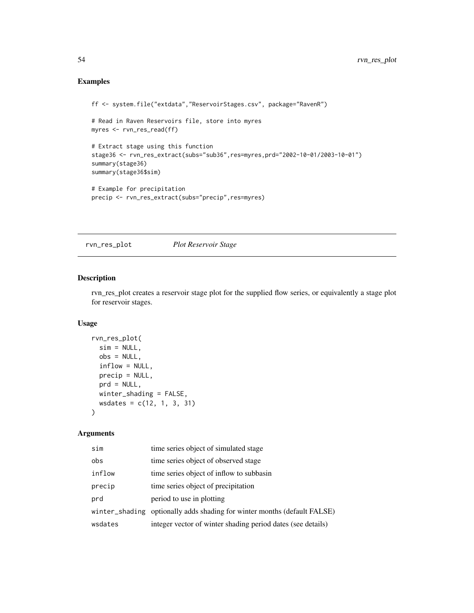# Examples

```
ff <- system.file("extdata","ReservoirStages.csv", package="RavenR")
# Read in Raven Reservoirs file, store into myres
myres <- rvn_res_read(ff)
# Extract stage using this function
stage36 <- rvn_res_extract(subs="sub36",res=myres,prd="2002-10-01/2003-10-01")
summary(stage36)
summary(stage36$sim)
# Example for precipitation
precip <- rvn_res_extract(subs="precip",res=myres)
```
<span id="page-53-0"></span>rvn\_res\_plot *Plot Reservoir Stage*

# Description

rvn\_res\_plot creates a reservoir stage plot for the supplied flow series, or equivalently a stage plot for reservoir stages.

# Usage

```
rvn_res_plot(
 sim = NULL,obs = NULL,inflow = NULL,
 precip = NULL,
 prd = NULL,
 winter_shading = FALSE,
 wsdates = c(12, 1, 3, 31)
)
```
# Arguments

| sim     | time series object of simulated stage                                    |
|---------|--------------------------------------------------------------------------|
| obs     | time series object of observed stage                                     |
| inflow  | time series object of inflow to subbasin                                 |
| precip  | time series object of precipitation                                      |
| prd     | period to use in plotting                                                |
|         | winter_shading optionally adds shading for winter months (default FALSE) |
| wsdates | integer vector of winter shading period dates (see details)              |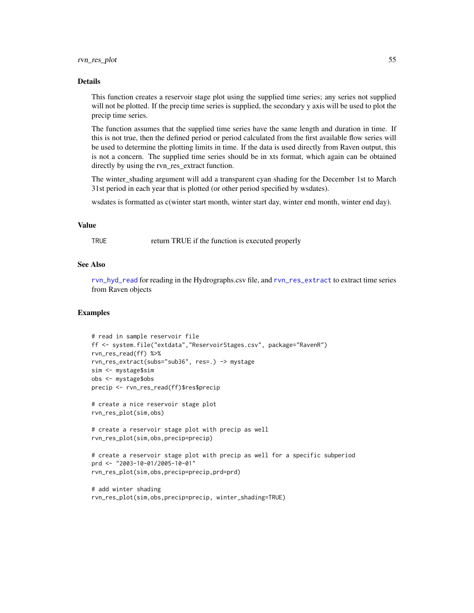#### Details

This function creates a reservoir stage plot using the supplied time series; any series not supplied will not be plotted. If the precip time series is supplied, the secondary y axis will be used to plot the precip time series.

The function assumes that the supplied time series have the same length and duration in time. If this is not true, then the defined period or period calculated from the first available flow series will be used to determine the plotting limits in time. If the data is used directly from Raven output, this is not a concern. The supplied time series should be in xts format, which again can be obtained directly by using the rvn\_res\_extract function.

The winter\_shading argument will add a transparent cyan shading for the December 1st to March 31st period in each year that is plotted (or other period specified by wsdates).

wsdates is formatted as c(winter start month, winter start day, winter end month, winter end day).

# Value

TRUE return TRUE if the function is executed properly

# See Also

[rvn\\_hyd\\_read](#page-44-0) for reading in the Hydrographs.csv file, and [rvn\\_res\\_extract](#page-52-0) to extract time series from Raven objects

```
# read in sample reservoir file
ff <- system.file("extdata","ReservoirStages.csv", package="RavenR")
rvn_res_read(ff) %>%
rvn_res_extract(subs="sub36", res=.) -> mystage
sim <- mystage$sim
obs <- mystage$obs
precip <- rvn_res_read(ff)$res$precip
```

```
# create a nice reservoir stage plot
rvn_res_plot(sim,obs)
```

```
# create a reservoir stage plot with precip as well
rvn_res_plot(sim,obs,precip=precip)
```

```
# create a reservoir stage plot with precip as well for a specific subperiod
prd <- "2003-10-01/2005-10-01"
rvn_res_plot(sim,obs,precip=precip,prd=prd)
```

```
# add winter shading
rvn_res_plot(sim,obs,precip=precip, winter_shading=TRUE)
```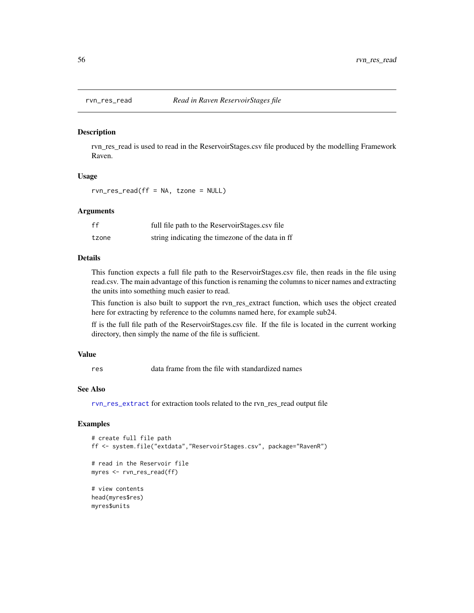<span id="page-55-0"></span>

rvn\_res\_read is used to read in the ReservoirStages.csv file produced by the modelling Framework Raven.

#### Usage

rvn\_res\_read(ff = NA, tzone = NULL)

### Arguments

| ff    | full file path to the ReservoirStages.csv file   |
|-------|--------------------------------------------------|
| tzone | string indicating the timezone of the data in ff |

## Details

This function expects a full file path to the ReservoirStages.csv file, then reads in the file using read.csv. The main advantage of this function is renaming the columns to nicer names and extracting the units into something much easier to read.

This function is also built to support the rvn\_res\_extract function, which uses the object created here for extracting by reference to the columns named here, for example sub24.

ff is the full file path of the ReservoirStages.csv file. If the file is located in the current working directory, then simply the name of the file is sufficient.

## Value

res data frame from the file with standardized names

### See Also

[rvn\\_res\\_extract](#page-52-0) for extraction tools related to the rvn\_res\_read output file

```
# create full file path
ff <- system.file("extdata","ReservoirStages.csv", package="RavenR")
# read in the Reservoir file
myres <- rvn_res_read(ff)
# view contents
head(myres$res)
myres$units
```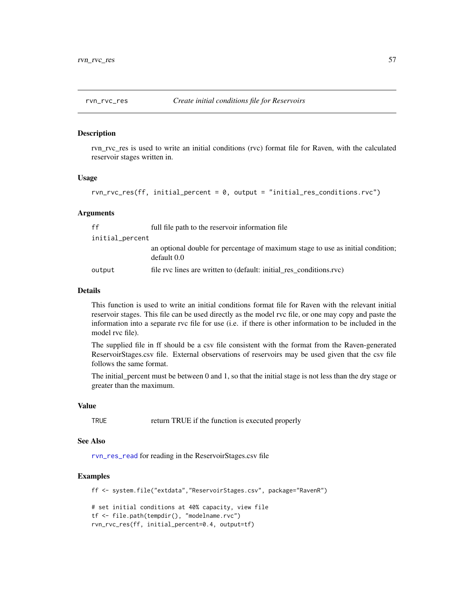rvn\_rvc\_res is used to write an initial conditions (rvc) format file for Raven, with the calculated reservoir stages written in.

# Usage

rvn\_rvc\_res(ff, initial\_percent = 0, output = "initial\_res\_conditions.rvc")

### Arguments

| ff              | full file path to the reservoir information file                                               |
|-----------------|------------------------------------------------------------------------------------------------|
| initial_percent |                                                                                                |
|                 | an optional double for percentage of maximum stage to use as initial condition;<br>default 0.0 |
| output          | file rvc lines are written to (default: initial res conditions.rvc)                            |

### Details

This function is used to write an initial conditions format file for Raven with the relevant initial reservoir stages. This file can be used directly as the model rvc file, or one may copy and paste the information into a separate rvc file for use (i.e. if there is other information to be included in the model rvc file).

The supplied file in ff should be a csv file consistent with the format from the Raven-generated ReservoirStages.csv file. External observations of reservoirs may be used given that the csv file follows the same format.

The initial percent must be between 0 and 1, so that the initial stage is not less than the dry stage or greater than the maximum.

#### Value

TRUE return TRUE if the function is executed properly

#### See Also

[rvn\\_res\\_read](#page-55-0) for reading in the ReservoirStages.csv file

# Examples

ff <- system.file("extdata","ReservoirStages.csv", package="RavenR")

```
# set initial conditions at 40% capacity, view file
tf <- file.path(tempdir(), "modelname.rvc")
rvn_rvc_res(ff, initial_percent=0.4, output=tf)
```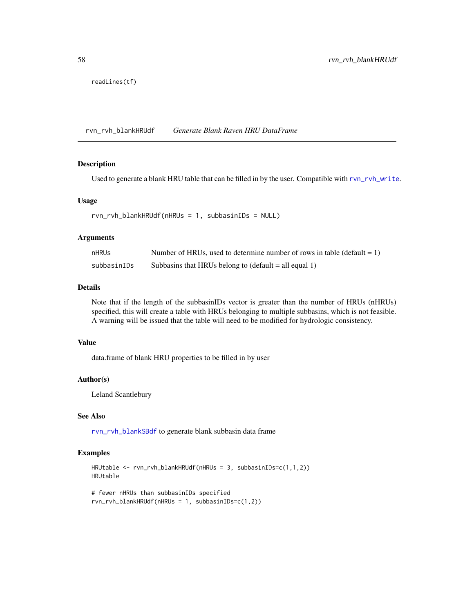readLines(tf)

<span id="page-57-0"></span>rvn\_rvh\_blankHRUdf *Generate Blank Raven HRU DataFrame*

## Description

Used to generate a blank HRU table that can be filled in by the user. Compatible with [rvn\\_rvh\\_write](#page-60-0).

# Usage

```
rvn_rvh_blankHRUdf(nHRUs = 1, subbasinIDs = NULL)
```
# Arguments

| nHRUs       | Number of HRUs, used to determine number of rows in table (default $= 1$ ) |
|-------------|----------------------------------------------------------------------------|
| subbasinIDs | Subbasins that HRUs belong to $(\text{default} = \text{all equal 1})$      |

# Details

Note that if the length of the subbasinIDs vector is greater than the number of HRUs (nHRUs) specified, this will create a table with HRUs belonging to multiple subbasins, which is not feasible. A warning will be issued that the table will need to be modified for hydrologic consistency.

### Value

data.frame of blank HRU properties to be filled in by user

### Author(s)

Leland Scantlebury

# See Also

[rvn\\_rvh\\_blankSBdf](#page-58-0) to generate blank subbasin data frame

```
HRUtable <- rvn_rvh_blankHRUdf(nHRUs = 3, subbasinIDs=c(1,1,2))
HRUtable
```

```
# fewer nHRUs than subbasinIDs specified
rvn_rvh_blankHRUdf(nHRUs = 1, subbasinIDs=c(1,2))
```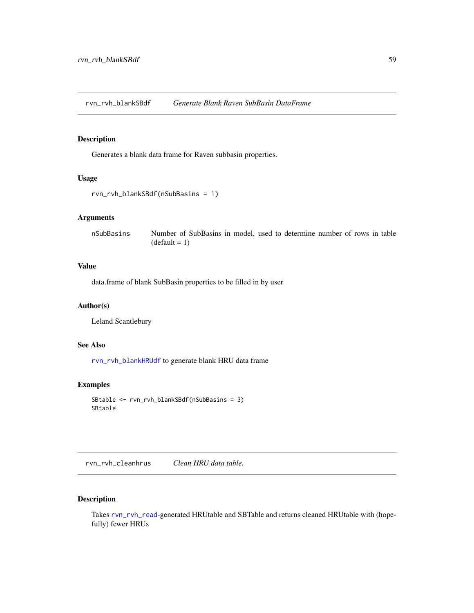<span id="page-58-0"></span>rvn\_rvh\_blankSBdf *Generate Blank Raven SubBasin DataFrame*

# Description

Generates a blank data frame for Raven subbasin properties.

# Usage

```
rvn_rvh_blankSBdf(nSubBasins = 1)
```
# Arguments

nSubBasins Number of SubBasins in model, used to determine number of rows in table  $(detault = 1)$ 

# Value

data.frame of blank SubBasin properties to be filled in by user

# Author(s)

Leland Scantlebury

# See Also

[rvn\\_rvh\\_blankHRUdf](#page-57-0) to generate blank HRU data frame

### Examples

```
SBtable <- rvn_rvh_blankSBdf(nSubBasins = 3)
SBtable
```
<span id="page-58-1"></span>rvn\_rvh\_cleanhrus *Clean HRU data table.*

# Description

Takes [rvn\\_rvh\\_read](#page-62-0)-generated HRUtable and SBTable and returns cleaned HRUtable with (hopefully) fewer HRUs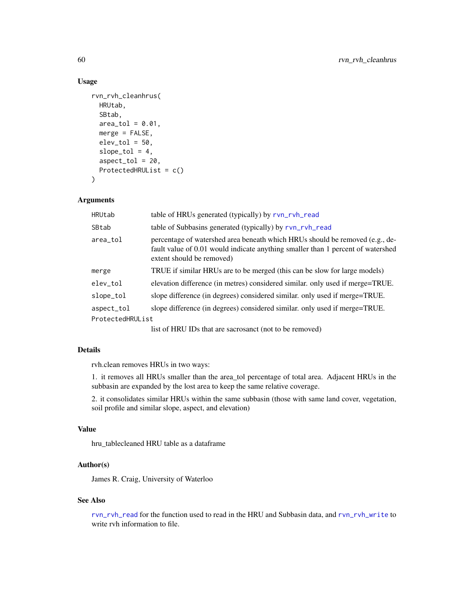# Usage

```
rvn_rvh_cleanhrus(
 HRUtab,
  SBtab,
 area_to1 = 0.01,merge = FALSE,
 elev\_tol = 50,
  slope\_tol = 4,
  aspect\_tol = 20,ProtectedHRUList = c()
)
```
# Arguments

| HRUtab           | table of HRUs generated (typically) by rvn_rvh_read                                                                                                                                          |
|------------------|----------------------------------------------------------------------------------------------------------------------------------------------------------------------------------------------|
| SBtab            | table of Subbasins generated (typically) by rvn_rvh_read                                                                                                                                     |
| area_tol         | percentage of watershed area beneath which HRUs should be removed (e.g., de-<br>fault value of 0.01 would indicate anything smaller than 1 percent of watershed<br>extent should be removed) |
| merge            | TRUE if similar HRUs are to be merged (this can be slow for large models)                                                                                                                    |
| elev_tol         | elevation difference (in metres) considered similar. only used if merge=TRUE.                                                                                                                |
| slope_tol        | slope difference (in degrees) considered similar, only used if merge=TRUE.                                                                                                                   |
| aspect_tol       | slope difference (in degrees) considered similar, only used if merge=TRUE.                                                                                                                   |
| ProtectedHRUList |                                                                                                                                                                                              |
|                  |                                                                                                                                                                                              |

list of HRU IDs that are sacrosanct (not to be removed)

# Details

rvh.clean removes HRUs in two ways:

1. it removes all HRUs smaller than the area\_tol percentage of total area. Adjacent HRUs in the subbasin are expanded by the lost area to keep the same relative coverage.

2. it consolidates similar HRUs within the same subbasin (those with same land cover, vegetation, soil profile and similar slope, aspect, and elevation)

## Value

hru\_tablecleaned HRU table as a dataframe

# Author(s)

James R. Craig, University of Waterloo

# See Also

[rvn\\_rvh\\_read](#page-62-0) for the function used to read in the HRU and Subbasin data, and [rvn\\_rvh\\_write](#page-60-0) to write rvh information to file.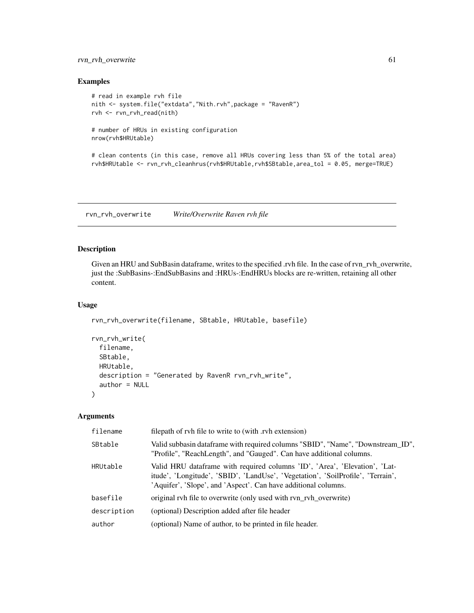# rvn\_rvh\_overwrite 61

## Examples

```
# read in example rvh file
nith <- system.file("extdata","Nith.rvh",package = "RavenR")
rvh <- rvn_rvh_read(nith)
# number of HRUs in existing configuration
nrow(rvh$HRUtable)
```
# clean contents (in this case, remove all HRUs covering less than 5% of the total area) rvh\$HRUtable <- rvn\_rvh\_cleanhrus(rvh\$HRUtable,rvh\$SBtable,area\_tol = 0.05, merge=TRUE)

rvn\_rvh\_overwrite *Write/Overwrite Raven rvh file*

### <span id="page-60-0"></span>Description

Given an HRU and SubBasin dataframe, writes to the specified .rvh file. In the case of rvn\_rvh\_overwrite, just the :SubBasins-:EndSubBasins and :HRUs-:EndHRUs blocks are re-written, retaining all other content.

### Usage

```
rvn_rvh_overwrite(filename, SBtable, HRUtable, basefile)
```

```
rvn_rvh_write(
  filename,
  SBtable,
 HRUtable,
 description = "Generated by RavenR rvn_rvh_write",
  author = NULL)
```
# Arguments

| filename    | filepath of rvh file to write to (with .rvh extension)                                                                                                                                                                          |
|-------------|---------------------------------------------------------------------------------------------------------------------------------------------------------------------------------------------------------------------------------|
| SBtable     | Valid subbasin dataframe with required columns "SBID", "Name", "Downstream_ID",<br>"Profile", "ReachLength", and "Gauged". Can have additional columns.                                                                         |
| HRUtable    | Valid HRU dataframe with required columns 'ID', 'Area', 'Elevation', 'Lat-<br>itude', 'Longitude', 'SBID', 'LandUse', 'Vegetation', 'SoilProfile', 'Terrain',<br>'Aquifer', 'Slope', and 'Aspect'. Can have additional columns. |
| basefile    | original rvh file to overwrite (only used with rvn_rvh_overwrite)                                                                                                                                                               |
| description | (optional) Description added after file header                                                                                                                                                                                  |
| author      | (optional) Name of author, to be printed in file header.                                                                                                                                                                        |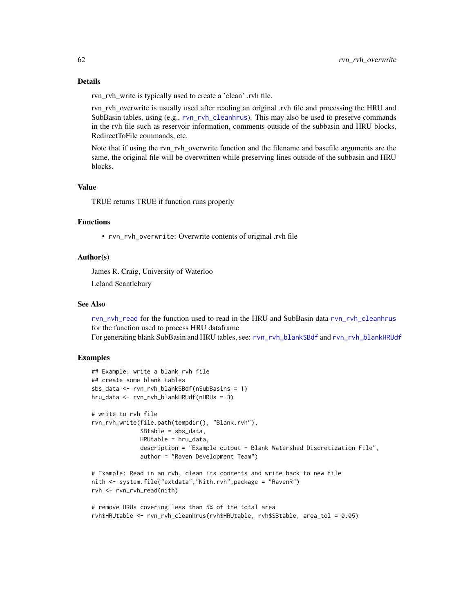# Details

rvn rvh write is typically used to create a 'clean' .rvh file.

rvn\_rvh\_overwrite is usually used after reading an original .rvh file and processing the HRU and SubBasin tables, using (e.g., [rvn\\_rvh\\_cleanhrus](#page-58-1)). This may also be used to preserve commands in the rvh file such as reservoir information, comments outside of the subbasin and HRU blocks, RedirectToFile commands, etc.

Note that if using the rvn\_rvh\_overwrite function and the filename and basefile arguments are the same, the original file will be overwritten while preserving lines outside of the subbasin and HRU blocks.

# Value

TRUE returns TRUE if function runs properly

## Functions

• rvn\_rvh\_overwrite: Overwrite contents of original .rvh file

#### Author(s)

James R. Craig, University of Waterloo

Leland Scantlebury

#### See Also

[rvn\\_rvh\\_read](#page-62-0) for the function used to read in the HRU and SubBasin data [rvn\\_rvh\\_cleanhrus](#page-58-1) for the function used to process HRU dataframe

For generating blank SubBasin and HRU tables, see: [rvn\\_rvh\\_blankSBdf](#page-58-0) and [rvn\\_rvh\\_blankHRUdf](#page-57-0)

```
## Example: write a blank rvh file
## create some blank tables
sbs_data <- rvn_rvh_blankSBdf(nSubBasins = 1)
hru_data <- rvn_rvh_blankHRUdf(nHRUs = 3)
# write to rvh file
rvn_rvh_write(file.path(tempdir(), "Blank.rvh"),
             SBtable = sbs_data,
             HRUtable = hru_data,
              description = "Example output - Blank Watershed Discretization File",
              author = "Raven Development Team")
# Example: Read in an rvh, clean its contents and write back to new file
nith <- system.file("extdata","Nith.rvh",package = "RavenR")
rvh <- rvn_rvh_read(nith)
# remove HRUs covering less than 5% of the total area
rvh$HRUtable <- rvn_rvh_cleanhrus(rvh$HRUtable, rvh$SBtable, area_tol = 0.05)
```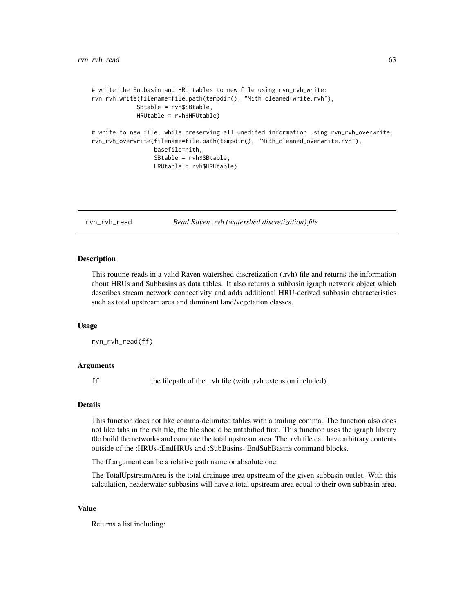```
# write the Subbasin and HRU tables to new file using rvn_rvh_write:
rvn_rvh_write(filename=file.path(tempdir(), "Nith_cleaned_write.rvh"),
             SBtable = rvh$SBtable,
             HRUtable = rvh$HRUtable)
# write to new file, while preserving all unedited information using rvn_rvh_overwrite:
rvn_rvh_overwrite(filename=file.path(tempdir(), "Nith_cleaned_overwrite.rvh"),
                  basefile=nith,
                  SBtable = rvh$SBtable,
                  HRUtable = rvh$HRUtable)
```
<span id="page-62-0"></span>rvn\_rvh\_read *Read Raven .rvh (watershed discretization) file*

### Description

This routine reads in a valid Raven watershed discretization (.rvh) file and returns the information about HRUs and Subbasins as data tables. It also returns a subbasin igraph network object which describes stream network connectivity and adds additional HRU-derived subbasin characteristics such as total upstream area and dominant land/vegetation classes.

#### Usage

rvn\_rvh\_read(ff)

### **Arguments**

ff the filepath of the .rvh file (with .rvh extension included).

# Details

This function does not like comma-delimited tables with a trailing comma. The function also does not like tabs in the rvh file, the file should be untabified first. This function uses the igraph library t0o build the networks and compute the total upstream area. The .rvh file can have arbitrary contents outside of the :HRUs-:EndHRUs and :SubBasins-:EndSubBasins command blocks.

The ff argument can be a relative path name or absolute one.

The TotalUpstreamArea is the total drainage area upstream of the given subbasin outlet. With this calculation, headerwater subbasins will have a total upstream area equal to their own subbasin area.

#### Value

Returns a list including: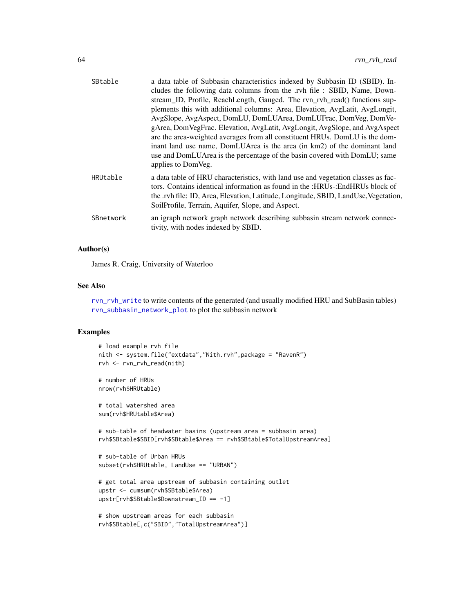| SBtable   | a data table of Subbasin characteristics indexed by Subbasin ID (SBID). In-<br>cludes the following data columns from the .rvh file : SBID, Name, Down-             |
|-----------|---------------------------------------------------------------------------------------------------------------------------------------------------------------------|
|           | stream_ID, Profile, ReachLength, Gauged. The rvn_rvh_read() functions sup-                                                                                          |
|           | plements this with additional columns: Area, Elevation, AvgLatit, AvgLongit,                                                                                        |
|           | AvgSlope, AvgAspect, DomLU, DomLUArea, DomLUFrac, DomVeg, DomVe-                                                                                                    |
|           | gArea, DomVegFrac. Elevation, AvgLatit, AvgLongit, AvgSlope, and AvgAspect                                                                                          |
|           | are the area-weighted averages from all constituent HRUs. DomLU is the dom-                                                                                         |
|           | inant land use name, DomLUArea is the area (in km2) of the dominant land                                                                                            |
|           | use and DomLUArea is the percentage of the basin covered with DomLU; same<br>applies to DomVeg.                                                                     |
| HRUtable  | a data table of HRU characteristics, with land use and vegetation classes as fac-                                                                                   |
|           | tors. Contains identical information as found in the :HRUs-:EndHRUs block of<br>the .rvh file: ID, Area, Elevation, Latitude, Longitude, SBID, LandUse, Vegetation, |
|           | SoilProfile, Terrain, Aquifer, Slope, and Aspect.                                                                                                                   |
| SBnetwork | an igraph network graph network describing subbasin stream network connec-<br>tivity, with nodes indexed by SBID.                                                   |
|           |                                                                                                                                                                     |

# Author(s)

James R. Craig, University of Waterloo

#### See Also

[rvn\\_rvh\\_write](#page-60-0) to write contents of the generated (and usually modified HRU and SubBasin tables) [rvn\\_subbasin\\_network\\_plot](#page-81-0) to plot the subbasin network

```
# load example rvh file
nith <- system.file("extdata","Nith.rvh",package = "RavenR")
rvh <- rvn_rvh_read(nith)
# number of HRUs
nrow(rvh$HRUtable)
# total watershed area
sum(rvh$HRUtable$Area)
# sub-table of headwater basins (upstream area = subbasin area)
rvh$SBtable$SBID[rvh$SBtable$Area == rvh$SBtable$TotalUpstreamArea]
# sub-table of Urban HRUs
subset(rvh$HRUtable, LandUse == "URBAN")
# get total area upstream of subbasin containing outlet
upstr <- cumsum(rvh$SBtable$Area)
upstr[rvh$SBtable$Downstream_ID == -1]
# show upstream areas for each subbasin
```

```
rvh$SBtable[,c("SBID","TotalUpstreamArea")]
```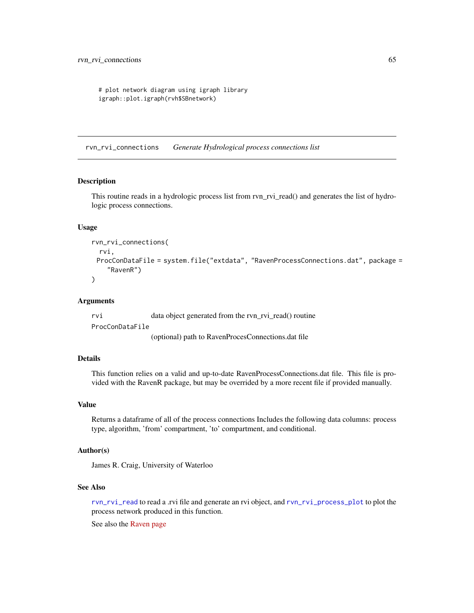```
# plot network diagram using igraph library
igraph::plot.igraph(rvh$SBnetwork)
```
<span id="page-64-0"></span>rvn\_rvi\_connections *Generate Hydrological process connections list*

### Description

This routine reads in a hydrologic process list from rvn\_rvi\_read() and generates the list of hydrologic process connections.

### Usage

```
rvn_rvi_connections(
  rvi,
 ProcConDataFile = system.file("extdata", "RavenProcessConnections.dat", package =
    "RavenR")
)
```
### Arguments

rvi data object generated from the rvn\_rvi\_read() routine ProcConDataFile

(optional) path to RavenProcesConnections.dat file

# Details

This function relies on a valid and up-to-date RavenProcessConnections.dat file. This file is provided with the RavenR package, but may be overrided by a more recent file if provided manually.

#### Value

Returns a dataframe of all of the process connections Includes the following data columns: process type, algorithm, 'from' compartment, 'to' compartment, and conditional.

### Author(s)

James R. Craig, University of Waterloo

# See Also

[rvn\\_rvi\\_read](#page-66-0) to read a .rvi file and generate an rvi object, and [rvn\\_rvi\\_process\\_plot](#page-65-0) to plot the process network produced in this function.

See also the [Raven page](http://raven.uwaterloo.ca/)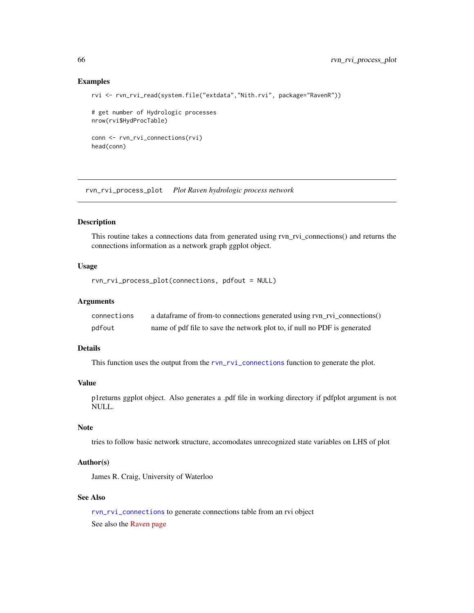### Examples

```
rvi <- rvn_rvi_read(system.file("extdata","Nith.rvi", package="RavenR"))
# get number of Hydrologic processes
nrow(rvi$HydProcTable)
conn <- rvn_rvi_connections(rvi)
head(conn)
```
<span id="page-65-0"></span>rvn\_rvi\_process\_plot *Plot Raven hydrologic process network*

# Description

This routine takes a connections data from generated using rvn\_rvi\_connections() and returns the connections information as a network graph ggplot object.

## Usage

rvn\_rvi\_process\_plot(connections, pdfout = NULL)

### Arguments

| connections | a dataframe of from-to connections generated using rvn_rvi_connections()  |
|-------------|---------------------------------------------------------------------------|
| pdfout      | name of pdf file to save the network plot to, if null no PDF is generated |

# Details

This function uses the output from the [rvn\\_rvi\\_connections](#page-64-0) function to generate the plot.

### Value

p1returns ggplot object. Also generates a .pdf file in working directory if pdfplot argument is not NULL.

# **Note**

tries to follow basic network structure, accomodates unrecognized state variables on LHS of plot

# Author(s)

James R. Craig, University of Waterloo

# See Also

[rvn\\_rvi\\_connections](#page-64-0) to generate connections table from an rvi object See also the [Raven page](http://raven.uwaterloo.ca/)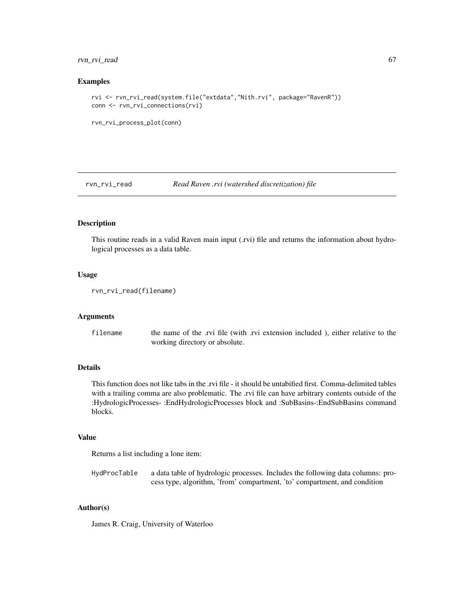# rvn\_rvi\_read 67

### Examples

```
rvi <- rvn_rvi_read(system.file("extdata","Nith.rvi", package="RavenR"))
conn <- rvn_rvi_connections(rvi)
```

```
rvn_rvi_process_plot(conn)
```
<span id="page-66-0"></span>rvn\_rvi\_read *Read Raven .rvi (watershed discretization) file*

## Description

This routine reads in a valid Raven main input (.rvi) file and returns the information about hydrological processes as a data table.

### Usage

```
rvn_rvi_read(filename)
```
#### Arguments

filename the name of the .rvi file (with .rvi extension included), either relative to the working directory or absolute.

### Details

This function does not like tabs in the .rvi file - it should be untabified first. Comma-delimited tables with a trailing comma are also problematic. The .rvi file can have arbitrary contents outside of the :HydrologicProcesses- :EndHydrologicProcesses block and :SubBasins-:EndSubBasins command blocks.

## Value

Returns a list including a lone item:

HydProcTable a data table of hydrologic processes. Includes the following data columns: process type, algorithm, 'from' compartment, 'to' compartment, and condition

# Author(s)

James R. Craig, University of Waterloo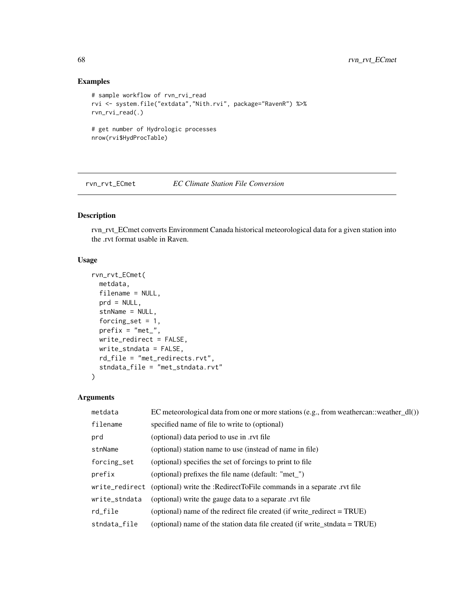# Examples

```
# sample workflow of rvn_rvi_read
rvi <- system.file("extdata","Nith.rvi", package="RavenR") %>%
rvn_rvi_read(.)
# get number of Hydrologic processes
nrow(rvi$HydProcTable)
```
rvn\_rvt\_ECmet *EC Climate Station File Conversion*

# Description

rvn\_rvt\_ECmet converts Environment Canada historical meteorological data for a given station into the .rvt format usable in Raven.

# Usage

```
rvn_rvt_ECmet(
 metdata,
  filename = NULL,
  prd = NULL,
  stnName = NULL,
  forcing_set = 1,
 prefix = "met",
 write_redirect = FALSE,
 write_stndata = FALSE,
 rd_file = "met_redirects.rvt",
  stndata_file = "met_stndata.rvt"
)
```
# Arguments

| metdata       | EC meteorological data from one or more stations (e.g., from weathercan::weather_dl()) |
|---------------|----------------------------------------------------------------------------------------|
| filename      | specified name of file to write to (optional)                                          |
| prd           | (optional) data period to use in .rvt file                                             |
| stnName       | (optional) station name to use (instead of name in file)                               |
| forcing_set   | (optional) specifies the set of forcings to print to file                              |
| prefix        | (optional) prefixes the file name (default: "met")                                     |
|               | write_redirect (optional) write the :RedirectToFile commands in a separate .rvt file   |
| write_stndata | (optional) write the gauge data to a separate rvt file                                 |
| rd_file       | (optional) name of the redirect file created (if write_redirect = TRUE)                |
| stndata_file  | (optional) name of the station data file created (if write_stndata = $TRUE$ )          |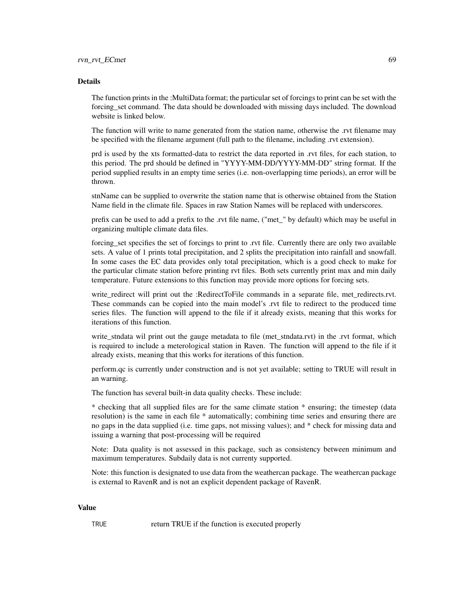#### Details

The function prints in the :MultiData format; the particular set of forcings to print can be set with the forcing\_set command. The data should be downloaded with missing days included. The download website is linked below.

The function will write to name generated from the station name, otherwise the .rvt filename may be specified with the filename argument (full path to the filename, including .rvt extension).

prd is used by the xts formatted-data to restrict the data reported in .rvt files, for each station, to this period. The prd should be defined in "YYYY-MM-DD/YYYY-MM-DD" string format. If the period supplied results in an empty time series (i.e. non-overlapping time periods), an error will be thrown.

stnName can be supplied to overwrite the station name that is otherwise obtained from the Station Name field in the climate file. Spaces in raw Station Names will be replaced with underscores.

prefix can be used to add a prefix to the .rvt file name, ("met\_" by default) which may be useful in organizing multiple climate data files.

forcing\_set specifies the set of forcings to print to .rvt file. Currently there are only two available sets. A value of 1 prints total precipitation, and 2 splits the precipitation into rainfall and snowfall. In some cases the EC data provides only total precipitation, which is a good check to make for the particular climate station before printing rvt files. Both sets currently print max and min daily temperature. Future extensions to this function may provide more options for forcing sets.

write\_redirect will print out the :RedirectToFile commands in a separate file, met\_redirects.rvt. These commands can be copied into the main model's .rvt file to redirect to the produced time series files. The function will append to the file if it already exists, meaning that this works for iterations of this function.

write\_stndata wil print out the gauge metadata to file (met\_stndata.rvt) in the .rvt format, which is required to include a meterological station in Raven. The function will append to the file if it already exists, meaning that this works for iterations of this function.

perform.qc is currently under construction and is not yet available; setting to TRUE will result in an warning.

The function has several built-in data quality checks. These include:

\* checking that all supplied files are for the same climate station \* ensuring; the timestep (data resolution) is the same in each file \* automatically; combining time series and ensuring there are no gaps in the data supplied (i.e. time gaps, not missing values); and \* check for missing data and issuing a warning that post-processing will be required

Note: Data quality is not assessed in this package, such as consistency between minimum and maximum temperatures. Subdaily data is not currenty supported.

Note: this function is designated to use data from the weathercan package. The weathercan package is external to RavenR and is not an explicit dependent package of RavenR.

# Value

TRUE return TRUE if the function is executed properly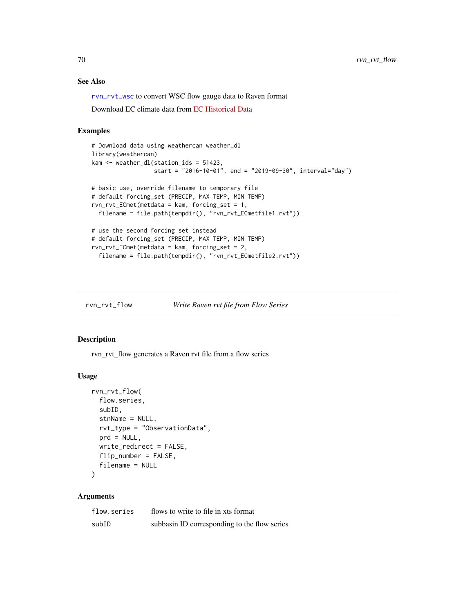# See Also

[rvn\\_rvt\\_wsc](#page-77-0) to convert WSC flow gauge data to Raven format

Download EC climate data from [EC Historical Data](https://climate.weather.gc.ca/historical_data/search_historic_data_e.html)

### Examples

```
# Download data using weathercan weather_dl
library(weathercan)
kam <- weather_dl(station_ids = 51423,
                  start = "2016-10-01", end = "2019-09-30", interval="day")
# basic use, override filename to temporary file
# default forcing_set (PRECIP, MAX TEMP, MIN TEMP)
rvn_rvt_ECmet(metdata = kam, forcing_set = 1,
  filename = file.path(tempdir(), "rvn_rvt_ECmetfile1.rvt"))
# use the second forcing set instead
# default forcing_set (PRECIP, MAX TEMP, MIN TEMP)
rvn_rvt_ECmet(metdata = kam, forcing_set = 2,
  filename = file.path(tempdir(), "rvn_rvt_ECmetfile2.rvt"))
```

| rvn_rvt_flow | Write Raven rvt file from Flow Series |  |
|--------------|---------------------------------------|--|
|              |                                       |  |

#### Description

rvn\_rvt\_flow generates a Raven rvt file from a flow series

#### Usage

```
rvn_rvt_flow(
  flow.series,
  subID,
  stnName = NULL,
  rvt_type = "ObservationData",
 prd = NULL,
 write_redirect = FALSE,
 flip_number = FALSE,
  filename = NULL
\lambda
```
## Arguments

| flow.series | flows to write to file in xts format         |
|-------------|----------------------------------------------|
| subID       | subbasin ID corresponding to the flow series |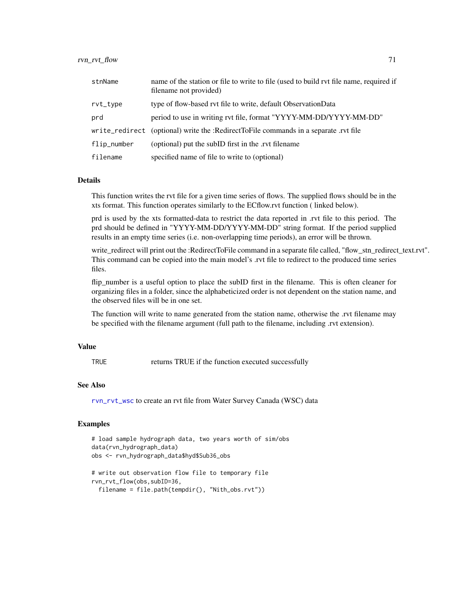| stnName     | name of the station or file to write to file (used to build rvt file name, required if<br>filename not provided) |
|-------------|------------------------------------------------------------------------------------------------------------------|
| rvt_type    | type of flow-based ryt file to write, default ObservationData                                                    |
| prd         | period to use in writing rvt file, format "YYYY-MM-DD/YYYY-MM-DD"                                                |
|             | write_redirect (optional) write the :RedirectToFile commands in a separate .rvt file                             |
| flip_number | (optional) put the subID first in the .rvt filename                                                              |
| filename    | specified name of file to write to (optional)                                                                    |

## Details

This function writes the rvt file for a given time series of flows. The supplied flows should be in the xts format. This function operates similarly to the ECflow.rvt function ( linked below).

prd is used by the xts formatted-data to restrict the data reported in .rvt file to this period. The prd should be defined in "YYYY-MM-DD/YYYY-MM-DD" string format. If the period supplied results in an empty time series (i.e. non-overlapping time periods), an error will be thrown.

write\_redirect will print out the :RedirectToFile command in a separate file called, "flow\_stn\_redirect\_text.rvt". This command can be copied into the main model's .rvt file to redirect to the produced time series files.

flip number is a useful option to place the subID first in the filename. This is often cleaner for organizing files in a folder, since the alphabeticized order is not dependent on the station name, and the observed files will be in one set.

The function will write to name generated from the station name, otherwise the .rvt filename may be specified with the filename argument (full path to the filename, including .rvt extension).

### Value

TRUE returns TRUE if the function executed successfully

#### See Also

[rvn\\_rvt\\_wsc](#page-77-0) to create an rvt file from Water Survey Canada (WSC) data

```
# load sample hydrograph data, two years worth of sim/obs
data(rvn_hydrograph_data)
obs <- rvn_hydrograph_data$hyd$Sub36_obs
# write out observation flow file to temporary file
```

```
rvn_rvt_flow(obs,subID=36,
```

```
filename = file.path(tempdir(), "Nith_obs.rvt"))
```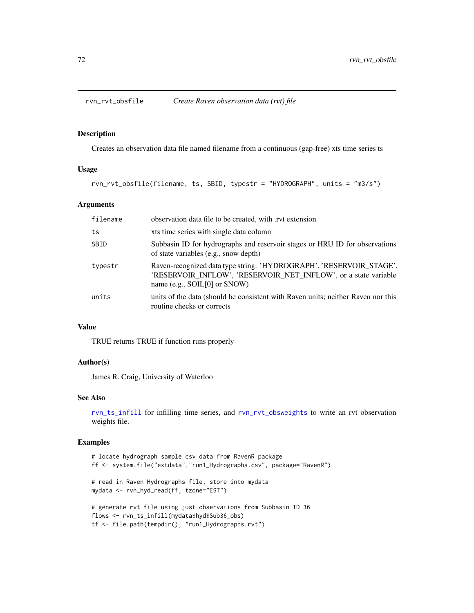Creates an observation data file named filename from a continuous (gap-free) xts time series ts

## Usage

rvn\_rvt\_obsfile(filename, ts, SBID, typestr = "HYDROGRAPH", units = "m3/s")

# Arguments

| filename | observation data file to be created, with .rvt extension                                                                                                                    |
|----------|-----------------------------------------------------------------------------------------------------------------------------------------------------------------------------|
| ts       | xts time series with single data column                                                                                                                                     |
| SBID     | Subbasin ID for hydrographs and reservoir stages or HRU ID for observations<br>of state variables (e.g., snow depth)                                                        |
| typestr  | Raven-recognized data type string: 'HYDROGRAPH', 'RESERVOIR_STAGE',<br>'RESERVOIR INFLOW', 'RESERVOIR NET INFLOW', or a state variable<br>name (e.g., $SOIL[0]$ or $SNOW$ ) |
| units    | units of the data (should be consistent with Raven units; neither Raven nor this<br>routine checks or corrects                                                              |

## Value

TRUE returns TRUE if function runs properly

# Author(s)

James R. Craig, University of Waterloo

# See Also

[rvn\\_ts\\_infill](#page-86-0) for infilling time series, and [rvn\\_rvt\\_obsweights](#page-72-0) to write an rvt observation weights file.

```
# locate hydrograph sample csv data from RavenR package
ff <- system.file("extdata","run1_Hydrographs.csv", package="RavenR")
# read in Raven Hydrographs file, store into mydata
mydata <- rvn_hyd_read(ff, tzone="EST")
# generate rvt file using just observations from Subbasin ID 36
flows <- rvn_ts_infill(mydata$hyd$Sub36_obs)
tf <- file.path(tempdir(), "run1_Hydrographs.rvt")
```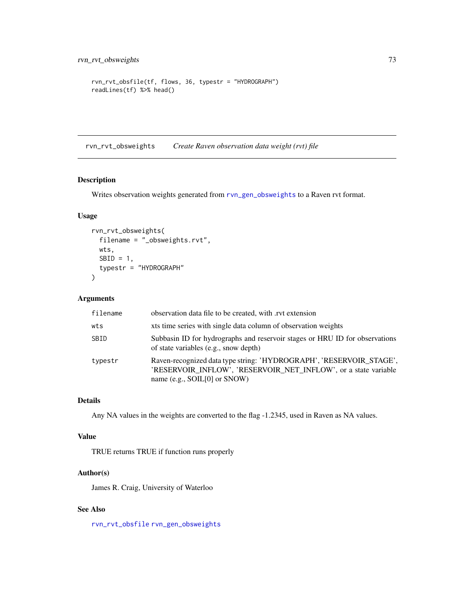```
rvn_rvt_obsfile(tf, flows, 36, typestr = "HYDROGRAPH")
readLines(tf) %>% head()
```
rvn\_rvt\_obsweights *Create Raven observation data weight (rvt) file*

# Description

Writes observation weights generated from [rvn\\_gen\\_obsweights](#page-36-0) to a Raven rvt format.

# Usage

```
rvn_rvt_obsweights(
  filename = "_obsweights.rvt",
 wts,
 SBID = 1,
 typestr = "HYDROGRAPH"
)
```
# Arguments

| filename | observation data file to be created, with rvt extension                                                                                                                       |
|----------|-------------------------------------------------------------------------------------------------------------------------------------------------------------------------------|
| wts      | xts time series with single data column of observation weights                                                                                                                |
| SBID     | Subbasin ID for hydrographs and reservoir stages or HRU ID for observations<br>of state variables (e.g., snow depth)                                                          |
| typestr  | Raven-recognized data type string: 'HYDROGRAPH', 'RESERVOIR_STAGE',<br>'RESERVOIR INFLOW', 'RESERVOIR NET INFLOW', or a state variable<br>name (e.g., $SOL[0]$ or $SNOWLED$ ) |

# Details

Any NA values in the weights are converted to the flag -1.2345, used in Raven as NA values.

# Value

TRUE returns TRUE if function runs properly

# Author(s)

James R. Craig, University of Waterloo

# See Also

[rvn\\_rvt\\_obsfile](#page-71-0) [rvn\\_gen\\_obsweights](#page-36-0)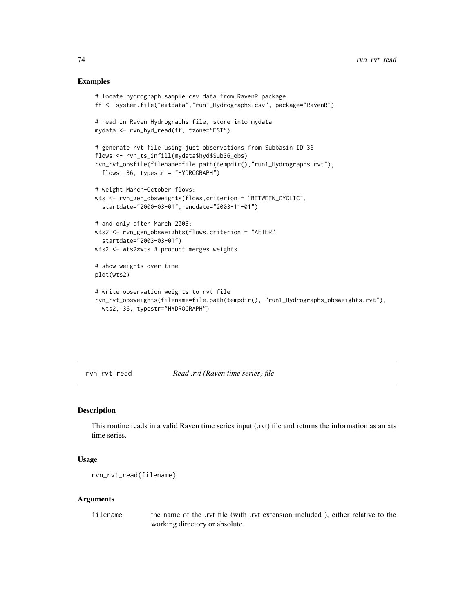#### Examples

```
# locate hydrograph sample csv data from RavenR package
ff <- system.file("extdata","run1_Hydrographs.csv", package="RavenR")
# read in Raven Hydrographs file, store into mydata
mydata <- rvn_hyd_read(ff, tzone="EST")
# generate rvt file using just observations from Subbasin ID 36
flows <- rvn_ts_infill(mydata$hyd$Sub36_obs)
rvn_rvt_obsfile(filename=file.path(tempdir(),"run1_Hydrographs.rvt"),
  flows, 36, typestr = "HYDROGRAPH")
# weight March-October flows:
wts <- rvn_gen_obsweights(flows,criterion = "BETWEEN_CYCLIC",
  startdate="2000-03-01", enddate="2003-11-01")
# and only after March 2003:
wts2 <- rvn_gen_obsweights(flows,criterion = "AFTER",
  startdate="2003-03-01")
wts2 <- wts2*wts # product merges weights
# show weights over time
plot(wts2)
# write observation weights to rvt file
rvn_rvt_obsweights(filename=file.path(tempdir(), "run1_Hydrographs_obsweights.rvt"),
  wts2, 36, typestr="HYDROGRAPH")
```
rvn\_rvt\_read *Read .rvt (Raven time series) file*

#### Description

This routine reads in a valid Raven time series input (.rvt) file and returns the information as an xts time series.

#### Usage

rvn\_rvt\_read(filename)

#### **Arguments**

filename the name of the .rvt file (with .rvt extension included ), either relative to the working directory or absolute.

<span id="page-73-0"></span>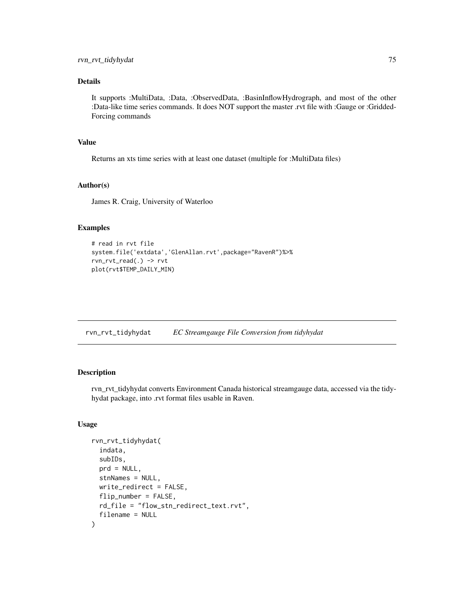# <span id="page-74-1"></span>Details

It supports :MultiData, :Data, :ObservedData, :BasinInflowHydrograph, and most of the other :Data-like time series commands. It does NOT support the master .rvt file with :Gauge or :Gridded-Forcing commands

#### Value

Returns an xts time series with at least one dataset (multiple for :MultiData files)

#### Author(s)

James R. Craig, University of Waterloo

#### Examples

```
# read in rvt file
system.file('extdata','GlenAllan.rvt',package="RavenR")%>%
rvn_rvt_read(.) -> rvt
plot(rvt$TEMP_DAILY_MIN)
```
<span id="page-74-0"></span>rvn\_rvt\_tidyhydat *EC Streamgauge File Conversion from tidyhydat*

# Description

rvn\_rvt\_tidyhydat converts Environment Canada historical streamgauge data, accessed via the tidyhydat package, into .rvt format files usable in Raven.

#### Usage

```
rvn_rvt_tidyhydat(
  indata,
  subIDs,
 prd = NULL,
  stnNames = NULL,
 write_redirect = FALSE,
  flip_number = FALSE,
  rd_file = "flow_stn_redirect_text.rvt",
  filename = NULL
)
```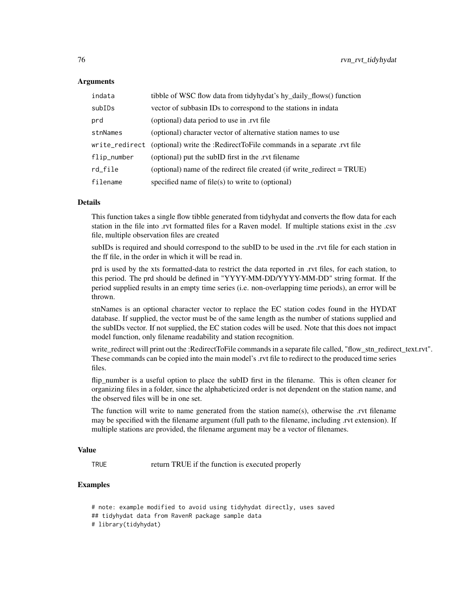#### Arguments

| indata         | tibble of WSC flow data from tidyhydat's hy_daily_flows() function      |
|----------------|-------------------------------------------------------------------------|
| subIDs         | vector of subbasin IDs to correspond to the stations in indata          |
| prd            | (optional) data period to use in .rvt file                              |
| stnNames       | (optional) character vector of alternative station names to use         |
| write_redirect | (optional) write the :RedirectToFile commands in a separate .rvt file   |
| flip_number    | (optional) put the subID first in the .rvt filename                     |
| rd_file        | (optional) name of the redirect file created (if write_redirect = TRUE) |
| filename       | specified name of file(s) to write to (optional)                        |

#### Details

This function takes a single flow tibble generated from tidyhydat and converts the flow data for each station in the file into .rvt formatted files for a Raven model. If multiple stations exist in the .csv file, multiple observation files are created

subIDs is required and should correspond to the subID to be used in the .rvt file for each station in the ff file, in the order in which it will be read in.

prd is used by the xts formatted-data to restrict the data reported in .rvt files, for each station, to this period. The prd should be defined in "YYYY-MM-DD/YYYY-MM-DD" string format. If the period supplied results in an empty time series (i.e. non-overlapping time periods), an error will be thrown.

stnNames is an optional character vector to replace the EC station codes found in the HYDAT database. If supplied, the vector must be of the same length as the number of stations supplied and the subIDs vector. If not supplied, the EC station codes will be used. Note that this does not impact model function, only filename readability and station recognition.

write\_redirect will print out the :RedirectToFile commands in a separate file called, "flow\_stn\_redirect\_text.rvt". These commands can be copied into the main model's .rvt file to redirect to the produced time series files.

flip number is a useful option to place the subID first in the filename. This is often cleaner for organizing files in a folder, since the alphabeticized order is not dependent on the station name, and the observed files will be in one set.

The function will write to name generated from the station name(s), otherwise the .rvt filename may be specified with the filename argument (full path to the filename, including .rvt extension). If multiple stations are provided, the filename argument may be a vector of filenames.

#### Value

TRUE return TRUE if the function is executed properly

# Examples

# note: example modified to avoid using tidyhydat directly, uses saved ## tidyhydat data from RavenR package sample data # library(tidyhydat)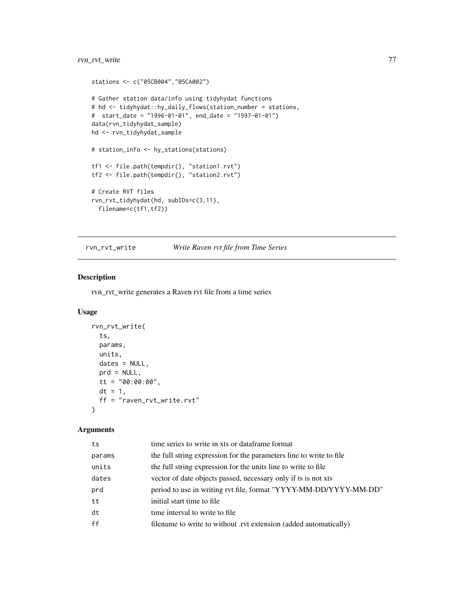```
stations <- c("05CB004","05CA002")
# Gather station data/info using tidyhydat functions
# hd <- tidyhydat::hy_daily_flows(station_number = stations,
# start_date = "1996-01-01", end_date = "1997-01-01")
data(rvn_tidyhydat_sample)
hd <- rvn_tidyhydat_sample
# station_info <- hy_stations(stations)
tf1 <- file.path(tempdir(), "station1.rvt")
tf2 <- file.path(tempdir(), "station2.rvt")
# Create RVT files
rvn_rvt_tidyhydat(hd, subIDs=c(3,11),
  filename=c(tf1,tf2))
```
rvn\_rvt\_write *Write Raven rvt file from Time Series*

# Description

rvn\_rvt\_write generates a Raven rvt file from a time series

#### Usage

```
rvn_rvt_write(
  ts,
 params,
 units,
 dates = NULL,
 prd = NULL,tt = "00:00:00",
 dt = 1,
 ff = "raven_rvt_write.rvt"
\lambda
```
# Arguments

| ts     | time series to write in xts or dataframe format                     |
|--------|---------------------------------------------------------------------|
| params | the full string expression for the parameters line to write to file |
| units  | the full string expression for the units line to write to file      |
| dates  | vector of date objects passed, necessary only if ts is not xts      |
| prd    | period to use in writing rvt file, format "YYYY-MM-DD/YYYY-MM-DD"   |
| tt     | initial start time to file.                                         |
| dt     | time interval to write to file.                                     |
| ff     | filename to write to without .rvt extension (added automatically)   |
|        |                                                                     |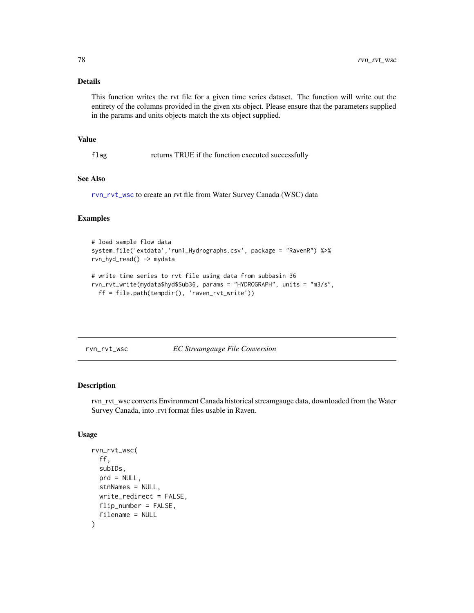#### Details

This function writes the rvt file for a given time series dataset. The function will write out the entirety of the columns provided in the given xts object. Please ensure that the parameters supplied in the params and units objects match the xts object supplied.

#### Value

flag returns TRUE if the function executed successfully

#### See Also

[rvn\\_rvt\\_wsc](#page-77-0) to create an rvt file from Water Survey Canada (WSC) data

#### Examples

```
# load sample flow data
system.file('extdata','run1_Hydrographs.csv', package = "RavenR") %>%
rvn_hyd_read() -> mydata
# write time series to rvt file using data from subbasin 36
rvn_rvt_write(mydata$hyd$Sub36, params = "HYDROGRAPH", units = "m3/s",
 ff = file.path(tempdir(), 'raven_rvt_write'))
```
<span id="page-77-0"></span>rvn\_rvt\_wsc *EC Streamgauge File Conversion*

#### Description

rvn\_rvt\_wsc converts Environment Canada historical streamgauge data, downloaded from the Water Survey Canada, into .rvt format files usable in Raven.

#### Usage

```
rvn_rvt_wsc(
  ff,
  subIDs,
  prd = NULL,
  stnNames = NULL,
 write_redirect = FALSE,
 flip_number = FALSE,
  filename = NULL
)
```
<span id="page-77-1"></span>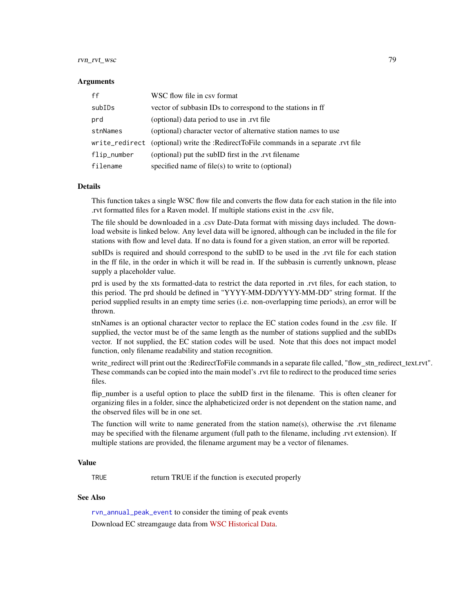# <span id="page-78-0"></span>rvn\_rvt\_wsc 79

#### Arguments

| ff          | WSC flow file in csy format                                                          |
|-------------|--------------------------------------------------------------------------------------|
| subIDs      | vector of subbasin IDs to correspond to the stations in ff                           |
| prd         | (optional) data period to use in .rvt file                                           |
| stnNames    | (optional) character vector of alternative station names to use                      |
|             | write_redirect (optional) write the :RedirectToFile commands in a separate .rvt file |
| flip_number | (optional) put the subID first in the .rvt filename                                  |
| filename    | specified name of $file(s)$ to write to (optional)                                   |

#### Details

This function takes a single WSC flow file and converts the flow data for each station in the file into .rvt formatted files for a Raven model. If multiple stations exist in the .csv file,

The file should be downloaded in a .csv Date-Data format with missing days included. The download website is linked below. Any level data will be ignored, although can be included in the file for stations with flow and level data. If no data is found for a given station, an error will be reported.

subIDs is required and should correspond to the subID to be used in the .rvt file for each station in the ff file, in the order in which it will be read in. If the subbasin is currently unknown, please supply a placeholder value.

prd is used by the xts formatted-data to restrict the data reported in .rvt files, for each station, to this period. The prd should be defined in "YYYY-MM-DD/YYYY-MM-DD" string format. If the period supplied results in an empty time series (i.e. non-overlapping time periods), an error will be thrown.

stnNames is an optional character vector to replace the EC station codes found in the .csv file. If supplied, the vector must be of the same length as the number of stations supplied and the subIDs vector. If not supplied, the EC station codes will be used. Note that this does not impact model function, only filename readability and station recognition.

write\_redirect will print out the :RedirectToFile commands in a separate file called, "flow\_stn\_redirect\_text.rvt". These commands can be copied into the main model's .rvt file to redirect to the produced time series files.

flip number is a useful option to place the subID first in the filename. This is often cleaner for organizing files in a folder, since the alphabeticized order is not dependent on the station name, and the observed files will be in one set.

The function will write to name generated from the station name(s), otherwise the .rvt filename may be specified with the filename argument (full path to the filename, including .rvt extension). If multiple stations are provided, the filename argument may be a vector of filenames.

#### Value

TRUE return TRUE if the function is executed properly

# See Also

[rvn\\_annual\\_peak\\_event](#page-7-0) to consider the timing of peak events Download EC streamgauge data from [WSC Historical Data.](https://wateroffice.ec.gc.ca/search/historical_e.html)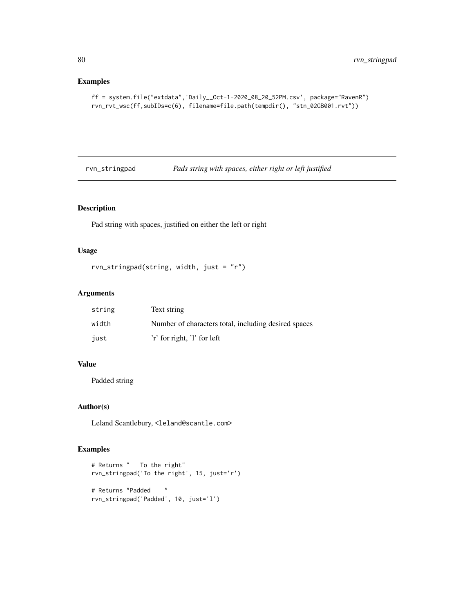# Examples

```
ff = system.file("extdata",'Daily__Oct-1-2020_08_20_52PM.csv', package="RavenR")
rvn_rvt_wsc(ff,subIDs=c(6), filename=file.path(tempdir(), "stn_02GB001.rvt"))
```
rvn\_stringpad *Pads string with spaces, either right or left justified*

# Description

Pad string with spaces, justified on either the left or right

# Usage

```
rvn_stringpad(string, width, just = "r")
```
# Arguments

| string | Text string                                          |
|--------|------------------------------------------------------|
| width  | Number of characters total, including desired spaces |
| just   | 'r' for right, 'l' for left                          |

#### Value

Padded string

# Author(s)

Leland Scantlebury, <leland@scantle.com>

```
# Returns " To the right"
rvn_stringpad('To the right', 15, just='r')
# Returns "Padded "
rvn_stringpad('Padded', 10, just='l')
```
<span id="page-79-0"></span>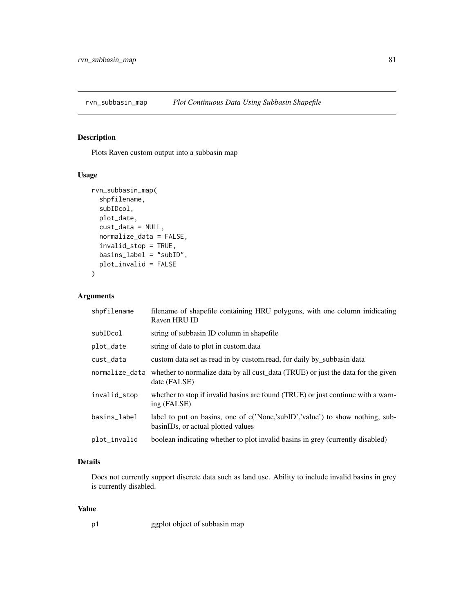<span id="page-80-0"></span>rvn\_subbasin\_map *Plot Continuous Data Using Subbasin Shapefile*

# Description

Plots Raven custom output into a subbasin map

# Usage

```
rvn_subbasin_map(
  shpfilename,
  subIDcol,
 plot_date,
 cust_data = NULL,
 normalize_data = FALSE,
  invalid_stop = TRUE,
 basins_label = "subID",
 plot_invalid = FALSE
\mathcal{L}
```
#### Arguments

| shpfilename    | filename of shapefile containing HRU polygons, with one column inidicating<br>Raven HRU ID                          |
|----------------|---------------------------------------------------------------------------------------------------------------------|
| subIDcol       | string of subbasin ID column in shapefile                                                                           |
| plot_date      | string of date to plot in custom.data                                                                               |
| cust_data      | custom data set as read in by custom.read, for daily by_subbasin data                                               |
| normalize_data | whether to normalize data by all cust_data (TRUE) or just the data for the given<br>date (FALSE)                    |
| invalid_stop   | whether to stop if invalid basins are found (TRUE) or just continue with a warn-<br>ing (FALSE)                     |
| basins_label   | label to put on basins, one of c('None,'subID','value') to show nothing, sub-<br>basinIDs, or actual plotted values |
| plot_invalid   | boolean indicating whether to plot invalid basins in grey (currently disabled)                                      |

# Details

Does not currently support discrete data such as land use. Ability to include invalid basins in grey is currently disabled.

# Value

| p1 | ggplot object of subbasin map |  |  |
|----|-------------------------------|--|--|
|    |                               |  |  |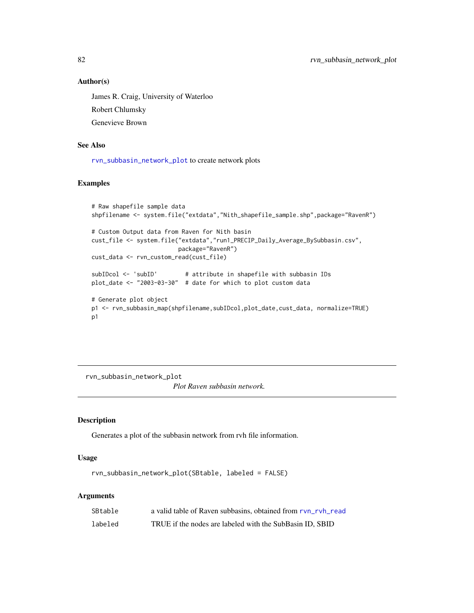#### Author(s)

James R. Craig, University of Waterloo Robert Chlumsky Genevieve Brown

#### See Also

[rvn\\_subbasin\\_network\\_plot](#page-81-0) to create network plots

#### Examples

```
# Raw shapefile sample data
shpfilename <- system.file("extdata","Nith_shapefile_sample.shp",package="RavenR")
# Custom Output data from Raven for Nith basin
cust_file <- system.file("extdata","run1_PRECIP_Daily_Average_BySubbasin.csv",
                        package="RavenR")
cust_data <- rvn_custom_read(cust_file)
subIDcol <- 'subID' # attribute in shapefile with subbasin IDs
plot_date <- "2003-03-30" # date for which to plot custom data
# Generate plot object
p1 <- rvn_subbasin_map(shpfilename,subIDcol,plot_date,cust_data, normalize=TRUE)
p1
```
<span id="page-81-0"></span>rvn\_subbasin\_network\_plot

*Plot Raven subbasin network.*

#### Description

Generates a plot of the subbasin network from rvh file information.

#### Usage

```
rvn_subbasin_network_plot(SBtable, labeled = FALSE)
```
#### **Arguments**

| SBtable | a valid table of Raven subbasins, obtained from rvn_rvh_read |
|---------|--------------------------------------------------------------|
| labeled | TRUE if the nodes are labeled with the SubBasin ID, SBID     |

<span id="page-81-1"></span>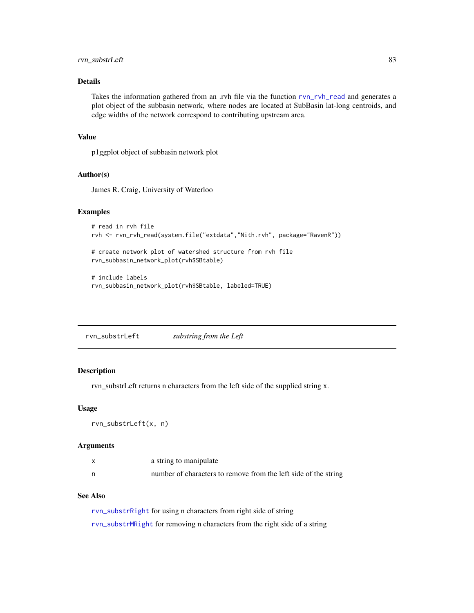# <span id="page-82-1"></span>rvn\_substrLeft 83

# Details

Takes the information gathered from an .rvh file via the function [rvn\\_rvh\\_read](#page-62-0) and generates a plot object of the subbasin network, where nodes are located at SubBasin lat-long centroids, and edge widths of the network correspond to contributing upstream area.

#### Value

p1ggplot object of subbasin network plot

# Author(s)

James R. Craig, University of Waterloo

#### Examples

```
# read in rvh file
rvh <- rvn_rvh_read(system.file("extdata","Nith.rvh", package="RavenR"))
```

```
# create network plot of watershed structure from rvh file
rvn_subbasin_network_plot(rvh$SBtable)
```

```
# include labels
rvn_subbasin_network_plot(rvh$SBtable, labeled=TRUE)
```
<span id="page-82-0"></span>rvn\_substrLeft *substring from the Left*

# Description

rvn\_substrLeft returns n characters from the left side of the supplied string x.

#### Usage

```
rvn_substrLeft(x, n)
```
#### Arguments

| a string to manipulate                                          |
|-----------------------------------------------------------------|
| number of characters to remove from the left side of the string |

# See Also

[rvn\\_substrRight](#page-84-0) for using n characters from right side of string [rvn\\_substrMRight](#page-84-1) for removing n characters from the right side of a string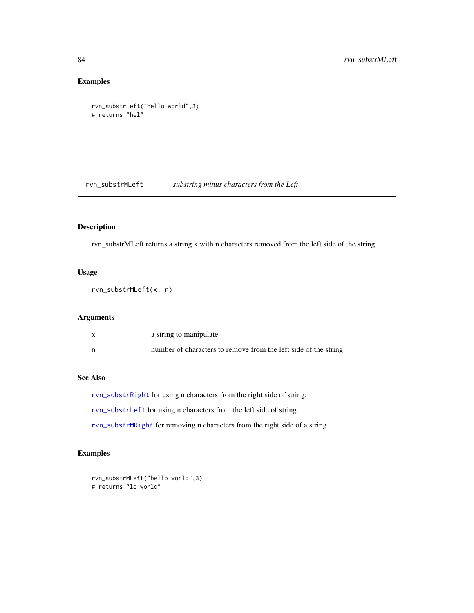# Examples

```
rvn_substrLeft("hello world",3)
# returns "hel"
```
<span id="page-83-0"></span>rvn\_substrMLeft *substring minus characters from the Left*

# Description

rvn\_substrMLeft returns a string x with n characters removed from the left side of the string.

# Usage

rvn\_substrMLeft(x, n)

# Arguments

|   | a string to manipulate                                          |
|---|-----------------------------------------------------------------|
| n | number of characters to remove from the left side of the string |

# See Also

[rvn\\_substrRight](#page-84-0) for using n characters from the right side of string, [rvn\\_substrLeft](#page-82-0) for using n characters from the left side of string

[rvn\\_substrMRight](#page-84-1) for removing n characters from the right side of a string

```
rvn_substrMLeft("hello world",3)
# returns "lo world"
```
<span id="page-83-1"></span>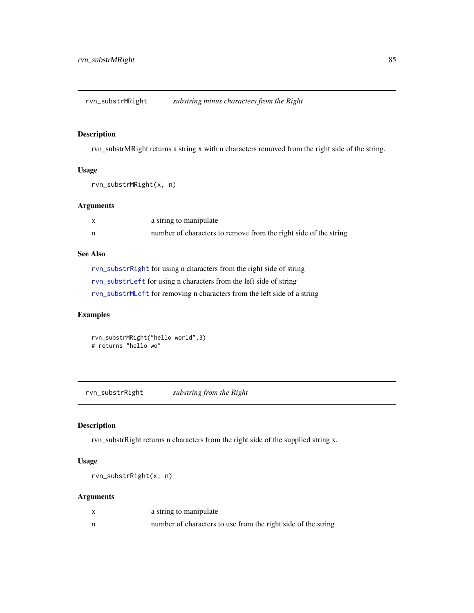<span id="page-84-2"></span><span id="page-84-1"></span>rvn\_substrMRight *substring minus characters from the Right*

#### Description

rvn\_substrMRight returns a string x with n characters removed from the right side of the string.

# Usage

```
rvn_substrMRight(x, n)
```
#### Arguments

| X  | a string to manipulate                                           |
|----|------------------------------------------------------------------|
| n, | number of characters to remove from the right side of the string |

# See Also

[rvn\\_substrRight](#page-84-0) for using n characters from the right side of string [rvn\\_substrLeft](#page-82-0) for using n characters from the left side of string [rvn\\_substrMLeft](#page-83-0) for removing n characters from the left side of a string

# Examples

rvn\_substrMRight("hello world",3) # returns "hello wo"

<span id="page-84-0"></span>rvn\_substrRight *substring from the Right*

# Description

rvn\_substrRight returns n characters from the right side of the supplied string x.

#### Usage

rvn\_substrRight(x, n)

#### Arguments

| a string to manipulate                                        |
|---------------------------------------------------------------|
| number of characters to use from the right side of the string |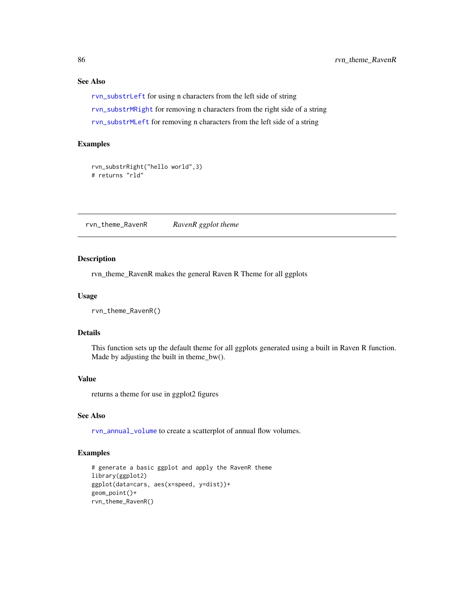# See Also

[rvn\\_substrLeft](#page-82-0) for using n characters from the left side of string [rvn\\_substrMRight](#page-84-1) for removing n characters from the right side of a string [rvn\\_substrMLeft](#page-83-0) for removing n characters from the left side of a string

# Examples

```
rvn_substrRight("hello world",3)
# returns "rld"
```
rvn\_theme\_RavenR *RavenR ggplot theme*

# Description

rvn\_theme\_RavenR makes the general Raven R Theme for all ggplots

#### Usage

rvn\_theme\_RavenR()

#### Details

This function sets up the default theme for all ggplots generated using a built in Raven R function. Made by adjusting the built in theme\_bw().

# Value

returns a theme for use in ggplot2 figures

# See Also

[rvn\\_annual\\_volume](#page-14-0) to create a scatterplot of annual flow volumes.

```
# generate a basic ggplot and apply the RavenR theme
library(ggplot2)
ggplot(data=cars, aes(x=speed, y=dist))+
geom_point()+
rvn_theme_RavenR()
```
<span id="page-85-0"></span>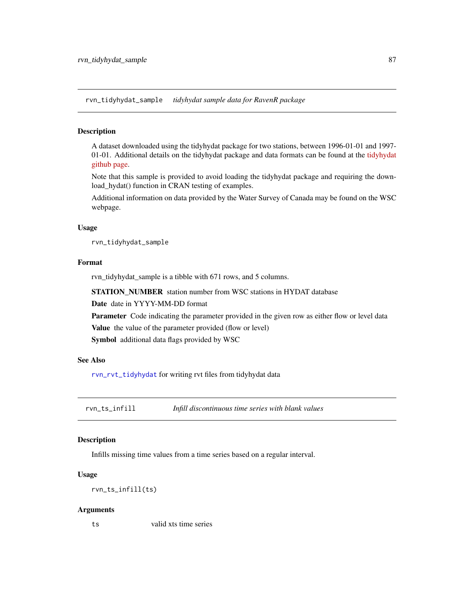<span id="page-86-0"></span>rvn\_tidyhydat\_sample *tidyhydat sample data for RavenR package*

# Description

A dataset downloaded using the tidyhydat package for two stations, between 1996-01-01 and 1997- 01-01. Additional details on the tidyhydat package and data formats can be found at the [tidyhydat](https://github.com/ropensci/tidyhydat) [github page.](https://github.com/ropensci/tidyhydat)

Note that this sample is provided to avoid loading the tidyhydat package and requiring the download\_hydat() function in CRAN testing of examples.

Additional information on data provided by the Water Survey of Canada may be found on the WSC webpage.

#### Usage

rvn\_tidyhydat\_sample

#### Format

rvn\_tidyhydat\_sample is a tibble with 671 rows, and 5 columns.

STATION\_NUMBER station number from WSC stations in HYDAT database

Date date in YYYY-MM-DD format

Parameter Code indicating the parameter provided in the given row as either flow or level data

Value the value of the parameter provided (flow or level)

Symbol additional data flags provided by WSC

#### See Also

[rvn\\_rvt\\_tidyhydat](#page-74-0) for writing rvt files from tidyhydat data

rvn\_ts\_infill *Infill discontinuous time series with blank values*

#### Description

Infills missing time values from a time series based on a regular interval.

#### Usage

```
rvn_ts_infill(ts)
```
#### Arguments

ts valid xts time series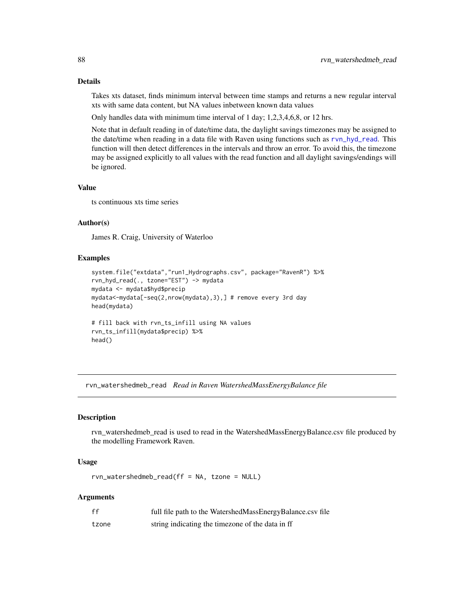# Details

Takes xts dataset, finds minimum interval between time stamps and returns a new regular interval xts with same data content, but NA values inbetween known data values

Only handles data with minimum time interval of 1 day; 1,2,3,4,6,8, or 12 hrs.

Note that in default reading in of date/time data, the daylight savings timezones may be assigned to the date/time when reading in a data file with Raven using functions such as [rvn\\_hyd\\_read](#page-44-0). This function will then detect differences in the intervals and throw an error. To avoid this, the timezone may be assigned explicitly to all values with the read function and all daylight savings/endings will be ignored.

# Value

ts continuous xts time series

# Author(s)

James R. Craig, University of Waterloo

#### Examples

```
system.file("extdata","run1_Hydrographs.csv", package="RavenR") %>%
rvn_hyd_read(., tzone="EST") -> mydata
mydata <- mydata$hyd$precip
mydata<-mydata[-seq(2,nrow(mydata),3),] # remove every 3rd day
head(mydata)
# fill back with rvn_ts_infill using NA values
rvn_ts_infill(mydata$precip) %>%
head()
```
<span id="page-87-0"></span>rvn\_watershedmeb\_read *Read in Raven WatershedMassEnergyBalance file*

# Description

rvn\_watershedmeb\_read is used to read in the WatershedMassEnergyBalance.csv file produced by the modelling Framework Raven.

# Usage

rvn\_watershedmeb\_read(ff = NA, tzone = NULL)

# Arguments

| ff    | full file path to the WatershedMassEnergyBalance.csv file |
|-------|-----------------------------------------------------------|
| tzone | string indicating the timezone of the data in ff          |

<span id="page-87-1"></span>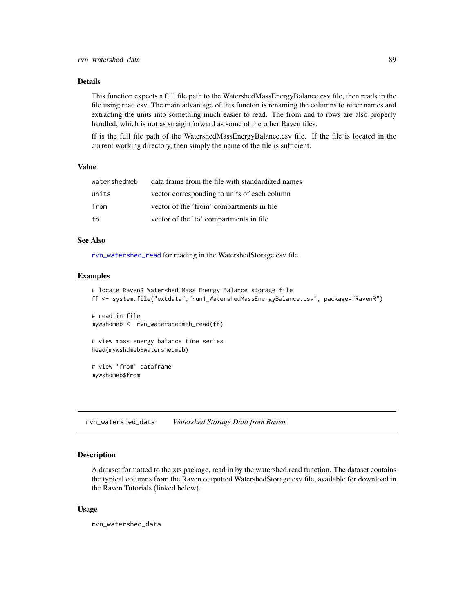# <span id="page-88-0"></span>Details

This function expects a full file path to the WatershedMassEnergyBalance.csv file, then reads in the file using read.csv. The main advantage of this functon is renaming the columns to nicer names and extracting the units into something much easier to read. The from and to rows are also properly handled, which is not as straightforward as some of the other Raven files.

ff is the full file path of the WatershedMassEnergyBalance.csv file. If the file is located in the current working directory, then simply the name of the file is sufficient.

#### Value

| watershedmeb | data frame from the file with standardized names |
|--------------|--------------------------------------------------|
| units        | vector corresponding to units of each column     |
| from         | vector of the 'from' compartments in file        |
| to           | vector of the 'to' compartments in file          |

# See Also

[rvn\\_watershed\\_read](#page-90-0) for reading in the WatershedStorage.csv file

#### Examples

```
# locate RavenR Watershed Mass Energy Balance storage file
ff <- system.file("extdata","run1_WatershedMassEnergyBalance.csv", package="RavenR")
# read in file
mywshdmeb <- rvn_watershedmeb_read(ff)
# view mass energy balance time series
head(mywshdmeb$watershedmeb)
# view 'from' dataframe
mywshdmeb$from
```
rvn\_watershed\_data *Watershed Storage Data from Raven*

# **Description**

A dataset formatted to the xts package, read in by the watershed.read function. The dataset contains the typical columns from the Raven outputted WatershedStorage.csv file, available for download in the Raven Tutorials (linked below).

#### Usage

rvn\_watershed\_data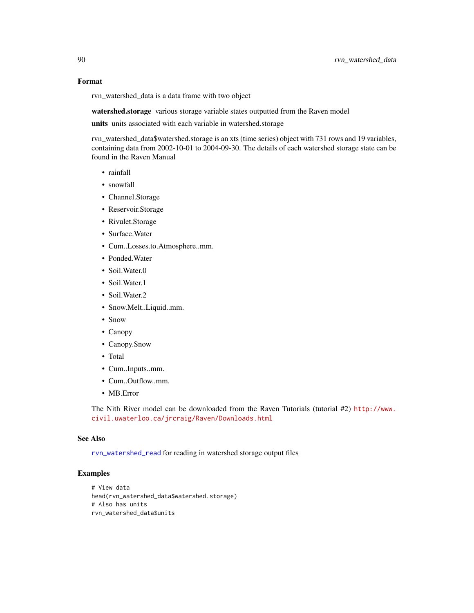#### Format

rvn\_watershed\_data is a data frame with two object

watershed.storage various storage variable states outputted from the Raven model

units units associated with each variable in watershed.storage

rvn\_watershed\_data\$watershed.storage is an xts (time series) object with 731 rows and 19 variables, containing data from 2002-10-01 to 2004-09-30. The details of each watershed storage state can be found in the Raven Manual

- rainfall
- snowfall
- Channel.Storage
- Reservoir.Storage
- Rivulet.Storage
- Surface.Water
- Cum..Losses.to.Atmosphere..mm.
- Ponded.Water
- Soil.Water.0
- Soil.Water.1
- Soil.Water.2
- Snow.Melt..Liquid..mm.
- Snow
- Canopy
- Canopy.Snow
- Total
- Cum..Inputs..mm.
- Cum..Outflow..mm.
- MB.Error

The Nith River model can be downloaded from the Raven Tutorials (tutorial #2) [http://www.](http://www.civil.uwaterloo.ca/jrcraig/Raven/Downloads.html) [civil.uwaterloo.ca/jrcraig/Raven/Downloads.html](http://www.civil.uwaterloo.ca/jrcraig/Raven/Downloads.html)

#### See Also

[rvn\\_watershed\\_read](#page-90-0) for reading in watershed storage output files

```
# View data
head(rvn_watershed_data$watershed.storage)
# Also has units
rvn_watershed_data$units
```
<span id="page-89-0"></span>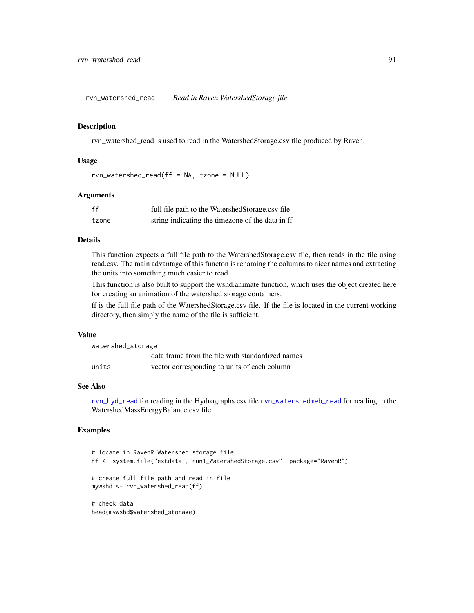<span id="page-90-1"></span><span id="page-90-0"></span>rvn\_watershed\_read *Read in Raven WatershedStorage file*

#### **Description**

rvn\_watershed\_read is used to read in the WatershedStorage.csv file produced by Raven.

#### Usage

```
rvn_watershed_read(ff = NA, tzone = NULL)
```
#### **Arguments**

| ff    | full file path to the WatershedStorage.csv file  |
|-------|--------------------------------------------------|
| tzone | string indicating the timezone of the data in ff |

# Details

This function expects a full file path to the WatershedStorage.csv file, then reads in the file using read.csv. The main advantage of this functon is renaming the columns to nicer names and extracting the units into something much easier to read.

This function is also built to support the wshd.animate function, which uses the object created here for creating an animation of the watershed storage containers.

ff is the full file path of the WatershedStorage.csv file. If the file is located in the current working directory, then simply the name of the file is sufficient.

#### Value

| watershed_storage |                                                  |
|-------------------|--------------------------------------------------|
|                   | data frame from the file with standardized names |
| units             | vector corresponding to units of each column     |

#### See Also

[rvn\\_hyd\\_read](#page-44-0) for reading in the Hydrographs.csv file [rvn\\_watershedmeb\\_read](#page-87-0) for reading in the WatershedMassEnergyBalance.csv file

```
# locate in RavenR Watershed storage file
ff <- system.file("extdata","run1_WatershedStorage.csv", package="RavenR")
# create full file path and read in file
mywshd <- rvn_watershed_read(ff)
# check data
head(mywshd$watershed_storage)
```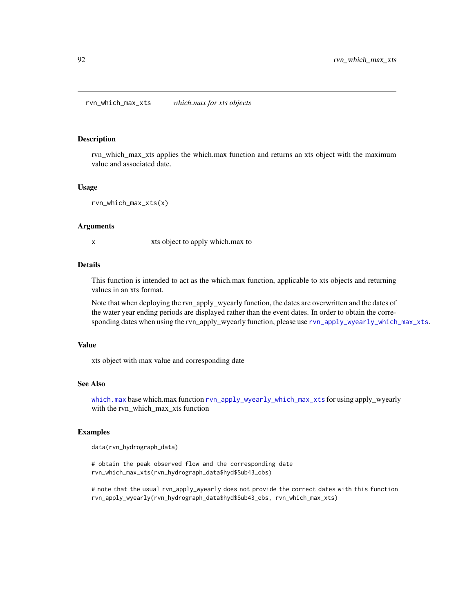#### <span id="page-91-0"></span>Description

rvn\_which\_max\_xts applies the which.max function and returns an xts object with the maximum value and associated date.

#### Usage

```
rvn_which_max_xts(x)
```
#### Arguments

x xts object to apply which.max to

# Details

This function is intended to act as the which.max function, applicable to xts objects and returning values in an xts format.

Note that when deploying the rvn\_apply\_wyearly function, the dates are overwritten and the dates of the water year ending periods are displayed rather than the event dates. In order to obtain the corresponding dates when using the rvn\_apply\_wyearly function, please use [rvn\\_apply\\_wyearly\\_which\\_max\\_xts](#page-17-0).

#### Value

xts object with max value and corresponding date

#### See Also

[which.max](#page-0-0) base which.max function [rvn\\_apply\\_wyearly\\_which\\_max\\_xts](#page-17-0) for using apply\_wyearly with the rvn\_which\_max\_xts function

#### Examples

data(rvn\_hydrograph\_data)

# obtain the peak observed flow and the corresponding date rvn\_which\_max\_xts(rvn\_hydrograph\_data\$hyd\$Sub43\_obs)

# note that the usual rvn\_apply\_wyearly does not provide the correct dates with this function rvn\_apply\_wyearly(rvn\_hydrograph\_data\$hyd\$Sub43\_obs, rvn\_which\_max\_xts)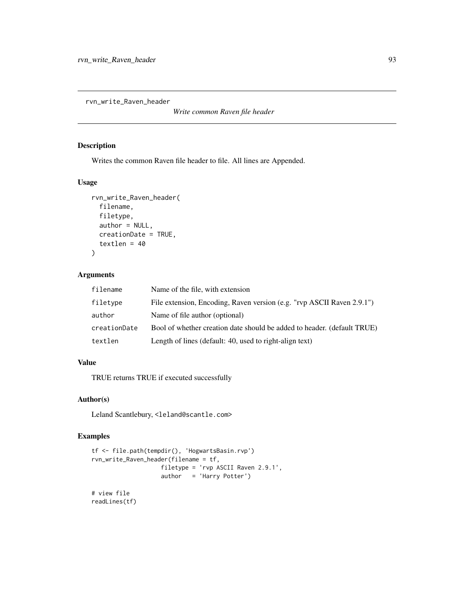<span id="page-92-0"></span>rvn\_write\_Raven\_header

*Write common Raven file header*

# Description

Writes the common Raven file header to file. All lines are Appended.

# Usage

```
rvn_write_Raven_header(
  filename,
  filetype,
  author = NULL,
  creationDate = TRUE,
  textlen = 40
\lambda
```
# Arguments

| filename     | Name of the file, with extension                                        |
|--------------|-------------------------------------------------------------------------|
| filetype     | File extension, Encoding, Raven version (e.g. "rvp ASCII Raven 2.9.1")  |
| author       | Name of file author (optional)                                          |
| creationDate | Bool of whether creation date should be added to header. (default TRUE) |
| textlen      | Length of lines (default: 40, used to right-align text)                 |

# Value

TRUE returns TRUE if executed successfully

# Author(s)

Leland Scantlebury, <leland@scantle.com>

```
tf <- file.path(tempdir(), 'HogwartsBasin.rvp')
rvn_write_Raven_header(filename = tf,
                   filetype = 'rvp ASCII Raven 2.9.1',
                   author = 'Harry Potter')
# view file
readLines(tf)
```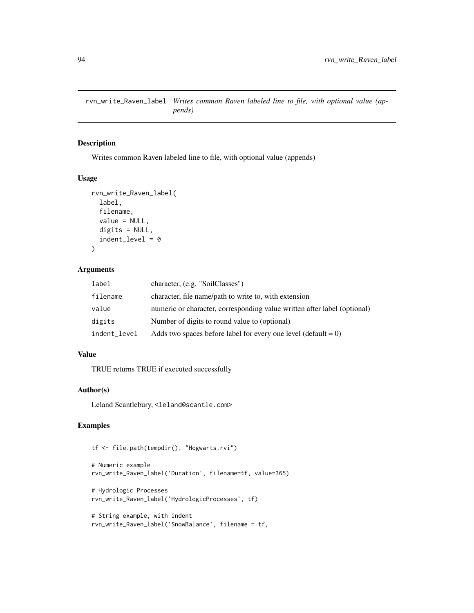<span id="page-93-0"></span>rvn\_write\_Raven\_label *Writes common Raven labeled line to file, with optional value (appends)*

#### Description

Writes common Raven labeled line to file, with optional value (appends)

# Usage

```
rvn_write_Raven_label(
  label,
  filename,
  value = NULL,
  digits = NULL,
  indent\_level = 0\mathcal{L}
```
# Arguments

| label        | character, (e.g. "SoilClasses")                                          |
|--------------|--------------------------------------------------------------------------|
| filename     | character, file name/path to write to, with extension                    |
| value        | numeric or character, corresponding value written after label (optional) |
| digits       | Number of digits to round value to (optional)                            |
| indent_level | Adds two spaces before label for every one level (default $= 0$ )        |

# Value

TRUE returns TRUE if executed successfully

#### Author(s)

Leland Scantlebury, <leland@scantle.com>

```
tf <- file.path(tempdir(), "Hogwarts.rvi")
```

```
# Numeric example
rvn_write_Raven_label('Duration', filename=tf, value=365)
```

```
# Hydrologic Processes
rvn_write_Raven_label('HydrologicProcesses', tf)
```

```
# String example, with indent
rvn_write_Raven_label('SnowBalance', filename = tf,
```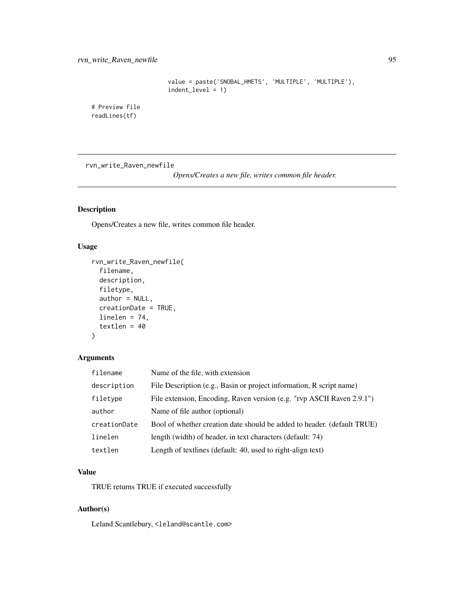```
value = paste('SNOBAL_HMETS', 'MULTIPLE', 'MULTIPLE'),
indent_level = 1)
```
<span id="page-94-0"></span># Preview file readLines(tf)

rvn\_write\_Raven\_newfile

*Opens/Creates a new file, writes common file header.*

# Description

Opens/Creates a new file, writes common file header.

# Usage

```
rvn_write_Raven_newfile(
  filename,
  description,
  filetype,
  author = NULL,creationDate = TRUE,
  linelen = 74,
  textlen = 40
)
```
# Arguments

| filename     | Name of the file, with extension                                        |
|--------------|-------------------------------------------------------------------------|
| description  | File Description (e.g., Basin or project information, R script name)    |
| filetype     | File extension, Encoding, Raven version (e.g. "rvp ASCII Raven 2.9.1")  |
| author       | Name of file author (optional)                                          |
| creationDate | Bool of whether creation date should be added to header. (default TRUE) |
| linelen      | length (width) of header, in text characters (default: 74)              |
| textlen      | Length of textlines (default: 40, used to right-align text)             |

# Value

TRUE returns TRUE if executed successfully

# Author(s)

Leland Scantlebury, <leland@scantle.com>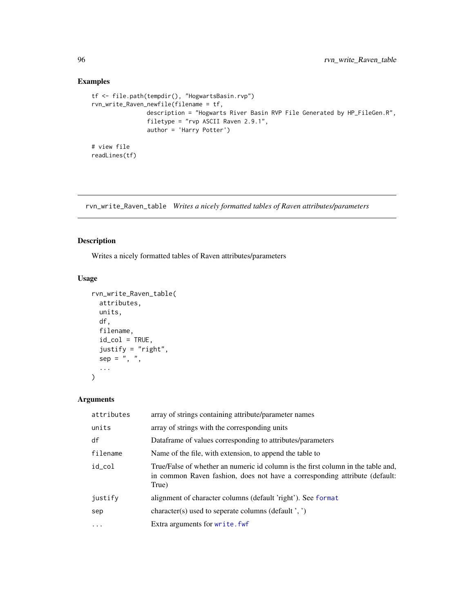# Examples

```
tf <- file.path(tempdir(), "HogwartsBasin.rvp")
rvn_write_Raven_newfile(filename = tf,
               description = "Hogwarts River Basin RVP File Generated by HP_FileGen.R",
                filetype = "rvp ASCII Raven 2.9.1",
                author = 'Harry Potter')
# view file
readLines(tf)
```
rvn\_write\_Raven\_table *Writes a nicely formatted tables of Raven attributes/parameters*

# Description

Writes a nicely formatted tables of Raven attributes/parameters

# Usage

```
rvn_write_Raven_table(
 attributes,
 units,
 df,
  filename,
  id\_col = TRUE,justify = "right",
 sep = ", ",
  ...
)
```
# Arguments

| attributes | array of strings containing attribute/parameter names                                                                                                                   |
|------------|-------------------------------------------------------------------------------------------------------------------------------------------------------------------------|
| units      | array of strings with the corresponding units                                                                                                                           |
| df         | Dataframe of values corresponding to attributes/parameters                                                                                                              |
| filename   | Name of the file, with extension, to append the table to                                                                                                                |
| id_col     | True/False of whether an numeric id column is the first column in the table and,<br>in common Raven fashion, does not have a corresponding attribute (default:<br>True) |
| justify    | alignment of character columns (default 'right'). See format                                                                                                            |
| sep        | character(s) used to seperate columns (default ', ')                                                                                                                    |
| $\ddotsc$  | Extra arguments for write. fwf                                                                                                                                          |

<span id="page-95-0"></span>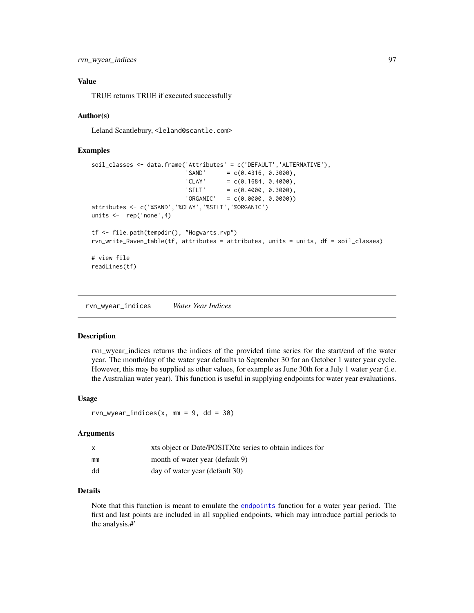<span id="page-96-0"></span>rvn\_wyear\_indices 97

# Value

TRUE returns TRUE if executed successfully

# Author(s)

Leland Scantlebury, <leland@scantle.com>

#### Examples

```
soil_classes <- data.frame('Attributes' = c('DEFAULT','ALTERNATIVE'),
                          'SAND' = c(0.4316, 0.3000),'CLAY' = c(0.1684, 0.4000),'SILT' = c(0.4000, 0.3000),
                          'ORGANIC' = c(0.0000, 0.0000))attributes <- c('%SAND','%CLAY','%SILT','%ORGANIC')
units <- rep('none',4)
tf <- file.path(tempdir(), "Hogwarts.rvp")
rvn_write_Raven_table(tf, attributes = attributes, units = units, df = soil_classes)
# view file
readLines(tf)
```
rvn\_wyear\_indices *Water Year Indices*

#### Description

rvn\_wyear\_indices returns the indices of the provided time series for the start/end of the water year. The month/day of the water year defaults to September 30 for an October 1 water year cycle. However, this may be supplied as other values, for example as June 30th for a July 1 water year (i.e. the Australian water year). This function is useful in supplying endpoints for water year evaluations.

#### Usage

 $rvn_wyear\_indices(x, mm = 9, dd = 30)$ 

#### Arguments

|    | xts object or Date/POSITX tc series to obtain indices for |
|----|-----------------------------------------------------------|
| mm | month of water year (default 9)                           |
| dd | day of water year (default 30)                            |

# Details

Note that this function is meant to emulate the [endpoints](#page-0-0) function for a water year period. The first and last points are included in all supplied endpoints, which may introduce partial periods to the analysis.#'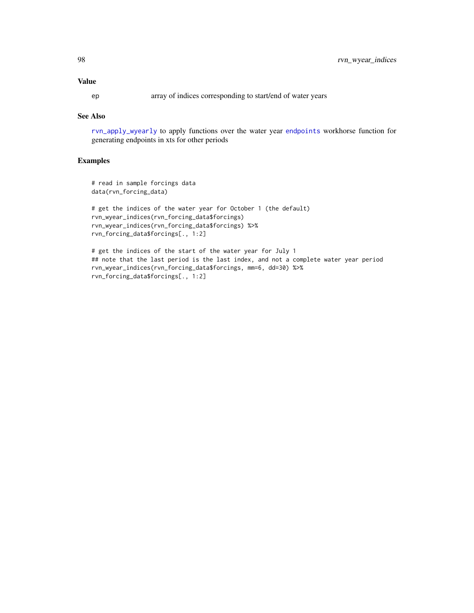# <span id="page-97-0"></span>Value

ep array of indices corresponding to start/end of water years

#### See Also

[rvn\\_apply\\_wyearly](#page-16-0) to apply functions over the water year [endpoints](#page-0-0) workhorse function for generating endpoints in xts for other periods

```
# read in sample forcings data
data(rvn_forcing_data)
```

```
# get the indices of the water year for October 1 (the default)
rvn_wyear_indices(rvn_forcing_data$forcings)
rvn_wyear_indices(rvn_forcing_data$forcings) %>%
rvn_forcing_data$forcings[., 1:2]
```

```
# get the indices of the start of the water year for July 1
## note that the last period is the last index, and not a complete water year period
rvn_wyear_indices(rvn_forcing_data$forcings, mm=6, dd=30) %>%
rvn_forcing_data$forcings[., 1:2]
```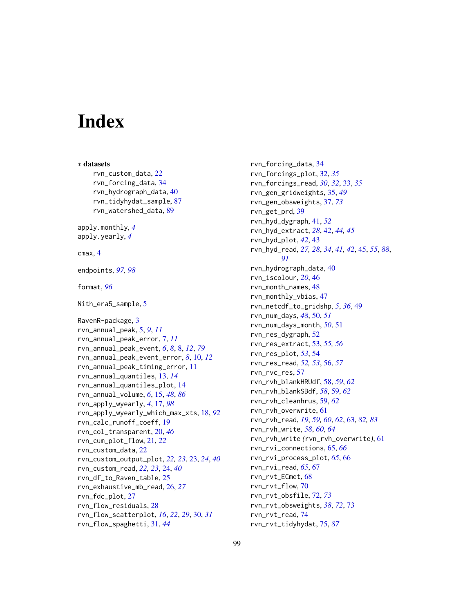# **Index**

∗ datasets rvn\_custom\_data, [22](#page-21-0) rvn\_forcing\_data, [34](#page-33-0) rvn\_hydrograph\_data, [40](#page-39-0) rvn\_tidyhydat\_sample, [87](#page-86-0) rvn\_watershed\_data, [89](#page-88-0) apply.monthly, *[4](#page-3-0)* apply.yearly, *[4](#page-3-0)* cmax, [4](#page-3-0) endpoints, *[97,](#page-96-0) [98](#page-97-0)* format, *[96](#page-95-0)* Nith\_era5\_sample, [5](#page-4-0) RavenR-package, [3](#page-2-0) rvn\_annual\_peak, [5,](#page-4-0) *[9](#page-8-0)*, *[11](#page-10-0)* rvn\_annual\_peak\_error, [7,](#page-6-0) *[11](#page-10-0)* rvn\_annual\_peak\_event, *[6](#page-5-0)*, *[8](#page-7-1)*, [8,](#page-7-1) *[12](#page-11-0)*, *[79](#page-78-0)* rvn\_annual\_peak\_event\_error, *[8](#page-7-1)*, [10,](#page-9-0) *[12](#page-11-0)* rvn\_annual\_peak\_timing\_error, [11](#page-10-0) rvn\_annual\_quantiles, [13,](#page-12-0) *[14](#page-13-0)* rvn\_annual\_quantiles\_plot, [14](#page-13-0) rvn\_annual\_volume, *[6](#page-5-0)*, [15,](#page-14-1) *[48](#page-47-0)*, *[86](#page-85-0)* rvn\_apply\_wyearly, *[4](#page-3-0)*, [17,](#page-16-1) *[98](#page-97-0)* rvn\_apply\_wyearly\_which\_max\_xts, [18,](#page-17-1) *[92](#page-91-0)* rvn\_calc\_runoff\_coeff, [19](#page-18-0) rvn\_col\_transparent, [20,](#page-19-0) *[46](#page-45-0)* rvn\_cum\_plot\_flow, [21,](#page-20-0) *[22](#page-21-0)* rvn\_custom\_data, [22](#page-21-0) rvn\_custom\_output\_plot, *[22,](#page-21-0) [23](#page-22-0)*, [23,](#page-22-0) *[24](#page-23-0)*, *[40](#page-39-0)* rvn\_custom\_read, *[22,](#page-21-0) [23](#page-22-0)*, [24,](#page-23-0) *[40](#page-39-0)* rvn\_df\_to\_Raven\_table, [25](#page-24-0) rvn\_exhaustive\_mb\_read, [26,](#page-25-0) *[27](#page-26-0)* rvn\_fdc\_plot, [27](#page-26-0) rvn\_flow\_residuals, [28](#page-27-0) rvn\_flow\_scatterplot, *[16](#page-15-0)*, *[22](#page-21-0)*, *[29](#page-28-0)*, [30,](#page-29-0) *[31](#page-30-0)* rvn\_flow\_spaghetti, [31,](#page-30-0) *[44](#page-43-0)*

rvn\_forcing\_data, [34](#page-33-0) rvn\_forcings\_plot, [32,](#page-31-0) *[35](#page-34-0)* rvn\_forcings\_read, *[30](#page-29-0)*, *[32](#page-31-0)*, [33,](#page-32-0) *[35](#page-34-0)* rvn\_gen\_gridweights, [35,](#page-34-0) *[49](#page-48-0)* rvn\_gen\_obsweights, [37,](#page-36-1) *[73](#page-72-0)* rvn\_get\_prd, [39](#page-38-0) rvn\_hyd\_dygraph, [41,](#page-40-0) *[52](#page-51-0)* rvn\_hyd\_extract, *[28](#page-27-0)*, [42,](#page-41-0) *[44,](#page-43-0) [45](#page-44-1)* rvn\_hyd\_plot, *[42](#page-41-0)*, [43](#page-42-0) rvn\_hyd\_read, *[27,](#page-26-0) [28](#page-27-0)*, *[34](#page-33-0)*, *[41,](#page-40-0) [42](#page-41-0)*, [45,](#page-44-1) *[55](#page-54-0)*, *[88](#page-87-1)*, *[91](#page-90-1)* rvn\_hydrograph\_data, [40](#page-39-0) rvn\_iscolour, *[20](#page-19-0)*, [46](#page-45-0) rvn\_month\_names, [48](#page-47-0) rvn\_monthly\_vbias, [47](#page-46-0) rvn\_netcdf\_to\_gridshp, *[5](#page-4-0)*, *[36](#page-35-0)*, [49](#page-48-0) rvn\_num\_days, *[48](#page-47-0)*, [50,](#page-49-0) *[51](#page-50-0)* rvn\_num\_days\_month, *[50](#page-49-0)*, [51](#page-50-0) rvn\_res\_dygraph, [52](#page-51-0) rvn\_res\_extract, [53,](#page-52-0) *[55,](#page-54-0) [56](#page-55-0)* rvn\_res\_plot, *[53](#page-52-0)*, [54](#page-53-0) rvn\_res\_read, *[52,](#page-51-0) [53](#page-52-0)*, [56,](#page-55-0) *[57](#page-56-0)* rvn\_rvc\_res, [57](#page-56-0) rvn\_rvh\_blankHRUdf, [58,](#page-57-0) *[59](#page-58-0)*, *[62](#page-61-0)* rvn\_rvh\_blankSBdf, *[58](#page-57-0)*, [59,](#page-58-0) *[62](#page-61-0)* rvn\_rvh\_cleanhrus, [59,](#page-58-0) *[62](#page-61-0)* rvn\_rvh\_overwrite, [61](#page-60-0) rvn\_rvh\_read, *[19](#page-18-0)*, *[59,](#page-58-0) [60](#page-59-0)*, *[62](#page-61-0)*, [63,](#page-62-1) *[82,](#page-81-1) [83](#page-82-1)* rvn\_rvh\_write, *[58](#page-57-0)*, *[60](#page-59-0)*, *[64](#page-63-0)* rvn\_rvh\_write *(*rvn\_rvh\_overwrite*)*, [61](#page-60-0) rvn\_rvi\_connections, [65,](#page-64-0) *[66](#page-65-0)* rvn\_rvi\_process\_plot, *[65](#page-64-0)*, [66](#page-65-0) rvn\_rvi\_read, *[65](#page-64-0)*, [67](#page-66-0) rvn\_rvt\_ECmet, [68](#page-67-0) rvn\_rvt\_flow, [70](#page-69-0) rvn\_rvt\_obsfile, [72,](#page-71-1) *[73](#page-72-0)* rvn\_rvt\_obsweights, *[38](#page-37-0)*, *[72](#page-71-1)*, [73](#page-72-0) rvn\_rvt\_read, [74](#page-73-0) rvn\_rvt\_tidyhydat, [75,](#page-74-1) *[87](#page-86-0)*